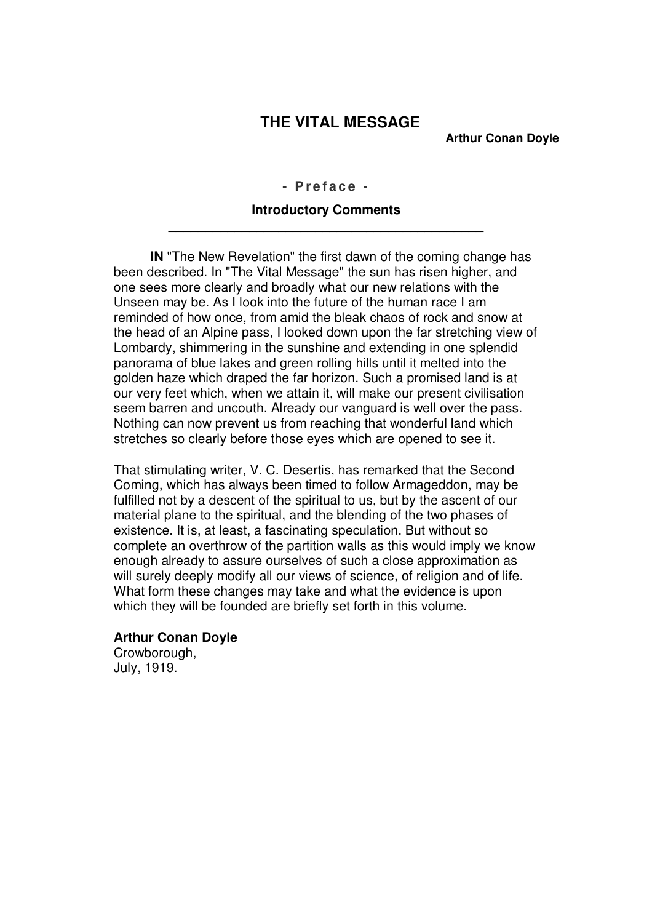# **THE VITAL MESSAGE**

**Arthur Conan Doyle**

**- P r e f a c e -**

# **Introductory Comments \_\_\_\_\_\_\_\_\_\_\_\_\_\_\_\_\_\_\_\_\_\_\_\_\_\_\_\_\_\_\_\_\_\_\_\_\_\_\_\_\_\_\_**

**IN** "The New Revelation" the first dawn of the coming change has been described. In "The Vital Message" the sun has risen higher, and one sees more clearly and broadly what our new relations with the Unseen may be. As I look into the future of the human race I am reminded of how once, from amid the bleak chaos of rock and snow at the head of an Alpine pass, I looked down upon the far stretching view of Lombardy, shimmering in the sunshine and extending in one splendid panorama of blue lakes and green rolling hills until it melted into the golden haze which draped the far horizon. Such a promised land is at our very feet which, when we attain it, will make our present civilisation seem barren and uncouth. Already our vanguard is well over the pass. Nothing can now prevent us from reaching that wonderful land which stretches so clearly before those eyes which are opened to see it.

That stimulating writer, V. C. Desertis, has remarked that the Second Coming, which has always been timed to follow Armageddon, may be fulfilled not by a descent of the spiritual to us, but by the ascent of our material plane to the spiritual, and the blending of the two phases of existence. It is, at least, a fascinating speculation. But without so complete an overthrow of the partition walls as this would imply we know enough already to assure ourselves of such a close approximation as will surely deeply modify all our views of science, of religion and of life. What form these changes may take and what the evidence is upon which they will be founded are briefly set forth in this volume.

**Arthur Conan Doyle**

Crowborough, July, 1919.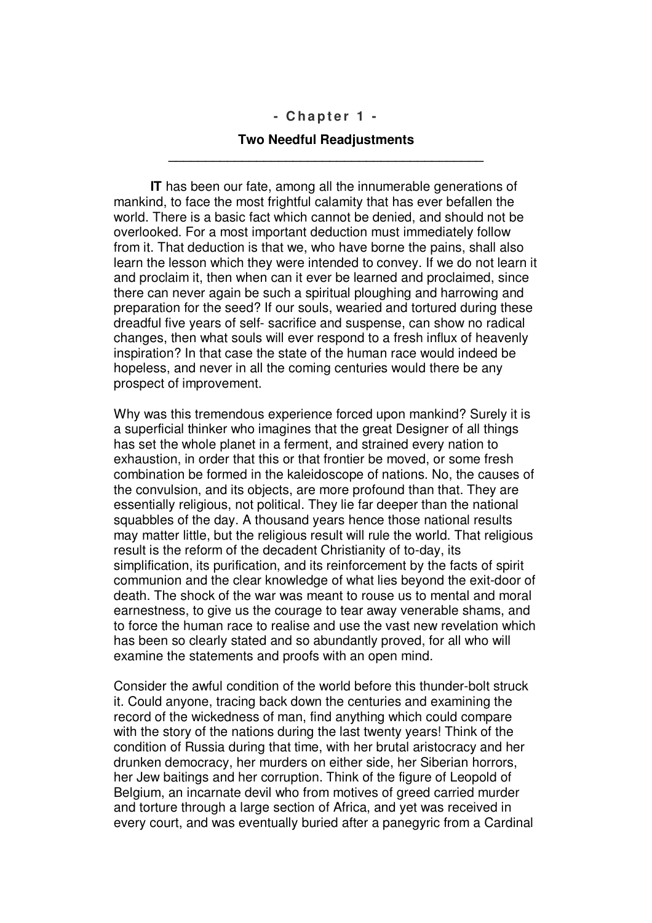#### **- C ha p t e r 1 -**

# **Two Needful Readjustments \_\_\_\_\_\_\_\_\_\_\_\_\_\_\_\_\_\_\_\_\_\_\_\_\_\_\_\_\_\_\_\_\_\_\_\_\_\_\_\_\_\_\_**

**IT** has been our fate, among all the innumerable generations of mankind, to face the most frightful calamity that has ever befallen the world. There is a basic fact which cannot be denied, and should not be overlooked. For a most important deduction must immediately follow from it. That deduction is that we, who have borne the pains, shall also learn the lesson which they were intended to convey. If we do not learn it and proclaim it, then when can it ever be learned and proclaimed, since there can never again be such a spiritual ploughing and harrowing and preparation for the seed? If our souls, wearied and tortured during these dreadful five years of self- sacrifice and suspense, can show no radical changes, then what souls will ever respond to a fresh influx of heavenly inspiration? In that case the state of the human race would indeed be hopeless, and never in all the coming centuries would there be any prospect of improvement.

Why was this tremendous experience forced upon mankind? Surely it is a superficial thinker who imagines that the great Designer of all things has set the whole planet in a ferment, and strained every nation to exhaustion, in order that this or that frontier be moved, or some fresh combination be formed in the kaleidoscope of nations. No, the causes of the convulsion, and its objects, are more profound than that. They are essentially religious, not political. They lie far deeper than the national squabbles of the day. A thousand years hence those national results may matter little, but the religious result will rule the world. That religious result is the reform of the decadent Christianity of to-day, its simplification, its purification, and its reinforcement by the facts of spirit communion and the clear knowledge of what lies beyond the exit-door of death. The shock of the war was meant to rouse us to mental and moral earnestness, to give us the courage to tear away venerable shams, and to force the human race to realise and use the vast new revelation which has been so clearly stated and so abundantly proved, for all who will examine the statements and proofs with an open mind.

Consider the awful condition of the world before this thunder-bolt struck it. Could anyone, tracing back down the centuries and examining the record of the wickedness of man, find anything which could compare with the story of the nations during the last twenty years! Think of the condition of Russia during that time, with her brutal aristocracy and her drunken democracy, her murders on either side, her Siberian horrors, her Jew baitings and her corruption. Think of the figure of Leopold of Belgium, an incarnate devil who from motives of greed carried murder and torture through a large section of Africa, and yet was received in every court, and was eventually buried after a panegyric from a Cardinal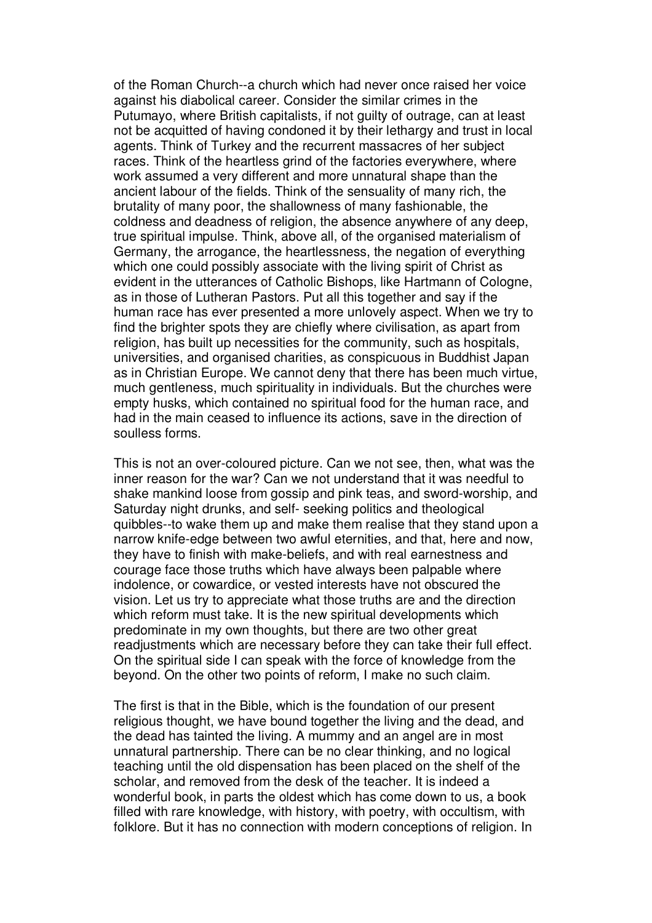of the Roman Church--a church which had never once raised her voice against his diabolical career. Consider the similar crimes in the Putumayo, where British capitalists, if not guilty of outrage, can at least not be acquitted of having condoned it by their lethargy and trust in local agents. Think of Turkey and the recurrent massacres of her subject races. Think of the heartless grind of the factories everywhere, where work assumed a very different and more unnatural shape than the ancient labour of the fields. Think of the sensuality of many rich, the brutality of many poor, the shallowness of many fashionable, the coldness and deadness of religion, the absence anywhere of any deep, true spiritual impulse. Think, above all, of the organised materialism of Germany, the arrogance, the heartlessness, the negation of everything which one could possibly associate with the living spirit of Christ as evident in the utterances of Catholic Bishops, like Hartmann of Cologne, as in those of Lutheran Pastors. Put all this together and say if the human race has ever presented a more unlovely aspect. When we try to find the brighter spots they are chiefly where civilisation, as apart from religion, has built up necessities for the community, such as hospitals, universities, and organised charities, as conspicuous in Buddhist Japan as in Christian Europe. We cannot deny that there has been much virtue, much gentleness, much spirituality in individuals. But the churches were empty husks, which contained no spiritual food for the human race, and had in the main ceased to influence its actions, save in the direction of soulless forms.

This is not an over-coloured picture. Can we not see, then, what was the inner reason for the war? Can we not understand that it was needful to shake mankind loose from gossip and pink teas, and sword-worship, and Saturday night drunks, and self- seeking politics and theological quibbles--to wake them up and make them realise that they stand upon a narrow knife-edge between two awful eternities, and that, here and now, they have to finish with make-beliefs, and with real earnestness and courage face those truths which have always been palpable where indolence, or cowardice, or vested interests have not obscured the vision. Let us try to appreciate what those truths are and the direction which reform must take. It is the new spiritual developments which predominate in my own thoughts, but there are two other great readjustments which are necessary before they can take their full effect. On the spiritual side I can speak with the force of knowledge from the beyond. On the other two points of reform, I make no such claim.

The first is that in the Bible, which is the foundation of our present religious thought, we have bound together the living and the dead, and the dead has tainted the living. A mummy and an angel are in most unnatural partnership. There can be no clear thinking, and no logical teaching until the old dispensation has been placed on the shelf of the scholar, and removed from the desk of the teacher. It is indeed a wonderful book, in parts the oldest which has come down to us, a book filled with rare knowledge, with history, with poetry, with occultism, with folklore. But it has no connection with modern conceptions of religion. In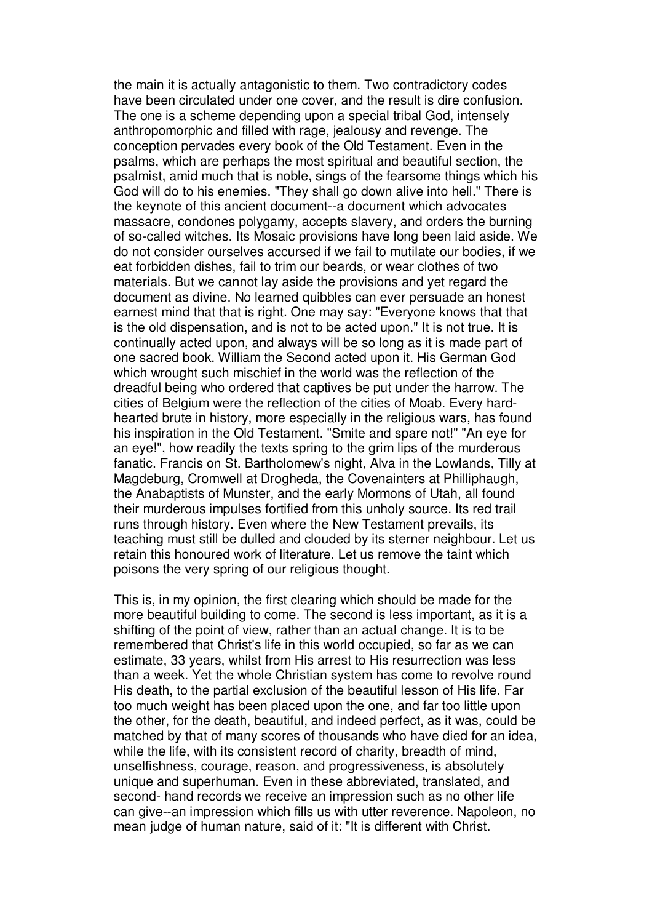the main it is actually antagonistic to them. Two contradictory codes have been circulated under one cover, and the result is dire confusion. The one is a scheme depending upon a special tribal God, intensely anthropomorphic and filled with rage, jealousy and revenge. The conception pervades every book of the Old Testament. Even in the psalms, which are perhaps the most spiritual and beautiful section, the psalmist, amid much that is noble, sings of the fearsome things which his God will do to his enemies. "They shall go down alive into hell." There is the keynote of this ancient document--a document which advocates massacre, condones polygamy, accepts slavery, and orders the burning of so-called witches. Its Mosaic provisions have long been laid aside. We do not consider ourselves accursed if we fail to mutilate our bodies, if we eat forbidden dishes, fail to trim our beards, or wear clothes of two materials. But we cannot lay aside the provisions and yet regard the document as divine. No learned quibbles can ever persuade an honest earnest mind that that is right. One may say: "Everyone knows that that is the old dispensation, and is not to be acted upon." It is not true. It is continually acted upon, and always will be so long as it is made part of one sacred book. William the Second acted upon it. His German God which wrought such mischief in the world was the reflection of the dreadful being who ordered that captives be put under the harrow. The cities of Belgium were the reflection of the cities of Moab. Every hardhearted brute in history, more especially in the religious wars, has found his inspiration in the Old Testament. "Smite and spare not!" "An eye for an eye!", how readily the texts spring to the grim lips of the murderous fanatic. Francis on St. Bartholomew's night, Alva in the Lowlands, Tilly at Magdeburg, Cromwell at Drogheda, the Covenainters at Philliphaugh, the Anabaptists of Munster, and the early Mormons of Utah, all found their murderous impulses fortified from this unholy source. Its red trail runs through history. Even where the New Testament prevails, its teaching must still be dulled and clouded by its sterner neighbour. Let us retain this honoured work of literature. Let us remove the taint which poisons the very spring of our religious thought.

This is, in my opinion, the first clearing which should be made for the more beautiful building to come. The second is less important, as it is a shifting of the point of view, rather than an actual change. It is to be remembered that Christ's life in this world occupied, so far as we can estimate, 33 years, whilst from His arrest to His resurrection was less than a week. Yet the whole Christian system has come to revolve round His death, to the partial exclusion of the beautiful lesson of His life. Far too much weight has been placed upon the one, and far too little upon the other, for the death, beautiful, and indeed perfect, as it was, could be matched by that of many scores of thousands who have died for an idea, while the life, with its consistent record of charity, breadth of mind, unselfishness, courage, reason, and progressiveness, is absolutely unique and superhuman. Even in these abbreviated, translated, and second- hand records we receive an impression such as no other life can give--an impression which fills us with utter reverence. Napoleon, no mean judge of human nature, said of it: "It is different with Christ.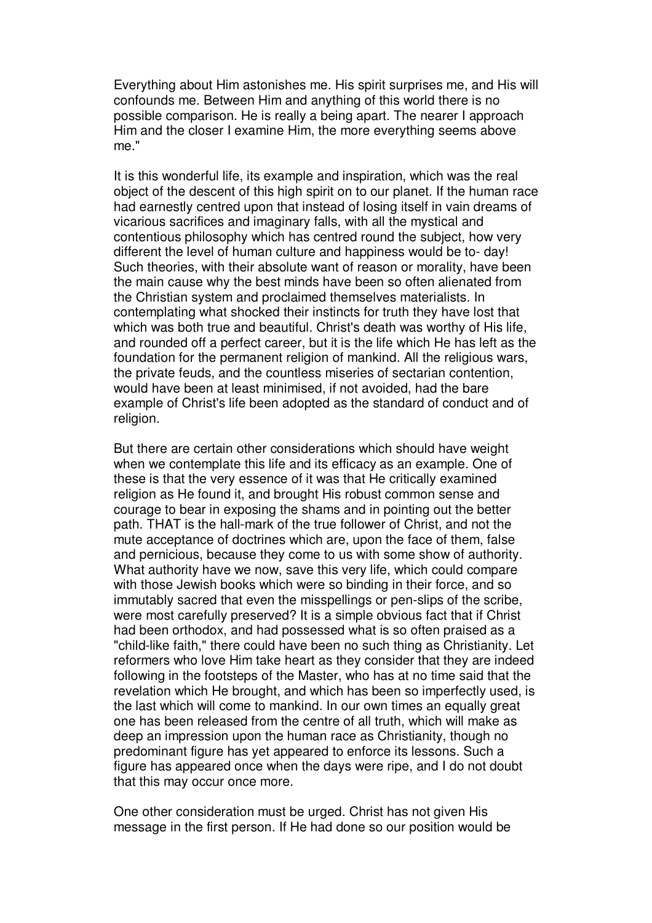Everything about Him astonishes me. His spirit surprises me, and His will confounds me. Between Him and anything of this world there is no possible comparison. He is really a being apart. The nearer I approach Him and the closer I examine Him, the more everything seems above me."

It is this wonderful life, its example and inspiration, which was the real object of the descent of this high spirit on to our planet. If the human race had earnestly centred upon that instead of losing itself in vain dreams of vicarious sacrifices and imaginary falls, with all the mystical and contentious philosophy which has centred round the subject, how very different the level of human culture and happiness would be to- day! Such theories, with their absolute want of reason or morality, have been the main cause why the best minds have been so often alienated from the Christian system and proclaimed themselves materialists. In contemplating what shocked their instincts for truth they have lost that which was both true and beautiful. Christ's death was worthy of His life, and rounded off a perfect career, but it is the life which He has left as the foundation for the permanent religion of mankind. All the religious wars, the private feuds, and the countless miseries of sectarian contention, would have been at least minimised, if not avoided, had the bare example of Christ's life been adopted as the standard of conduct and of religion.

But there are certain other considerations which should have weight when we contemplate this life and its efficacy as an example. One of these is that the very essence of it was that He critically examined religion as He found it, and brought His robust common sense and courage to bear in exposing the shams and in pointing out the better path. THAT is the hall-mark of the true follower of Christ, and not the mute acceptance of doctrines which are, upon the face of them, false and pernicious, because they come to us with some show of authority. What authority have we now, save this very life, which could compare with those Jewish books which were so binding in their force, and so immutably sacred that even the misspellings or pen-slips of the scribe, were most carefully preserved? It is a simple obvious fact that if Christ had been orthodox, and had possessed what is so often praised as a "child-like faith," there could have been no such thing as Christianity. Let reformers who love Him take heart as they consider that they are indeed following in the footsteps of the Master, who has at no time said that the revelation which He brought, and which has been so imperfectly used, is the last which will come to mankind. In our own times an equally great one has been released from the centre of all truth, which will make as deep an impression upon the human race as Christianity, though no predominant figure has yet appeared to enforce its lessons. Such a figure has appeared once when the days were ripe, and I do not doubt that this may occur once more.

One other consideration must be urged. Christ has not given His message in the first person. If He had done so our position would be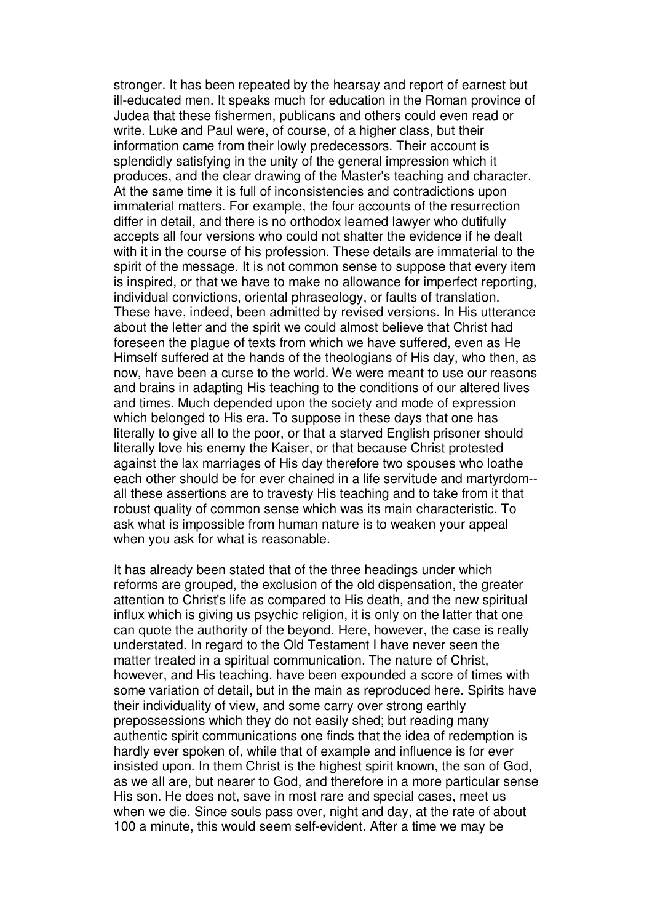stronger. It has been repeated by the hearsay and report of earnest but ill-educated men. It speaks much for education in the Roman province of Judea that these fishermen, publicans and others could even read or write. Luke and Paul were, of course, of a higher class, but their information came from their lowly predecessors. Their account is splendidly satisfying in the unity of the general impression which it produces, and the clear drawing of the Master's teaching and character. At the same time it is full of inconsistencies and contradictions upon immaterial matters. For example, the four accounts of the resurrection differ in detail, and there is no orthodox learned lawyer who dutifully accepts all four versions who could not shatter the evidence if he dealt with it in the course of his profession. These details are immaterial to the spirit of the message. It is not common sense to suppose that every item is inspired, or that we have to make no allowance for imperfect reporting, individual convictions, oriental phraseology, or faults of translation. These have, indeed, been admitted by revised versions. In His utterance about the letter and the spirit we could almost believe that Christ had foreseen the plague of texts from which we have suffered, even as He Himself suffered at the hands of the theologians of His day, who then, as now, have been a curse to the world. We were meant to use our reasons and brains in adapting His teaching to the conditions of our altered lives and times. Much depended upon the society and mode of expression which belonged to His era. To suppose in these days that one has literally to give all to the poor, or that a starved English prisoner should literally love his enemy the Kaiser, or that because Christ protested against the lax marriages of His day therefore two spouses who loathe each other should be for ever chained in a life servitude and martyrdom- all these assertions are to travesty His teaching and to take from it that robust quality of common sense which was its main characteristic. To ask what is impossible from human nature is to weaken your appeal when you ask for what is reasonable.

It has already been stated that of the three headings under which reforms are grouped, the exclusion of the old dispensation, the greater attention to Christ's life as compared to His death, and the new spiritual influx which is giving us psychic religion, it is only on the latter that one can quote the authority of the beyond. Here, however, the case is really understated. In regard to the Old Testament I have never seen the matter treated in a spiritual communication. The nature of Christ, however, and His teaching, have been expounded a score of times with some variation of detail, but in the main as reproduced here. Spirits have their individuality of view, and some carry over strong earthly prepossessions which they do not easily shed; but reading many authentic spirit communications one finds that the idea of redemption is hardly ever spoken of, while that of example and influence is for ever insisted upon. In them Christ is the highest spirit known, the son of God, as we all are, but nearer to God, and therefore in a more particular sense His son. He does not, save in most rare and special cases, meet us when we die. Since souls pass over, night and day, at the rate of about 100 a minute, this would seem self-evident. After a time we may be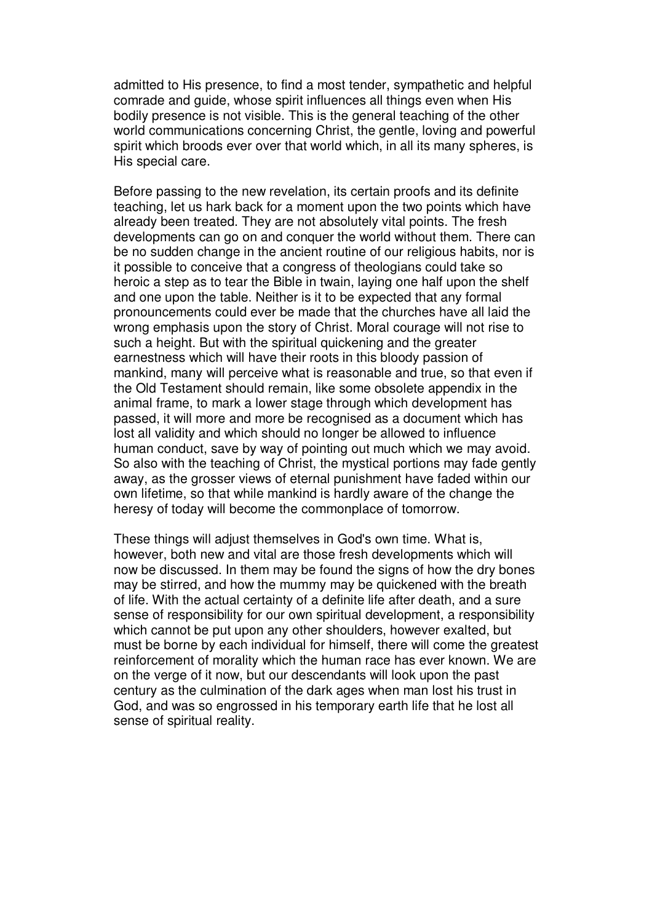admitted to His presence, to find a most tender, sympathetic and helpful comrade and guide, whose spirit influences all things even when His bodily presence is not visible. This is the general teaching of the other world communications concerning Christ, the gentle, loving and powerful spirit which broods ever over that world which, in all its many spheres, is His special care.

Before passing to the new revelation, its certain proofs and its definite teaching, let us hark back for a moment upon the two points which have already been treated. They are not absolutely vital points. The fresh developments can go on and conquer the world without them. There can be no sudden change in the ancient routine of our religious habits, nor is it possible to conceive that a congress of theologians could take so heroic a step as to tear the Bible in twain, laying one half upon the shelf and one upon the table. Neither is it to be expected that any formal pronouncements could ever be made that the churches have all laid the wrong emphasis upon the story of Christ. Moral courage will not rise to such a height. But with the spiritual quickening and the greater earnestness which will have their roots in this bloody passion of mankind, many will perceive what is reasonable and true, so that even if the Old Testament should remain, like some obsolete appendix in the animal frame, to mark a lower stage through which development has passed, it will more and more be recognised as a document which has lost all validity and which should no longer be allowed to influence human conduct, save by way of pointing out much which we may avoid. So also with the teaching of Christ, the mystical portions may fade gently away, as the grosser views of eternal punishment have faded within our own lifetime, so that while mankind is hardly aware of the change the heresy of today will become the commonplace of tomorrow.

These things will adjust themselves in God's own time. What is, however, both new and vital are those fresh developments which will now be discussed. In them may be found the signs of how the dry bones may be stirred, and how the mummy may be quickened with the breath of life. With the actual certainty of a definite life after death, and a sure sense of responsibility for our own spiritual development, a responsibility which cannot be put upon any other shoulders, however exalted, but must be borne by each individual for himself, there will come the greatest reinforcement of morality which the human race has ever known. We are on the verge of it now, but our descendants will look upon the past century as the culmination of the dark ages when man lost his trust in God, and was so engrossed in his temporary earth life that he lost all sense of spiritual reality.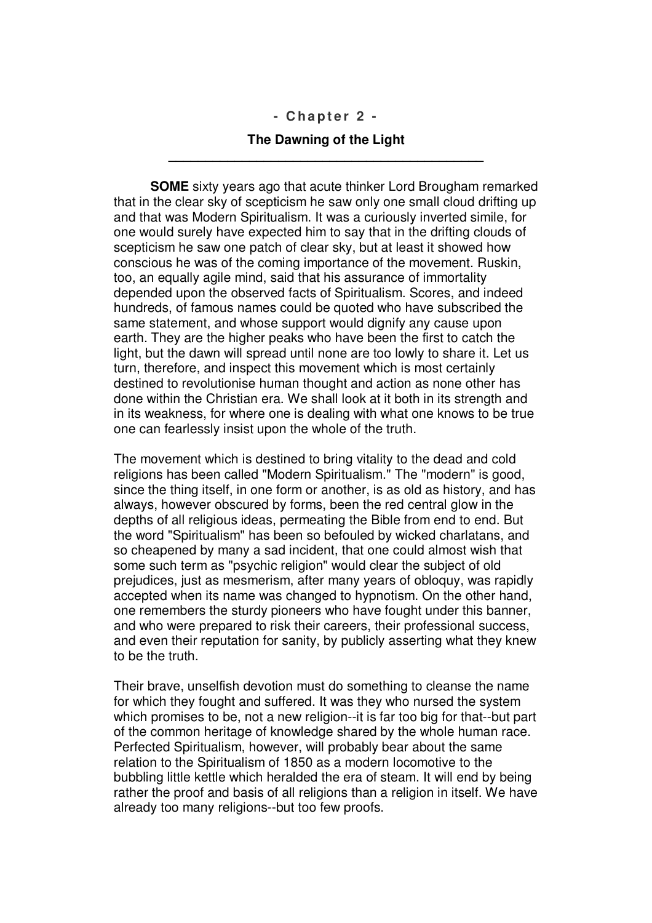#### **- C ha p t e r 2 -**

# **The Dawning of the Light \_\_\_\_\_\_\_\_\_\_\_\_\_\_\_\_\_\_\_\_\_\_\_\_\_\_\_\_\_\_\_\_\_\_\_\_\_\_\_\_\_\_\_**

**SOME** sixty years ago that acute thinker Lord Brougham remarked that in the clear sky of scepticism he saw only one small cloud drifting up and that was Modern Spiritualism. It was a curiously inverted simile, for one would surely have expected him to say that in the drifting clouds of scepticism he saw one patch of clear sky, but at least it showed how conscious he was of the coming importance of the movement. Ruskin, too, an equally agile mind, said that his assurance of immortality depended upon the observed facts of Spiritualism. Scores, and indeed hundreds, of famous names could be quoted who have subscribed the same statement, and whose support would dignify any cause upon earth. They are the higher peaks who have been the first to catch the light, but the dawn will spread until none are too lowly to share it. Let us turn, therefore, and inspect this movement which is most certainly destined to revolutionise human thought and action as none other has done within the Christian era. We shall look at it both in its strength and in its weakness, for where one is dealing with what one knows to be true one can fearlessly insist upon the whole of the truth.

The movement which is destined to bring vitality to the dead and cold religions has been called "Modern Spiritualism." The "modern" is good, since the thing itself, in one form or another, is as old as history, and has always, however obscured by forms, been the red central glow in the depths of all religious ideas, permeating the Bible from end to end. But the word "Spiritualism" has been so befouled by wicked charlatans, and so cheapened by many a sad incident, that one could almost wish that some such term as "psychic religion" would clear the subject of old prejudices, just as mesmerism, after many years of obloquy, was rapidly accepted when its name was changed to hypnotism. On the other hand, one remembers the sturdy pioneers who have fought under this banner, and who were prepared to risk their careers, their professional success, and even their reputation for sanity, by publicly asserting what they knew to be the truth.

Their brave, unselfish devotion must do something to cleanse the name for which they fought and suffered. It was they who nursed the system which promises to be, not a new religion--it is far too big for that--but part of the common heritage of knowledge shared by the whole human race. Perfected Spiritualism, however, will probably bear about the same relation to the Spiritualism of 1850 as a modern locomotive to the bubbling little kettle which heralded the era of steam. It will end by being rather the proof and basis of all religions than a religion in itself. We have already too many religions--but too few proofs.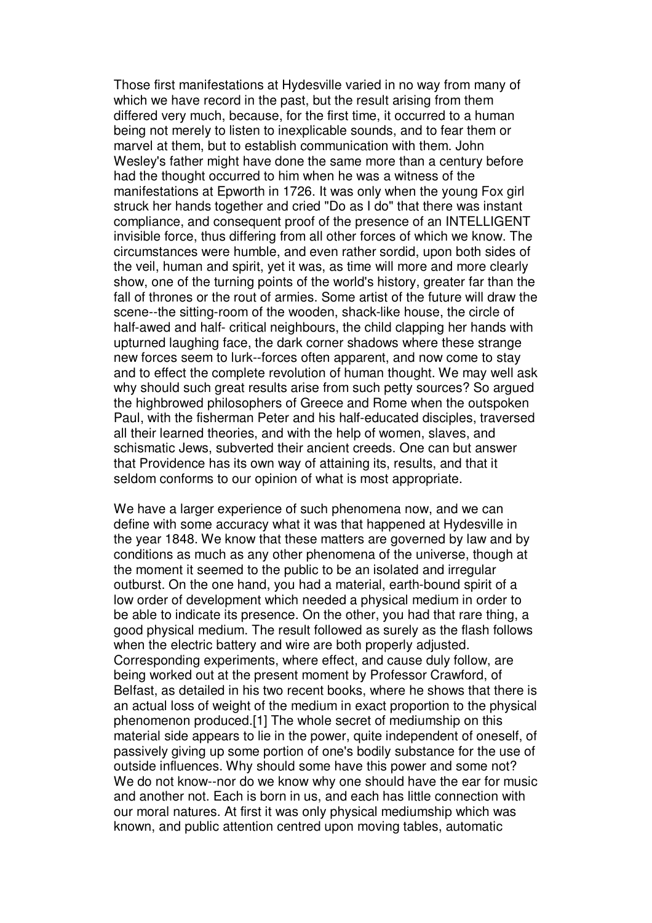Those first manifestations at Hydesville varied in no way from many of which we have record in the past, but the result arising from them differed very much, because, for the first time, it occurred to a human being not merely to listen to inexplicable sounds, and to fear them or marvel at them, but to establish communication with them. John Wesley's father might have done the same more than a century before had the thought occurred to him when he was a witness of the manifestations at Epworth in 1726. It was only when the young Fox girl struck her hands together and cried "Do as I do" that there was instant compliance, and consequent proof of the presence of an INTELLIGENT invisible force, thus differing from all other forces of which we know. The circumstances were humble, and even rather sordid, upon both sides of the veil, human and spirit, yet it was, as time will more and more clearly show, one of the turning points of the world's history, greater far than the fall of thrones or the rout of armies. Some artist of the future will draw the scene--the sitting-room of the wooden, shack-like house, the circle of half-awed and half- critical neighbours, the child clapping her hands with upturned laughing face, the dark corner shadows where these strange new forces seem to lurk--forces often apparent, and now come to stay and to effect the complete revolution of human thought. We may well ask why should such great results arise from such petty sources? So argued the highbrowed philosophers of Greece and Rome when the outspoken Paul, with the fisherman Peter and his half-educated disciples, traversed all their learned theories, and with the help of women, slaves, and schismatic Jews, subverted their ancient creeds. One can but answer that Providence has its own way of attaining its, results, and that it seldom conforms to our opinion of what is most appropriate.

We have a larger experience of such phenomena now, and we can define with some accuracy what it was that happened at Hydesville in the year 1848. We know that these matters are governed by law and by conditions as much as any other phenomena of the universe, though at the moment it seemed to the public to be an isolated and irregular outburst. On the one hand, you had a material, earth-bound spirit of a low order of development which needed a physical medium in order to be able to indicate its presence. On the other, you had that rare thing, a good physical medium. The result followed as surely as the flash follows when the electric battery and wire are both properly adjusted. Corresponding experiments, where effect, and cause duly follow, are being worked out at the present moment by Professor Crawford, of Belfast, as detailed in his two recent books, where he shows that there is an actual loss of weight of the medium in exact proportion to the physical phenomenon produced.[1] The whole secret of mediumship on this material side appears to lie in the power, quite independent of oneself, of passively giving up some portion of one's bodily substance for the use of outside influences. Why should some have this power and some not? We do not know--nor do we know why one should have the ear for music and another not. Each is born in us, and each has little connection with our moral natures. At first it was only physical mediumship which was known, and public attention centred upon moving tables, automatic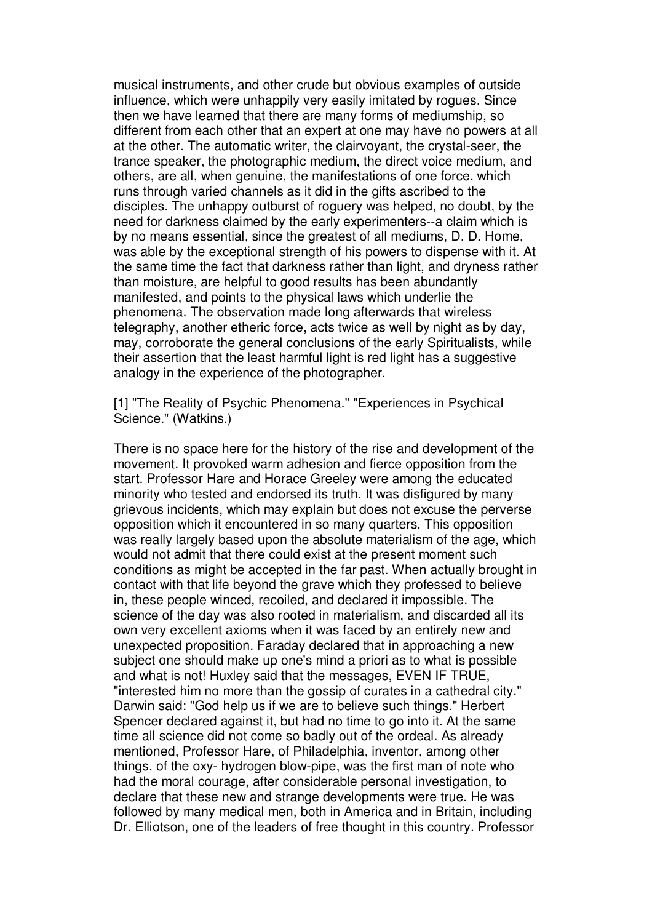musical instruments, and other crude but obvious examples of outside influence, which were unhappily very easily imitated by rogues. Since then we have learned that there are many forms of mediumship, so different from each other that an expert at one may have no powers at all at the other. The automatic writer, the clairvoyant, the crystal-seer, the trance speaker, the photographic medium, the direct voice medium, and others, are all, when genuine, the manifestations of one force, which runs through varied channels as it did in the gifts ascribed to the disciples. The unhappy outburst of roguery was helped, no doubt, by the need for darkness claimed by the early experimenters--a claim which is by no means essential, since the greatest of all mediums, D. D. Home, was able by the exceptional strength of his powers to dispense with it. At the same time the fact that darkness rather than light, and dryness rather than moisture, are helpful to good results has been abundantly manifested, and points to the physical laws which underlie the phenomena. The observation made long afterwards that wireless telegraphy, another etheric force, acts twice as well by night as by day, may, corroborate the general conclusions of the early Spiritualists, while their assertion that the least harmful light is red light has a suggestive analogy in the experience of the photographer.

[1] "The Reality of Psychic Phenomena." "Experiences in Psychical Science." (Watkins.)

There is no space here for the history of the rise and development of the movement. It provoked warm adhesion and fierce opposition from the start. Professor Hare and Horace Greeley were among the educated minority who tested and endorsed its truth. It was disfigured by many grievous incidents, which may explain but does not excuse the perverse opposition which it encountered in so many quarters. This opposition was really largely based upon the absolute materialism of the age, which would not admit that there could exist at the present moment such conditions as might be accepted in the far past. When actually brought in contact with that life beyond the grave which they professed to believe in, these people winced, recoiled, and declared it impossible. The science of the day was also rooted in materialism, and discarded all its own very excellent axioms when it was faced by an entirely new and unexpected proposition. Faraday declared that in approaching a new subject one should make up one's mind a priori as to what is possible and what is not! Huxley said that the messages, EVEN IF TRUE, "interested him no more than the gossip of curates in a cathedral city." Darwin said: "God help us if we are to believe such things." Herbert Spencer declared against it, but had no time to go into it. At the same time all science did not come so badly out of the ordeal. As already mentioned, Professor Hare, of Philadelphia, inventor, among other things, of the oxy- hydrogen blow-pipe, was the first man of note who had the moral courage, after considerable personal investigation, to declare that these new and strange developments were true. He was followed by many medical men, both in America and in Britain, including Dr. Elliotson, one of the leaders of free thought in this country. Professor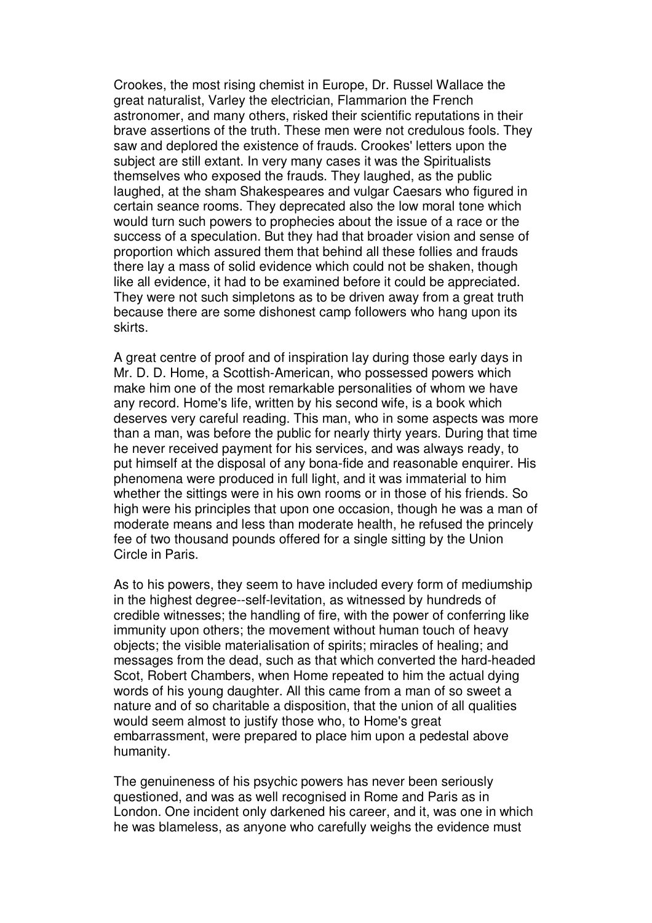Crookes, the most rising chemist in Europe, Dr. Russel Wallace the great naturalist, Varley the electrician, Flammarion the French astronomer, and many others, risked their scientific reputations in their brave assertions of the truth. These men were not credulous fools. They saw and deplored the existence of frauds. Crookes' letters upon the subject are still extant. In very many cases it was the Spiritualists themselves who exposed the frauds. They laughed, as the public laughed, at the sham Shakespeares and vulgar Caesars who figured in certain seance rooms. They deprecated also the low moral tone which would turn such powers to prophecies about the issue of a race or the success of a speculation. But they had that broader vision and sense of proportion which assured them that behind all these follies and frauds there lay a mass of solid evidence which could not be shaken, though like all evidence, it had to be examined before it could be appreciated. They were not such simpletons as to be driven away from a great truth because there are some dishonest camp followers who hang upon its skirts.

A great centre of proof and of inspiration lay during those early days in Mr. D. D. Home, a Scottish-American, who possessed powers which make him one of the most remarkable personalities of whom we have any record. Home's life, written by his second wife, is a book which deserves very careful reading. This man, who in some aspects was more than a man, was before the public for nearly thirty years. During that time he never received payment for his services, and was always ready, to put himself at the disposal of any bona-fide and reasonable enquirer. His phenomena were produced in full light, and it was immaterial to him whether the sittings were in his own rooms or in those of his friends. So high were his principles that upon one occasion, though he was a man of moderate means and less than moderate health, he refused the princely fee of two thousand pounds offered for a single sitting by the Union Circle in Paris.

As to his powers, they seem to have included every form of mediumship in the highest degree--self-levitation, as witnessed by hundreds of credible witnesses; the handling of fire, with the power of conferring like immunity upon others; the movement without human touch of heavy objects; the visible materialisation of spirits; miracles of healing; and messages from the dead, such as that which converted the hard-headed Scot, Robert Chambers, when Home repeated to him the actual dying words of his young daughter. All this came from a man of so sweet a nature and of so charitable a disposition, that the union of all qualities would seem almost to justify those who, to Home's great embarrassment, were prepared to place him upon a pedestal above humanity.

The genuineness of his psychic powers has never been seriously questioned, and was as well recognised in Rome and Paris as in London. One incident only darkened his career, and it, was one in which he was blameless, as anyone who carefully weighs the evidence must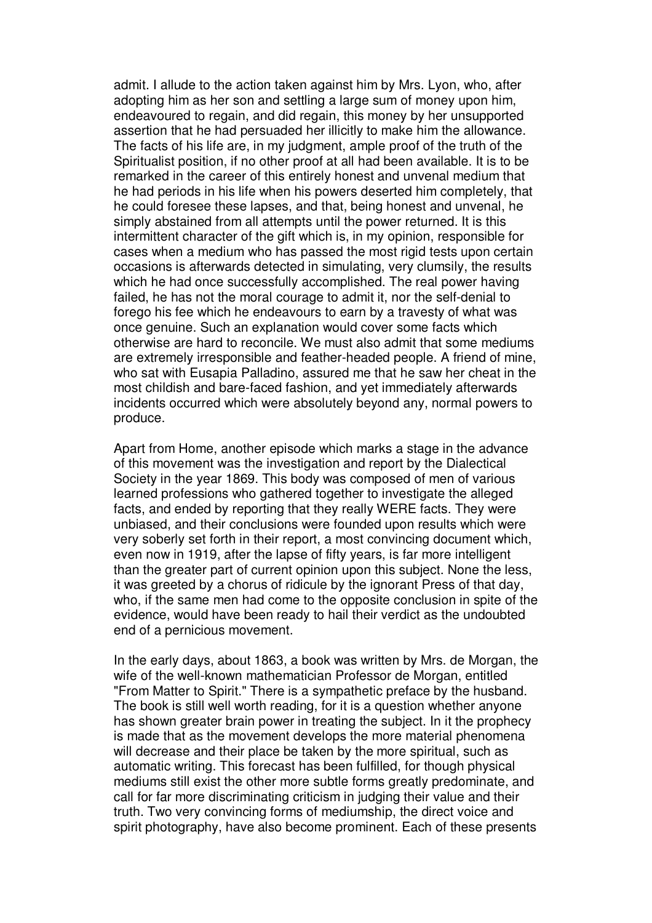admit. I allude to the action taken against him by Mrs. Lyon, who, after adopting him as her son and settling a large sum of money upon him, endeavoured to regain, and did regain, this money by her unsupported assertion that he had persuaded her illicitly to make him the allowance. The facts of his life are, in my judgment, ample proof of the truth of the Spiritualist position, if no other proof at all had been available. It is to be remarked in the career of this entirely honest and unvenal medium that he had periods in his life when his powers deserted him completely, that he could foresee these lapses, and that, being honest and unvenal, he simply abstained from all attempts until the power returned. It is this intermittent character of the gift which is, in my opinion, responsible for cases when a medium who has passed the most rigid tests upon certain occasions is afterwards detected in simulating, very clumsily, the results which he had once successfully accomplished. The real power having failed, he has not the moral courage to admit it, nor the self-denial to forego his fee which he endeavours to earn by a travesty of what was once genuine. Such an explanation would cover some facts which otherwise are hard to reconcile. We must also admit that some mediums are extremely irresponsible and feather-headed people. A friend of mine, who sat with Eusapia Palladino, assured me that he saw her cheat in the most childish and bare-faced fashion, and yet immediately afterwards incidents occurred which were absolutely beyond any, normal powers to produce.

Apart from Home, another episode which marks a stage in the advance of this movement was the investigation and report by the Dialectical Society in the year 1869. This body was composed of men of various learned professions who gathered together to investigate the alleged facts, and ended by reporting that they really WERE facts. They were unbiased, and their conclusions were founded upon results which were very soberly set forth in their report, a most convincing document which, even now in 1919, after the lapse of fifty years, is far more intelligent than the greater part of current opinion upon this subject. None the less, it was greeted by a chorus of ridicule by the ignorant Press of that day, who, if the same men had come to the opposite conclusion in spite of the evidence, would have been ready to hail their verdict as the undoubted end of a pernicious movement.

In the early days, about 1863, a book was written by Mrs. de Morgan, the wife of the well-known mathematician Professor de Morgan, entitled "From Matter to Spirit." There is a sympathetic preface by the husband. The book is still well worth reading, for it is a question whether anyone has shown greater brain power in treating the subject. In it the prophecy is made that as the movement develops the more material phenomena will decrease and their place be taken by the more spiritual, such as automatic writing. This forecast has been fulfilled, for though physical mediums still exist the other more subtle forms greatly predominate, and call for far more discriminating criticism in judging their value and their truth. Two very convincing forms of mediumship, the direct voice and spirit photography, have also become prominent. Each of these presents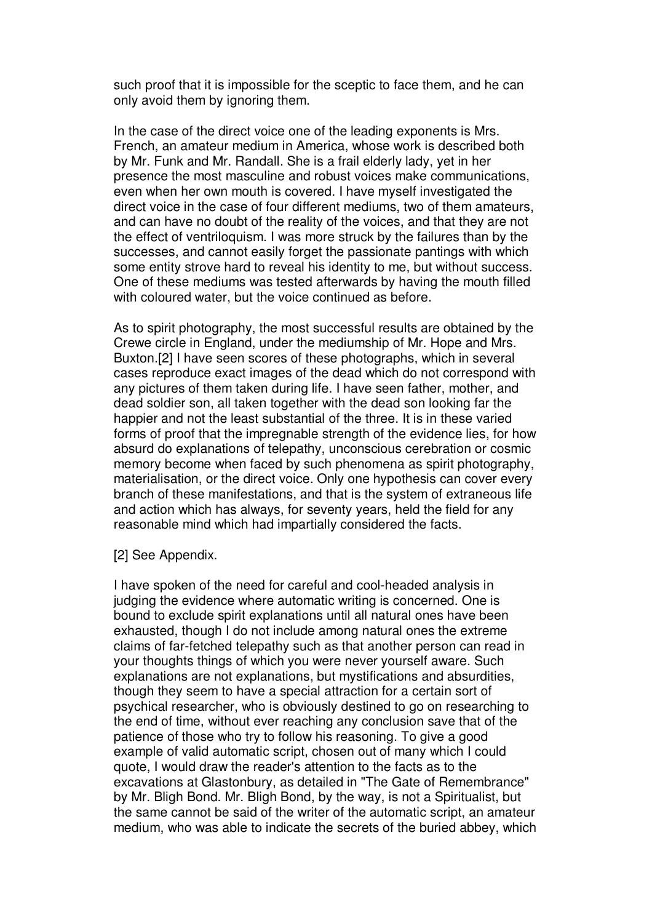such proof that it is impossible for the sceptic to face them, and he can only avoid them by ignoring them.

In the case of the direct voice one of the leading exponents is Mrs. French, an amateur medium in America, whose work is described both by Mr. Funk and Mr. Randall. She is a frail elderly lady, yet in her presence the most masculine and robust voices make communications, even when her own mouth is covered. I have myself investigated the direct voice in the case of four different mediums, two of them amateurs, and can have no doubt of the reality of the voices, and that they are not the effect of ventriloquism. I was more struck by the failures than by the successes, and cannot easily forget the passionate pantings with which some entity strove hard to reveal his identity to me, but without success. One of these mediums was tested afterwards by having the mouth filled with coloured water, but the voice continued as before.

As to spirit photography, the most successful results are obtained by the Crewe circle in England, under the mediumship of Mr. Hope and Mrs. Buxton.[2] I have seen scores of these photographs, which in several cases reproduce exact images of the dead which do not correspond with any pictures of them taken during life. I have seen father, mother, and dead soldier son, all taken together with the dead son looking far the happier and not the least substantial of the three. It is in these varied forms of proof that the impregnable strength of the evidence lies, for how absurd do explanations of telepathy, unconscious cerebration or cosmic memory become when faced by such phenomena as spirit photography, materialisation, or the direct voice. Only one hypothesis can cover every branch of these manifestations, and that is the system of extraneous life and action which has always, for seventy years, held the field for any reasonable mind which had impartially considered the facts.

#### [2] See Appendix.

I have spoken of the need for careful and cool-headed analysis in judging the evidence where automatic writing is concerned. One is bound to exclude spirit explanations until all natural ones have been exhausted, though I do not include among natural ones the extreme claims of far-fetched telepathy such as that another person can read in your thoughts things of which you were never yourself aware. Such explanations are not explanations, but mystifications and absurdities, though they seem to have a special attraction for a certain sort of psychical researcher, who is obviously destined to go on researching to the end of time, without ever reaching any conclusion save that of the patience of those who try to follow his reasoning. To give a good example of valid automatic script, chosen out of many which I could quote, I would draw the reader's attention to the facts as to the excavations at Glastonbury, as detailed in "The Gate of Remembrance" by Mr. Bligh Bond. Mr. Bligh Bond, by the way, is not a Spiritualist, but the same cannot be said of the writer of the automatic script, an amateur medium, who was able to indicate the secrets of the buried abbey, which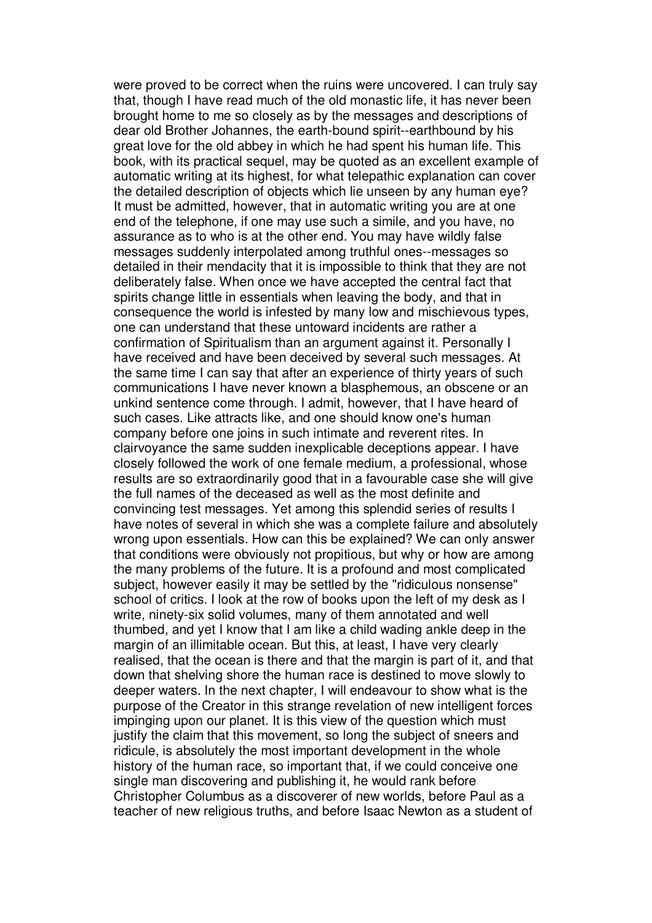were proved to be correct when the ruins were uncovered. I can truly say that, though I have read much of the old monastic life, it has never been brought home to me so closely as by the messages and descriptions of dear old Brother Johannes, the earth-bound spirit--earthbound by his great love for the old abbey in which he had spent his human life. This book, with its practical sequel, may be quoted as an excellent example of automatic writing at its highest, for what telepathic explanation can cover the detailed description of objects which lie unseen by any human eye? It must be admitted, however, that in automatic writing you are at one end of the telephone, if one may use such a simile, and you have, no assurance as to who is at the other end. You may have wildly false messages suddenly interpolated among truthful ones--messages so detailed in their mendacity that it is impossible to think that they are not deliberately false. When once we have accepted the central fact that spirits change little in essentials when leaving the body, and that in consequence the world is infested by many low and mischievous types, one can understand that these untoward incidents are rather a confirmation of Spiritualism than an argument against it. Personally I have received and have been deceived by several such messages. At the same time I can say that after an experience of thirty years of such communications I have never known a blasphemous, an obscene or an unkind sentence come through. I admit, however, that I have heard of such cases. Like attracts like, and one should know one's human company before one joins in such intimate and reverent rites. In clairvoyance the same sudden inexplicable deceptions appear. I have closely followed the work of one female medium, a professional, whose results are so extraordinarily good that in a favourable case she will give the full names of the deceased as well as the most definite and convincing test messages. Yet among this splendid series of results I have notes of several in which she was a complete failure and absolutely wrong upon essentials. How can this be explained? We can only answer that conditions were obviously not propitious, but why or how are among the many problems of the future. It is a profound and most complicated subject, however easily it may be settled by the "ridiculous nonsense" school of critics. I look at the row of books upon the left of my desk as I write, ninety-six solid volumes, many of them annotated and well thumbed, and yet I know that I am like a child wading ankle deep in the margin of an illimitable ocean. But this, at least, I have very clearly realised, that the ocean is there and that the margin is part of it, and that down that shelving shore the human race is destined to move slowly to deeper waters. In the next chapter, I will endeavour to show what is the purpose of the Creator in this strange revelation of new intelligent forces impinging upon our planet. It is this view of the question which must justify the claim that this movement, so long the subject of sneers and ridicule, is absolutely the most important development in the whole history of the human race, so important that, if we could conceive one single man discovering and publishing it, he would rank before Christopher Columbus as a discoverer of new worlds, before Paul as a teacher of new religious truths, and before Isaac Newton as a student of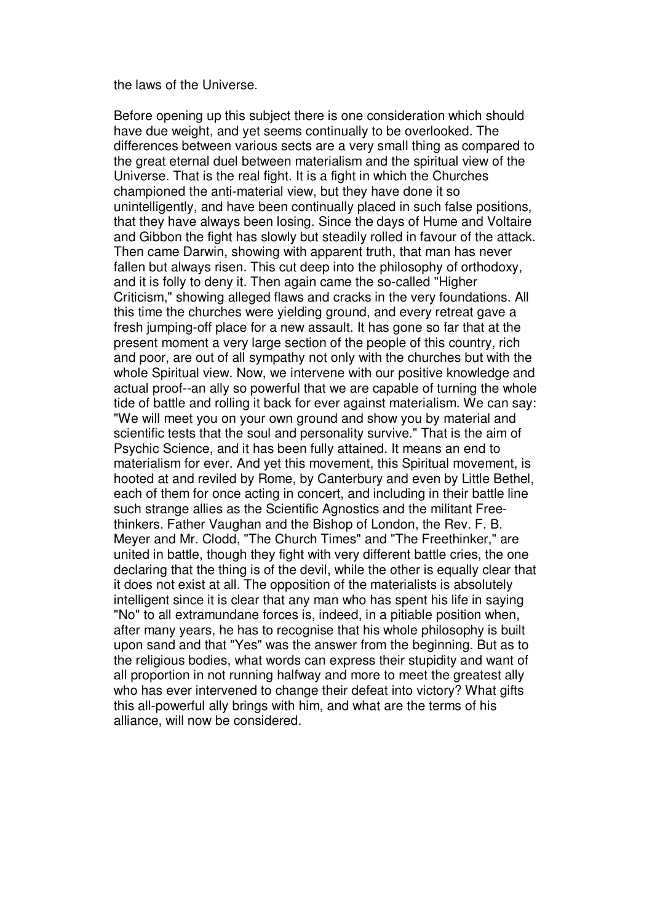the laws of the Universe.

Before opening up this subject there is one consideration which should have due weight, and yet seems continually to be overlooked. The differences between various sects are a very small thing as compared to the great eternal duel between materialism and the spiritual view of the Universe. That is the real fight. It is a fight in which the Churches championed the anti-material view, but they have done it so unintelligently, and have been continually placed in such false positions, that they have always been losing. Since the days of Hume and Voltaire and Gibbon the fight has slowly but steadily rolled in favour of the attack. Then came Darwin, showing with apparent truth, that man has never fallen but always risen. This cut deep into the philosophy of orthodoxy, and it is folly to deny it. Then again came the so-called "Higher Criticism," showing alleged flaws and cracks in the very foundations. All this time the churches were yielding ground, and every retreat gave a fresh jumping-off place for a new assault. It has gone so far that at the present moment a very large section of the people of this country, rich and poor, are out of all sympathy not only with the churches but with the whole Spiritual view. Now, we intervene with our positive knowledge and actual proof--an ally so powerful that we are capable of turning the whole tide of battle and rolling it back for ever against materialism. We can say: "We will meet you on your own ground and show you by material and scientific tests that the soul and personality survive." That is the aim of Psychic Science, and it has been fully attained. It means an end to materialism for ever. And yet this movement, this Spiritual movement, is hooted at and reviled by Rome, by Canterbury and even by Little Bethel, each of them for once acting in concert, and including in their battle line such strange allies as the Scientific Agnostics and the militant Freethinkers. Father Vaughan and the Bishop of London, the Rev. F. B. Meyer and Mr. Clodd, "The Church Times" and "The Freethinker," are united in battle, though they fight with very different battle cries, the one declaring that the thing is of the devil, while the other is equally clear that it does not exist at all. The opposition of the materialists is absolutely intelligent since it is clear that any man who has spent his life in saying "No" to all extramundane forces is, indeed, in a pitiable position when, after many years, he has to recognise that his whole philosophy is built upon sand and that "Yes" was the answer from the beginning. But as to the religious bodies, what words can express their stupidity and want of all proportion in not running halfway and more to meet the greatest ally who has ever intervened to change their defeat into victory? What gifts this all-powerful ally brings with him, and what are the terms of his alliance, will now be considered.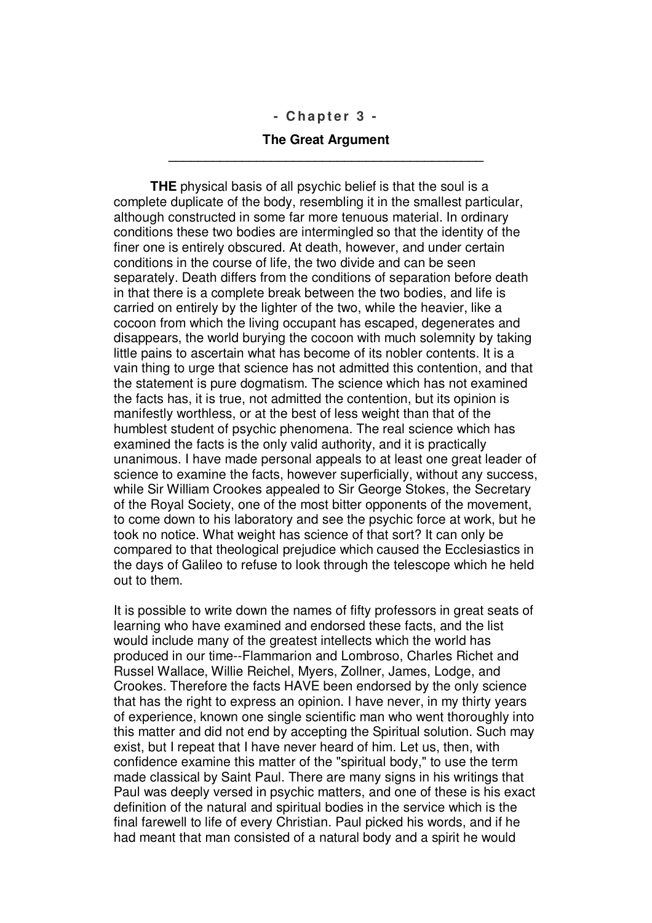#### **- C ha p t e r 3 -**

#### **The Great Argument \_\_\_\_\_\_\_\_\_\_\_\_\_\_\_\_\_\_\_\_\_\_\_\_\_\_\_\_\_\_\_\_\_\_\_\_\_\_\_\_\_\_\_**

**THE** physical basis of all psychic belief is that the soul is a complete duplicate of the body, resembling it in the smallest particular, although constructed in some far more tenuous material. In ordinary conditions these two bodies are intermingled so that the identity of the finer one is entirely obscured. At death, however, and under certain conditions in the course of life, the two divide and can be seen separately. Death differs from the conditions of separation before death in that there is a complete break between the two bodies, and life is carried on entirely by the lighter of the two, while the heavier, like a cocoon from which the living occupant has escaped, degenerates and disappears, the world burying the cocoon with much solemnity by taking little pains to ascertain what has become of its nobler contents. It is a vain thing to urge that science has not admitted this contention, and that the statement is pure dogmatism. The science which has not examined the facts has, it is true, not admitted the contention, but its opinion is manifestly worthless, or at the best of less weight than that of the humblest student of psychic phenomena. The real science which has examined the facts is the only valid authority, and it is practically unanimous. I have made personal appeals to at least one great leader of science to examine the facts, however superficially, without any success, while Sir William Crookes appealed to Sir George Stokes, the Secretary of the Royal Society, one of the most bitter opponents of the movement, to come down to his laboratory and see the psychic force at work, but he took no notice. What weight has science of that sort? It can only be compared to that theological prejudice which caused the Ecclesiastics in the days of Galileo to refuse to look through the telescope which he held out to them.

It is possible to write down the names of fifty professors in great seats of learning who have examined and endorsed these facts, and the list would include many of the greatest intellects which the world has produced in our time--Flammarion and Lombroso, Charles Richet and Russel Wallace, Willie Reichel, Myers, Zollner, James, Lodge, and Crookes. Therefore the facts HAVE been endorsed by the only science that has the right to express an opinion. I have never, in my thirty years of experience, known one single scientific man who went thoroughly into this matter and did not end by accepting the Spiritual solution. Such may exist, but I repeat that I have never heard of him. Let us, then, with confidence examine this matter of the "spiritual body," to use the term made classical by Saint Paul. There are many signs in his writings that Paul was deeply versed in psychic matters, and one of these is his exact definition of the natural and spiritual bodies in the service which is the final farewell to life of every Christian. Paul picked his words, and if he had meant that man consisted of a natural body and a spirit he would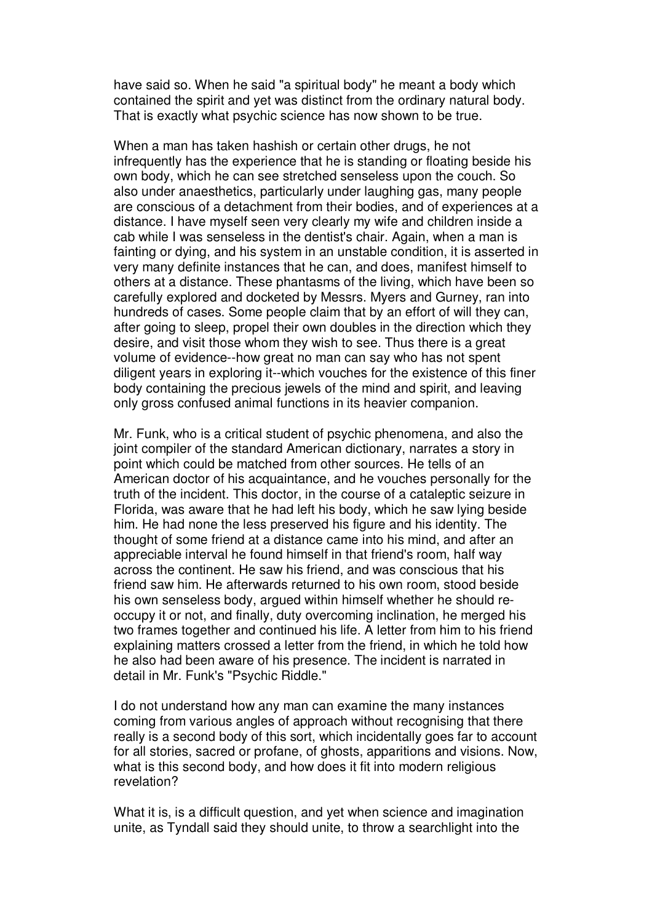have said so. When he said "a spiritual body" he meant a body which contained the spirit and yet was distinct from the ordinary natural body. That is exactly what psychic science has now shown to be true.

When a man has taken hashish or certain other drugs, he not infrequently has the experience that he is standing or floating beside his own body, which he can see stretched senseless upon the couch. So also under anaesthetics, particularly under laughing gas, many people are conscious of a detachment from their bodies, and of experiences at a distance. I have myself seen very clearly my wife and children inside a cab while I was senseless in the dentist's chair. Again, when a man is fainting or dying, and his system in an unstable condition, it is asserted in very many definite instances that he can, and does, manifest himself to others at a distance. These phantasms of the living, which have been so carefully explored and docketed by Messrs. Myers and Gurney, ran into hundreds of cases. Some people claim that by an effort of will they can, after going to sleep, propel their own doubles in the direction which they desire, and visit those whom they wish to see. Thus there is a great volume of evidence--how great no man can say who has not spent diligent years in exploring it--which vouches for the existence of this finer body containing the precious jewels of the mind and spirit, and leaving only gross confused animal functions in its heavier companion.

Mr. Funk, who is a critical student of psychic phenomena, and also the joint compiler of the standard American dictionary, narrates a story in point which could be matched from other sources. He tells of an American doctor of his acquaintance, and he vouches personally for the truth of the incident. This doctor, in the course of a cataleptic seizure in Florida, was aware that he had left his body, which he saw lying beside him. He had none the less preserved his figure and his identity. The thought of some friend at a distance came into his mind, and after an appreciable interval he found himself in that friend's room, half way across the continent. He saw his friend, and was conscious that his friend saw him. He afterwards returned to his own room, stood beside his own senseless body, argued within himself whether he should reoccupy it or not, and finally, duty overcoming inclination, he merged his two frames together and continued his life. A letter from him to his friend explaining matters crossed a letter from the friend, in which he told how he also had been aware of his presence. The incident is narrated in detail in Mr. Funk's "Psychic Riddle."

I do not understand how any man can examine the many instances coming from various angles of approach without recognising that there really is a second body of this sort, which incidentally goes far to account for all stories, sacred or profane, of ghosts, apparitions and visions. Now, what is this second body, and how does it fit into modern religious revelation?

What it is, is a difficult question, and yet when science and imagination unite, as Tyndall said they should unite, to throw a searchlight into the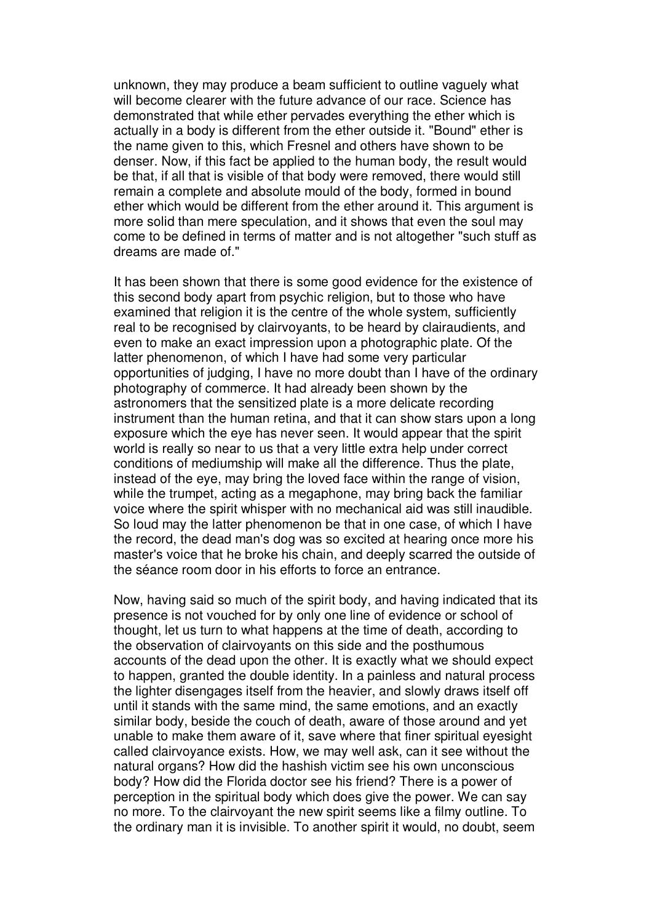unknown, they may produce a beam sufficient to outline vaguely what will become clearer with the future advance of our race. Science has demonstrated that while ether pervades everything the ether which is actually in a body is different from the ether outside it. "Bound" ether is the name given to this, which Fresnel and others have shown to be denser. Now, if this fact be applied to the human body, the result would be that, if all that is visible of that body were removed, there would still remain a complete and absolute mould of the body, formed in bound ether which would be different from the ether around it. This argument is more solid than mere speculation, and it shows that even the soul may come to be defined in terms of matter and is not altogether "such stuff as dreams are made of."

It has been shown that there is some good evidence for the existence of this second body apart from psychic religion, but to those who have examined that religion it is the centre of the whole system, sufficiently real to be recognised by clairvoyants, to be heard by clairaudients, and even to make an exact impression upon a photographic plate. Of the latter phenomenon, of which I have had some very particular opportunities of judging, I have no more doubt than I have of the ordinary photography of commerce. It had already been shown by the astronomers that the sensitized plate is a more delicate recording instrument than the human retina, and that it can show stars upon a long exposure which the eye has never seen. It would appear that the spirit world is really so near to us that a very little extra help under correct conditions of mediumship will make all the difference. Thus the plate, instead of the eye, may bring the loved face within the range of vision, while the trumpet, acting as a megaphone, may bring back the familiar voice where the spirit whisper with no mechanical aid was still inaudible. So loud may the latter phenomenon be that in one case, of which I have the record, the dead man's dog was so excited at hearing once more his master's voice that he broke his chain, and deeply scarred the outside of the séance room door in his efforts to force an entrance.

Now, having said so much of the spirit body, and having indicated that its presence is not vouched for by only one line of evidence or school of thought, let us turn to what happens at the time of death, according to the observation of clairvoyants on this side and the posthumous accounts of the dead upon the other. It is exactly what we should expect to happen, granted the double identity. In a painless and natural process the lighter disengages itself from the heavier, and slowly draws itself off until it stands with the same mind, the same emotions, and an exactly similar body, beside the couch of death, aware of those around and yet unable to make them aware of it, save where that finer spiritual eyesight called clairvoyance exists. How, we may well ask, can it see without the natural organs? How did the hashish victim see his own unconscious body? How did the Florida doctor see his friend? There is a power of perception in the spiritual body which does give the power. We can say no more. To the clairvoyant the new spirit seems like a filmy outline. To the ordinary man it is invisible. To another spirit it would, no doubt, seem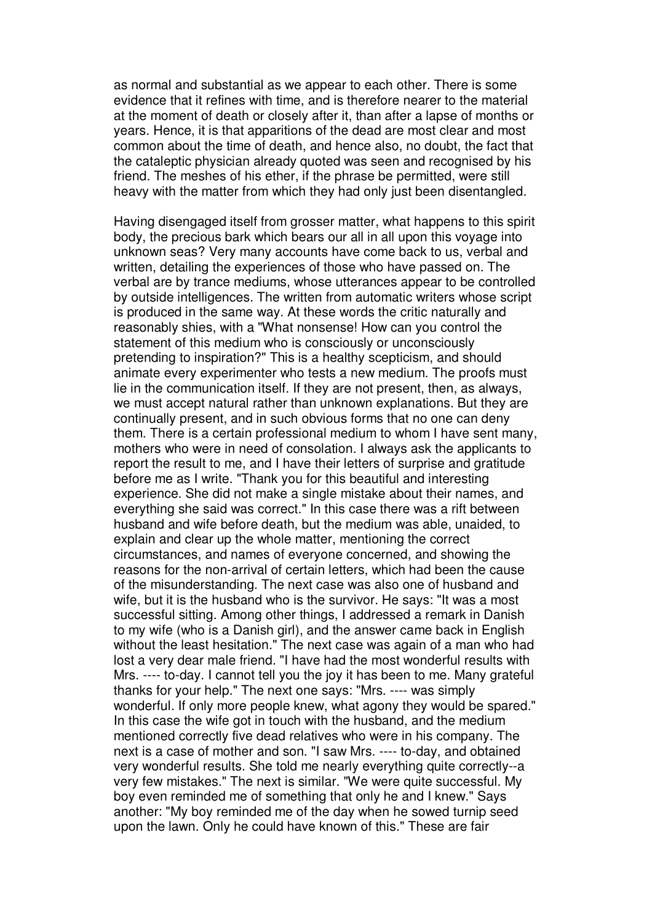as normal and substantial as we appear to each other. There is some evidence that it refines with time, and is therefore nearer to the material at the moment of death or closely after it, than after a lapse of months or years. Hence, it is that apparitions of the dead are most clear and most common about the time of death, and hence also, no doubt, the fact that the cataleptic physician already quoted was seen and recognised by his friend. The meshes of his ether, if the phrase be permitted, were still heavy with the matter from which they had only just been disentangled.

Having disengaged itself from grosser matter, what happens to this spirit body, the precious bark which bears our all in all upon this voyage into unknown seas? Very many accounts have come back to us, verbal and written, detailing the experiences of those who have passed on. The verbal are by trance mediums, whose utterances appear to be controlled by outside intelligences. The written from automatic writers whose script is produced in the same way. At these words the critic naturally and reasonably shies, with a "What nonsense! How can you control the statement of this medium who is consciously or unconsciously pretending to inspiration?" This is a healthy scepticism, and should animate every experimenter who tests a new medium. The proofs must lie in the communication itself. If they are not present, then, as always, we must accept natural rather than unknown explanations. But they are continually present, and in such obvious forms that no one can deny them. There is a certain professional medium to whom I have sent many, mothers who were in need of consolation. I always ask the applicants to report the result to me, and I have their letters of surprise and gratitude before me as I write. "Thank you for this beautiful and interesting experience. She did not make a single mistake about their names, and everything she said was correct." In this case there was a rift between husband and wife before death, but the medium was able, unaided, to explain and clear up the whole matter, mentioning the correct circumstances, and names of everyone concerned, and showing the reasons for the non-arrival of certain letters, which had been the cause of the misunderstanding. The next case was also one of husband and wife, but it is the husband who is the survivor. He says: "It was a most successful sitting. Among other things, I addressed a remark in Danish to my wife (who is a Danish girl), and the answer came back in English without the least hesitation." The next case was again of a man who had lost a very dear male friend. "I have had the most wonderful results with Mrs. ---- to-day. I cannot tell you the joy it has been to me. Many grateful thanks for your help." The next one says: "Mrs. ---- was simply wonderful. If only more people knew, what agony they would be spared." In this case the wife got in touch with the husband, and the medium mentioned correctly five dead relatives who were in his company. The next is a case of mother and son. "I saw Mrs. ---- to-day, and obtained very wonderful results. She told me nearly everything quite correctly--a very few mistakes." The next is similar. "We were quite successful. My boy even reminded me of something that only he and I knew." Says another: "My boy reminded me of the day when he sowed turnip seed upon the lawn. Only he could have known of this." These are fair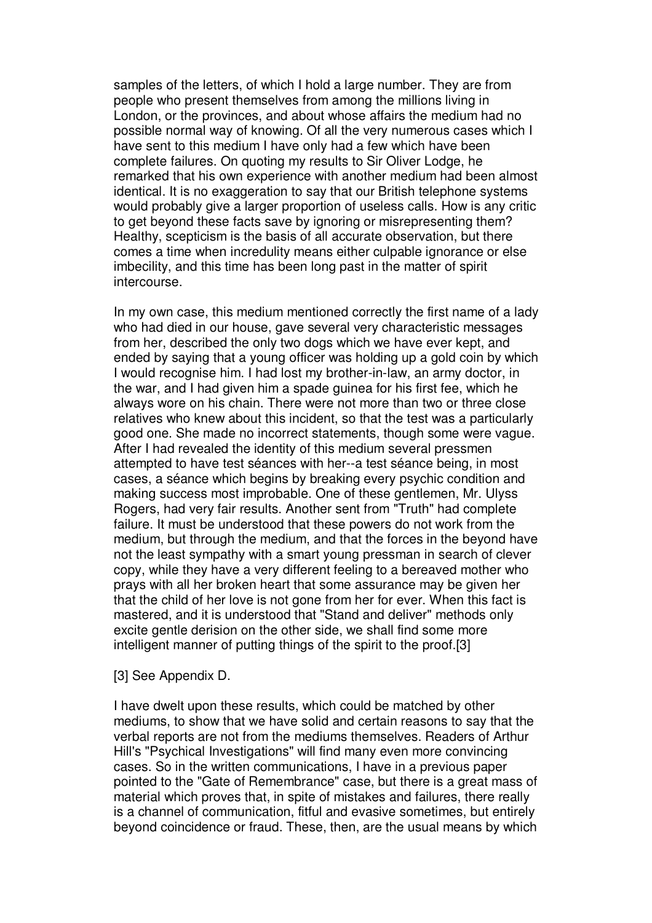samples of the letters, of which I hold a large number. They are from people who present themselves from among the millions living in London, or the provinces, and about whose affairs the medium had no possible normal way of knowing. Of all the very numerous cases which I have sent to this medium I have only had a few which have been complete failures. On quoting my results to Sir Oliver Lodge, he remarked that his own experience with another medium had been almost identical. It is no exaggeration to say that our British telephone systems would probably give a larger proportion of useless calls. How is any critic to get beyond these facts save by ignoring or misrepresenting them? Healthy, scepticism is the basis of all accurate observation, but there comes a time when incredulity means either culpable ignorance or else imbecility, and this time has been long past in the matter of spirit intercourse.

In my own case, this medium mentioned correctly the first name of a lady who had died in our house, gave several very characteristic messages from her, described the only two dogs which we have ever kept, and ended by saying that a young officer was holding up a gold coin by which I would recognise him. I had lost my brother-in-law, an army doctor, in the war, and I had given him a spade guinea for his first fee, which he always wore on his chain. There were not more than two or three close relatives who knew about this incident, so that the test was a particularly good one. She made no incorrect statements, though some were vague. After I had revealed the identity of this medium several pressmen attempted to have test séances with her--a test séance being, in most cases, a séance which begins by breaking every psychic condition and making success most improbable. One of these gentlemen, Mr. Ulyss Rogers, had very fair results. Another sent from "Truth" had complete failure. It must be understood that these powers do not work from the medium, but through the medium, and that the forces in the beyond have not the least sympathy with a smart young pressman in search of clever copy, while they have a very different feeling to a bereaved mother who prays with all her broken heart that some assurance may be given her that the child of her love is not gone from her for ever. When this fact is mastered, and it is understood that "Stand and deliver" methods only excite gentle derision on the other side, we shall find some more intelligent manner of putting things of the spirit to the proof.[3]

#### [3] See Appendix D.

I have dwelt upon these results, which could be matched by other mediums, to show that we have solid and certain reasons to say that the verbal reports are not from the mediums themselves. Readers of Arthur Hill's "Psychical Investigations" will find many even more convincing cases. So in the written communications, I have in a previous paper pointed to the "Gate of Remembrance" case, but there is a great mass of material which proves that, in spite of mistakes and failures, there really is a channel of communication, fitful and evasive sometimes, but entirely beyond coincidence or fraud. These, then, are the usual means by which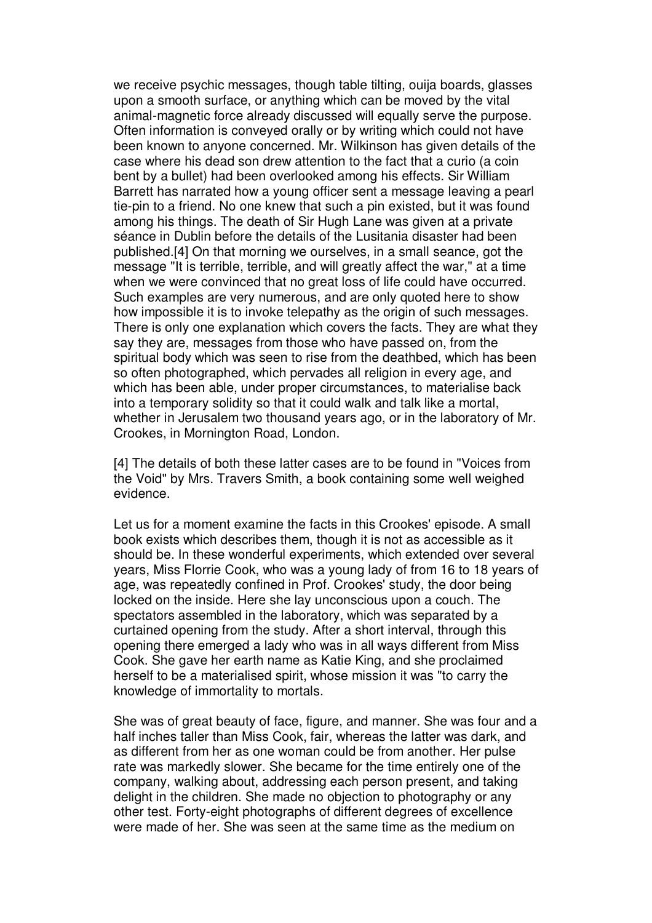we receive psychic messages, though table tilting, ouija boards, glasses upon a smooth surface, or anything which can be moved by the vital animal-magnetic force already discussed will equally serve the purpose. Often information is conveyed orally or by writing which could not have been known to anyone concerned. Mr. Wilkinson has given details of the case where his dead son drew attention to the fact that a curio (a coin bent by a bullet) had been overlooked among his effects. Sir William Barrett has narrated how a young officer sent a message leaving a pearl tie-pin to a friend. No one knew that such a pin existed, but it was found among his things. The death of Sir Hugh Lane was given at a private séance in Dublin before the details of the Lusitania disaster had been published.[4] On that morning we ourselves, in a small seance, got the message "It is terrible, terrible, and will greatly affect the war," at a time when we were convinced that no great loss of life could have occurred. Such examples are very numerous, and are only quoted here to show how impossible it is to invoke telepathy as the origin of such messages. There is only one explanation which covers the facts. They are what they say they are, messages from those who have passed on, from the spiritual body which was seen to rise from the deathbed, which has been so often photographed, which pervades all religion in every age, and which has been able, under proper circumstances, to materialise back into a temporary solidity so that it could walk and talk like a mortal, whether in Jerusalem two thousand years ago, or in the laboratory of Mr. Crookes, in Mornington Road, London.

[4] The details of both these latter cases are to be found in "Voices from the Void" by Mrs. Travers Smith, a book containing some well weighed evidence.

Let us for a moment examine the facts in this Crookes' episode. A small book exists which describes them, though it is not as accessible as it should be. In these wonderful experiments, which extended over several years, Miss Florrie Cook, who was a young lady of from 16 to 18 years of age, was repeatedly confined in Prof. Crookes' study, the door being locked on the inside. Here she lay unconscious upon a couch. The spectators assembled in the laboratory, which was separated by a curtained opening from the study. After a short interval, through this opening there emerged a lady who was in all ways different from Miss Cook. She gave her earth name as Katie King, and she proclaimed herself to be a materialised spirit, whose mission it was "to carry the knowledge of immortality to mortals.

She was of great beauty of face, figure, and manner. She was four and a half inches taller than Miss Cook, fair, whereas the latter was dark, and as different from her as one woman could be from another. Her pulse rate was markedly slower. She became for the time entirely one of the company, walking about, addressing each person present, and taking delight in the children. She made no objection to photography or any other test. Forty-eight photographs of different degrees of excellence were made of her. She was seen at the same time as the medium on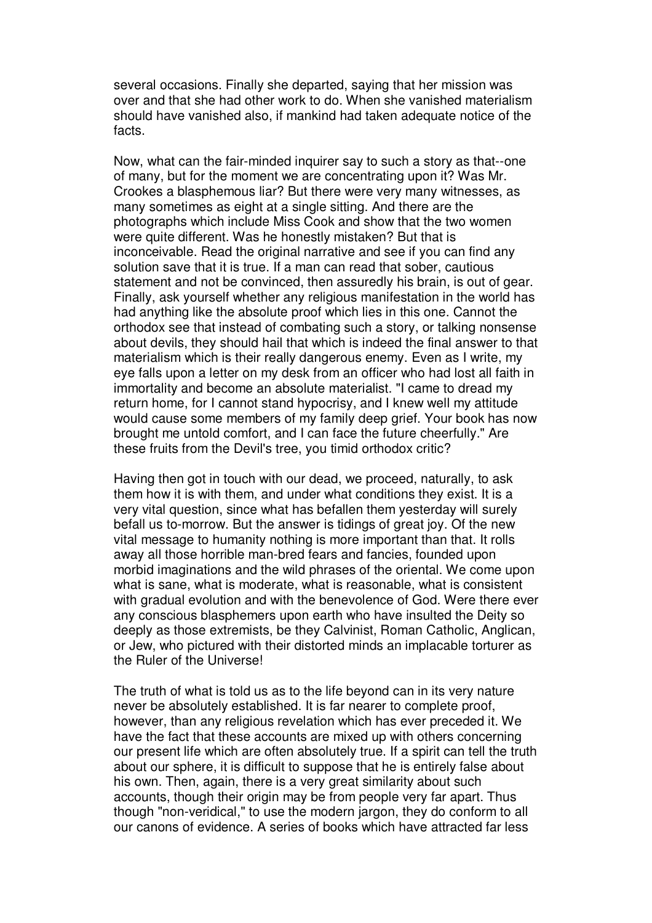several occasions. Finally she departed, saying that her mission was over and that she had other work to do. When she vanished materialism should have vanished also, if mankind had taken adequate notice of the facts.

Now, what can the fair-minded inquirer say to such a story as that--one of many, but for the moment we are concentrating upon it? Was Mr. Crookes a blasphemous liar? But there were very many witnesses, as many sometimes as eight at a single sitting. And there are the photographs which include Miss Cook and show that the two women were quite different. Was he honestly mistaken? But that is inconceivable. Read the original narrative and see if you can find any solution save that it is true. If a man can read that sober, cautious statement and not be convinced, then assuredly his brain, is out of gear. Finally, ask yourself whether any religious manifestation in the world has had anything like the absolute proof which lies in this one. Cannot the orthodox see that instead of combating such a story, or talking nonsense about devils, they should hail that which is indeed the final answer to that materialism which is their really dangerous enemy. Even as I write, my eye falls upon a letter on my desk from an officer who had lost all faith in immortality and become an absolute materialist. "I came to dread my return home, for I cannot stand hypocrisy, and I knew well my attitude would cause some members of my family deep grief. Your book has now brought me untold comfort, and I can face the future cheerfully." Are these fruits from the Devil's tree, you timid orthodox critic?

Having then got in touch with our dead, we proceed, naturally, to ask them how it is with them, and under what conditions they exist. It is a very vital question, since what has befallen them yesterday will surely befall us to-morrow. But the answer is tidings of great joy. Of the new vital message to humanity nothing is more important than that. It rolls away all those horrible man-bred fears and fancies, founded upon morbid imaginations and the wild phrases of the oriental. We come upon what is sane, what is moderate, what is reasonable, what is consistent with gradual evolution and with the benevolence of God. Were there ever any conscious blasphemers upon earth who have insulted the Deity so deeply as those extremists, be they Calvinist, Roman Catholic, Anglican, or Jew, who pictured with their distorted minds an implacable torturer as the Ruler of the Universe!

The truth of what is told us as to the life beyond can in its very nature never be absolutely established. It is far nearer to complete proof, however, than any religious revelation which has ever preceded it. We have the fact that these accounts are mixed up with others concerning our present life which are often absolutely true. If a spirit can tell the truth about our sphere, it is difficult to suppose that he is entirely false about his own. Then, again, there is a very great similarity about such accounts, though their origin may be from people very far apart. Thus though "non-veridical," to use the modern jargon, they do conform to all our canons of evidence. A series of books which have attracted far less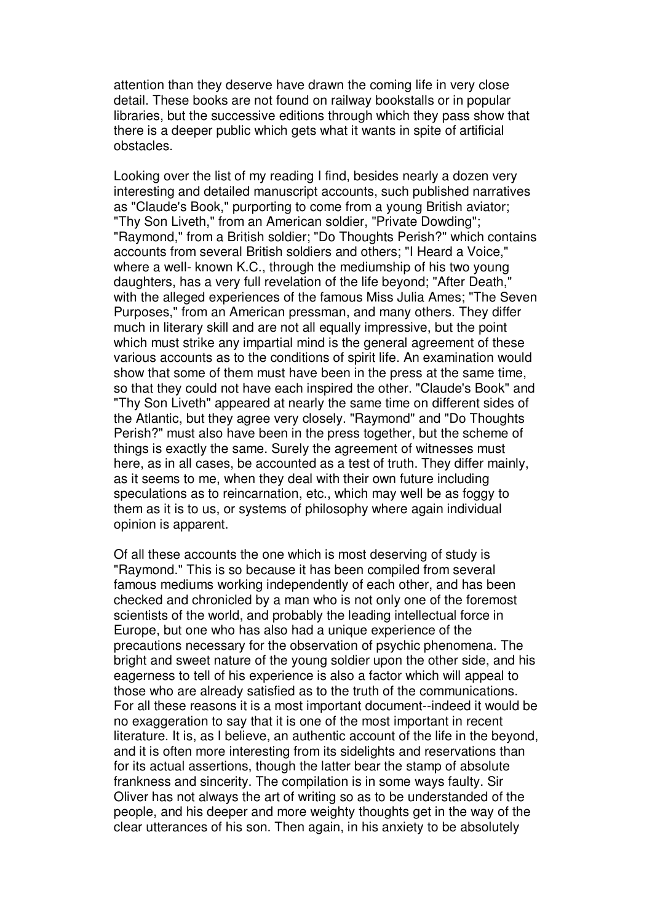attention than they deserve have drawn the coming life in very close detail. These books are not found on railway bookstalls or in popular libraries, but the successive editions through which they pass show that there is a deeper public which gets what it wants in spite of artificial obstacles.

Looking over the list of my reading I find, besides nearly a dozen very interesting and detailed manuscript accounts, such published narratives as "Claude's Book," purporting to come from a young British aviator; "Thy Son Liveth," from an American soldier, "Private Dowding"; "Raymond," from a British soldier; "Do Thoughts Perish?" which contains accounts from several British soldiers and others; "I Heard a Voice," where a well- known K.C., through the mediumship of his two young daughters, has a very full revelation of the life beyond; "After Death," with the alleged experiences of the famous Miss Julia Ames; "The Seven Purposes," from an American pressman, and many others. They differ much in literary skill and are not all equally impressive, but the point which must strike any impartial mind is the general agreement of these various accounts as to the conditions of spirit life. An examination would show that some of them must have been in the press at the same time, so that they could not have each inspired the other. "Claude's Book" and "Thy Son Liveth" appeared at nearly the same time on different sides of the Atlantic, but they agree very closely. "Raymond" and "Do Thoughts Perish?" must also have been in the press together, but the scheme of things is exactly the same. Surely the agreement of witnesses must here, as in all cases, be accounted as a test of truth. They differ mainly, as it seems to me, when they deal with their own future including speculations as to reincarnation, etc., which may well be as foggy to them as it is to us, or systems of philosophy where again individual opinion is apparent.

Of all these accounts the one which is most deserving of study is "Raymond." This is so because it has been compiled from several famous mediums working independently of each other, and has been checked and chronicled by a man who is not only one of the foremost scientists of the world, and probably the leading intellectual force in Europe, but one who has also had a unique experience of the precautions necessary for the observation of psychic phenomena. The bright and sweet nature of the young soldier upon the other side, and his eagerness to tell of his experience is also a factor which will appeal to those who are already satisfied as to the truth of the communications. For all these reasons it is a most important document--indeed it would be no exaggeration to say that it is one of the most important in recent literature. It is, as I believe, an authentic account of the life in the beyond, and it is often more interesting from its sidelights and reservations than for its actual assertions, though the latter bear the stamp of absolute frankness and sincerity. The compilation is in some ways faulty. Sir Oliver has not always the art of writing so as to be understanded of the people, and his deeper and more weighty thoughts get in the way of the clear utterances of his son. Then again, in his anxiety to be absolutely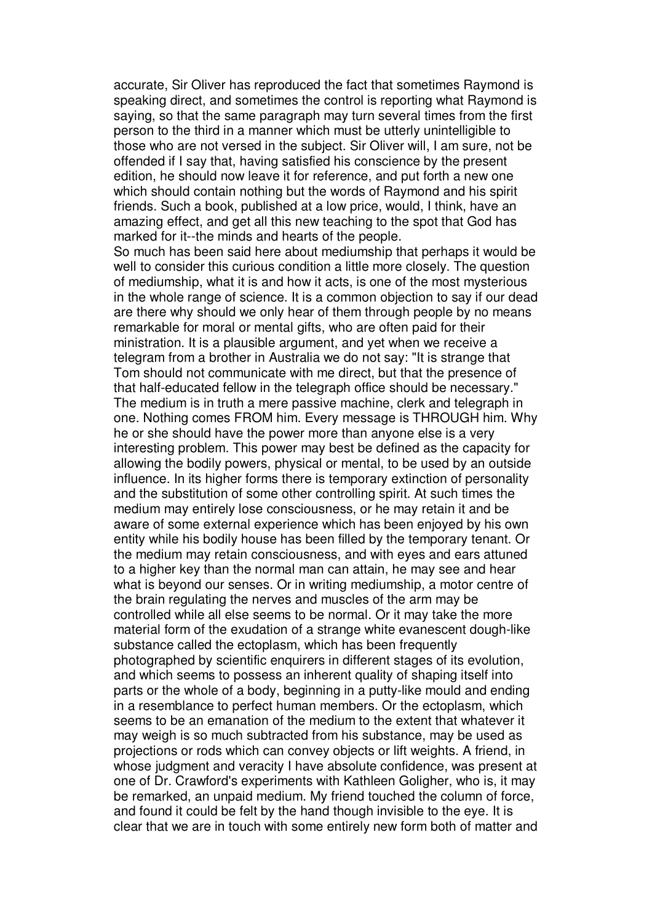accurate, Sir Oliver has reproduced the fact that sometimes Raymond is speaking direct, and sometimes the control is reporting what Raymond is saying, so that the same paragraph may turn several times from the first person to the third in a manner which must be utterly unintelligible to those who are not versed in the subject. Sir Oliver will, I am sure, not be offended if I say that, having satisfied his conscience by the present edition, he should now leave it for reference, and put forth a new one which should contain nothing but the words of Raymond and his spirit friends. Such a book, published at a low price, would, I think, have an amazing effect, and get all this new teaching to the spot that God has marked for it--the minds and hearts of the people.

So much has been said here about mediumship that perhaps it would be well to consider this curious condition a little more closely. The question of mediumship, what it is and how it acts, is one of the most mysterious in the whole range of science. It is a common objection to say if our dead are there why should we only hear of them through people by no means remarkable for moral or mental gifts, who are often paid for their ministration. It is a plausible argument, and yet when we receive a telegram from a brother in Australia we do not say: "It is strange that Tom should not communicate with me direct, but that the presence of that half-educated fellow in the telegraph office should be necessary." The medium is in truth a mere passive machine, clerk and telegraph in one. Nothing comes FROM him. Every message is THROUGH him. Why he or she should have the power more than anyone else is a very interesting problem. This power may best be defined as the capacity for allowing the bodily powers, physical or mental, to be used by an outside influence. In its higher forms there is temporary extinction of personality and the substitution of some other controlling spirit. At such times the medium may entirely lose consciousness, or he may retain it and be aware of some external experience which has been enjoyed by his own entity while his bodily house has been filled by the temporary tenant. Or the medium may retain consciousness, and with eyes and ears attuned to a higher key than the normal man can attain, he may see and hear what is beyond our senses. Or in writing mediumship, a motor centre of the brain regulating the nerves and muscles of the arm may be controlled while all else seems to be normal. Or it may take the more material form of the exudation of a strange white evanescent dough-like substance called the ectoplasm, which has been frequently photographed by scientific enquirers in different stages of its evolution, and which seems to possess an inherent quality of shaping itself into parts or the whole of a body, beginning in a putty-like mould and ending in a resemblance to perfect human members. Or the ectoplasm, which seems to be an emanation of the medium to the extent that whatever it may weigh is so much subtracted from his substance, may be used as projections or rods which can convey objects or lift weights. A friend, in whose judgment and veracity I have absolute confidence, was present at one of Dr. Crawford's experiments with Kathleen Goligher, who is, it may be remarked, an unpaid medium. My friend touched the column of force, and found it could be felt by the hand though invisible to the eye. It is clear that we are in touch with some entirely new form both of matter and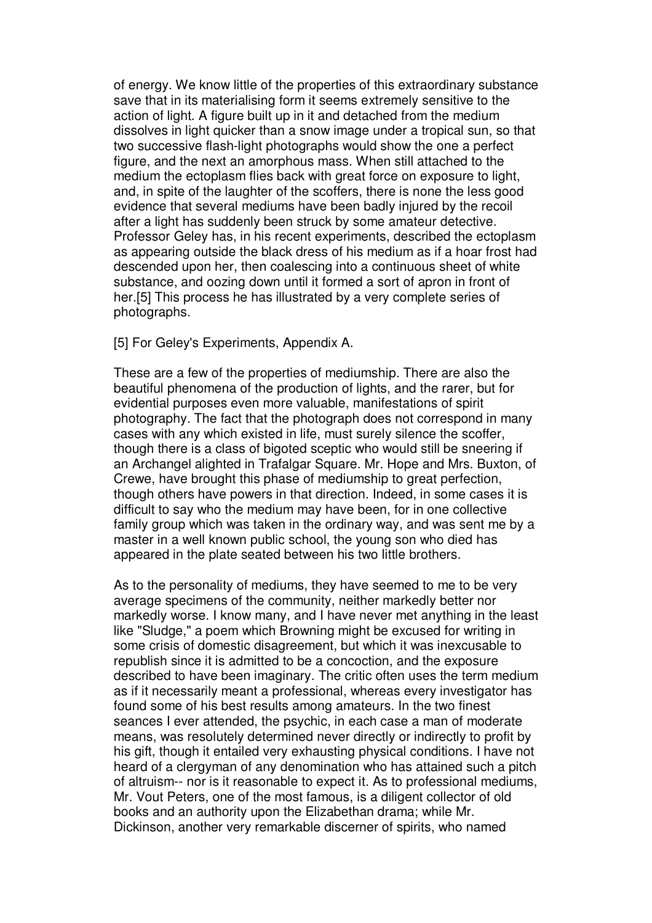of energy. We know little of the properties of this extraordinary substance save that in its materialising form it seems extremely sensitive to the action of light. A figure built up in it and detached from the medium dissolves in light quicker than a snow image under a tropical sun, so that two successive flash-light photographs would show the one a perfect figure, and the next an amorphous mass. When still attached to the medium the ectoplasm flies back with great force on exposure to light, and, in spite of the laughter of the scoffers, there is none the less good evidence that several mediums have been badly injured by the recoil after a light has suddenly been struck by some amateur detective. Professor Geley has, in his recent experiments, described the ectoplasm as appearing outside the black dress of his medium as if a hoar frost had descended upon her, then coalescing into a continuous sheet of white substance, and oozing down until it formed a sort of apron in front of her.[5] This process he has illustrated by a very complete series of photographs.

[5] For Geley's Experiments, Appendix A.

These are a few of the properties of mediumship. There are also the beautiful phenomena of the production of lights, and the rarer, but for evidential purposes even more valuable, manifestations of spirit photography. The fact that the photograph does not correspond in many cases with any which existed in life, must surely silence the scoffer, though there is a class of bigoted sceptic who would still be sneering if an Archangel alighted in Trafalgar Square. Mr. Hope and Mrs. Buxton, of Crewe, have brought this phase of mediumship to great perfection, though others have powers in that direction. Indeed, in some cases it is difficult to say who the medium may have been, for in one collective family group which was taken in the ordinary way, and was sent me by a master in a well known public school, the young son who died has appeared in the plate seated between his two little brothers.

As to the personality of mediums, they have seemed to me to be very average specimens of the community, neither markedly better nor markedly worse. I know many, and I have never met anything in the least like "Sludge," a poem which Browning might be excused for writing in some crisis of domestic disagreement, but which it was inexcusable to republish since it is admitted to be a concoction, and the exposure described to have been imaginary. The critic often uses the term medium as if it necessarily meant a professional, whereas every investigator has found some of his best results among amateurs. In the two finest seances I ever attended, the psychic, in each case a man of moderate means, was resolutely determined never directly or indirectly to profit by his gift, though it entailed very exhausting physical conditions. I have not heard of a clergyman of any denomination who has attained such a pitch of altruism-- nor is it reasonable to expect it. As to professional mediums, Mr. Vout Peters, one of the most famous, is a diligent collector of old books and an authority upon the Elizabethan drama; while Mr. Dickinson, another very remarkable discerner of spirits, who named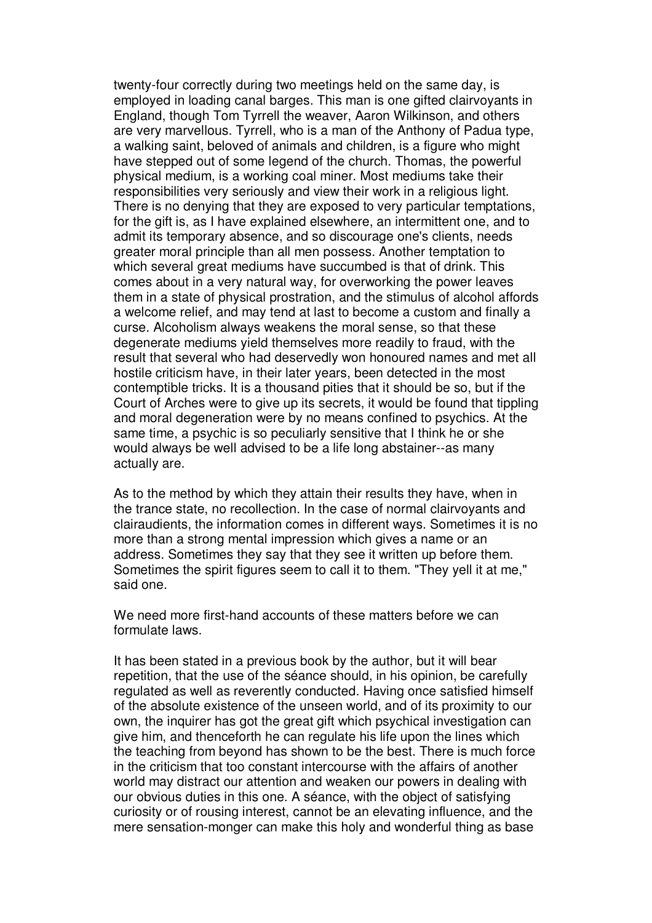twenty-four correctly during two meetings held on the same day, is employed in loading canal barges. This man is one gifted clairvoyants in England, though Tom Tyrrell the weaver, Aaron Wilkinson, and others are very marvellous. Tyrrell, who is a man of the Anthony of Padua type, a walking saint, beloved of animals and children, is a figure who might have stepped out of some legend of the church. Thomas, the powerful physical medium, is a working coal miner. Most mediums take their responsibilities very seriously and view their work in a religious light. There is no denying that they are exposed to very particular temptations, for the gift is, as I have explained elsewhere, an intermittent one, and to admit its temporary absence, and so discourage one's clients, needs greater moral principle than all men possess. Another temptation to which several great mediums have succumbed is that of drink. This comes about in a very natural way, for overworking the power leaves them in a state of physical prostration, and the stimulus of alcohol affords a welcome relief, and may tend at last to become a custom and finally a curse. Alcoholism always weakens the moral sense, so that these degenerate mediums yield themselves more readily to fraud, with the result that several who had deservedly won honoured names and met all hostile criticism have, in their later years, been detected in the most contemptible tricks. It is a thousand pities that it should be so, but if the Court of Arches were to give up its secrets, it would be found that tippling and moral degeneration were by no means confined to psychics. At the same time, a psychic is so peculiarly sensitive that I think he or she would always be well advised to be a life long abstainer--as many actually are.

As to the method by which they attain their results they have, when in the trance state, no recollection. In the case of normal clairvoyants and clairaudients, the information comes in different ways. Sometimes it is no more than a strong mental impression which gives a name or an address. Sometimes they say that they see it written up before them. Sometimes the spirit figures seem to call it to them. "They yell it at me," said one.

We need more first-hand accounts of these matters before we can formulate laws.

It has been stated in a previous book by the author, but it will bear repetition, that the use of the séance should, in his opinion, be carefully regulated as well as reverently conducted. Having once satisfied himself of the absolute existence of the unseen world, and of its proximity to our own, the inquirer has got the great gift which psychical investigation can give him, and thenceforth he can regulate his life upon the lines which the teaching from beyond has shown to be the best. There is much force in the criticism that too constant intercourse with the affairs of another world may distract our attention and weaken our powers in dealing with our obvious duties in this one. A séance, with the object of satisfying curiosity or of rousing interest, cannot be an elevating influence, and the mere sensation-monger can make this holy and wonderful thing as base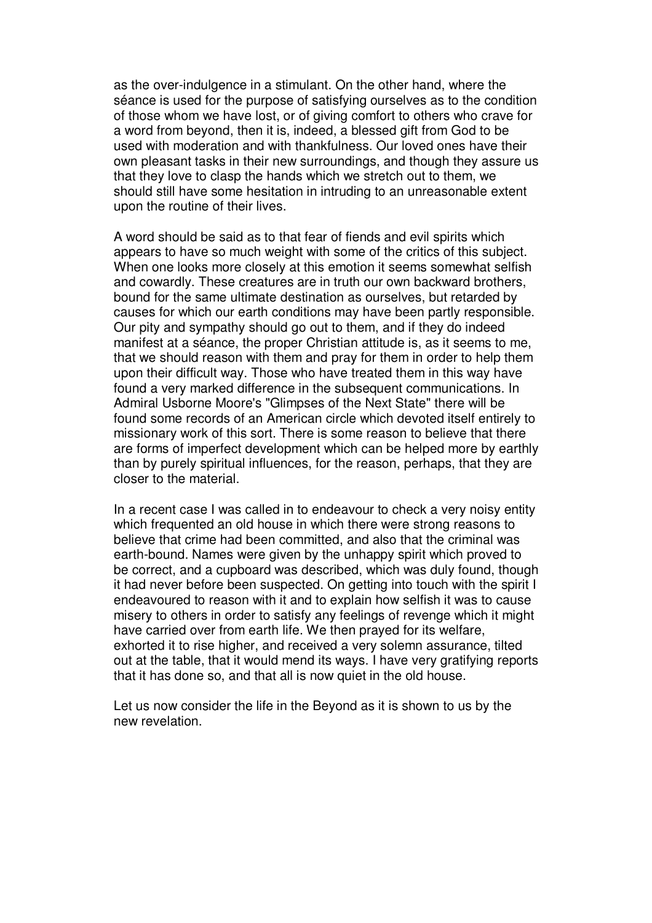as the over-indulgence in a stimulant. On the other hand, where the séance is used for the purpose of satisfying ourselves as to the condition of those whom we have lost, or of giving comfort to others who crave for a word from beyond, then it is, indeed, a blessed gift from God to be used with moderation and with thankfulness. Our loved ones have their own pleasant tasks in their new surroundings, and though they assure us that they love to clasp the hands which we stretch out to them, we should still have some hesitation in intruding to an unreasonable extent upon the routine of their lives.

A word should be said as to that fear of fiends and evil spirits which appears to have so much weight with some of the critics of this subject. When one looks more closely at this emotion it seems somewhat selfish and cowardly. These creatures are in truth our own backward brothers, bound for the same ultimate destination as ourselves, but retarded by causes for which our earth conditions may have been partly responsible. Our pity and sympathy should go out to them, and if they do indeed manifest at a séance, the proper Christian attitude is, as it seems to me, that we should reason with them and pray for them in order to help them upon their difficult way. Those who have treated them in this way have found a very marked difference in the subsequent communications. In Admiral Usborne Moore's "Glimpses of the Next State" there will be found some records of an American circle which devoted itself entirely to missionary work of this sort. There is some reason to believe that there are forms of imperfect development which can be helped more by earthly than by purely spiritual influences, for the reason, perhaps, that they are closer to the material.

In a recent case I was called in to endeavour to check a very noisy entity which frequented an old house in which there were strong reasons to believe that crime had been committed, and also that the criminal was earth-bound. Names were given by the unhappy spirit which proved to be correct, and a cupboard was described, which was duly found, though it had never before been suspected. On getting into touch with the spirit I endeavoured to reason with it and to explain how selfish it was to cause misery to others in order to satisfy any feelings of revenge which it might have carried over from earth life. We then prayed for its welfare, exhorted it to rise higher, and received a very solemn assurance, tilted out at the table, that it would mend its ways. I have very gratifying reports that it has done so, and that all is now quiet in the old house.

Let us now consider the life in the Beyond as it is shown to us by the new revelation.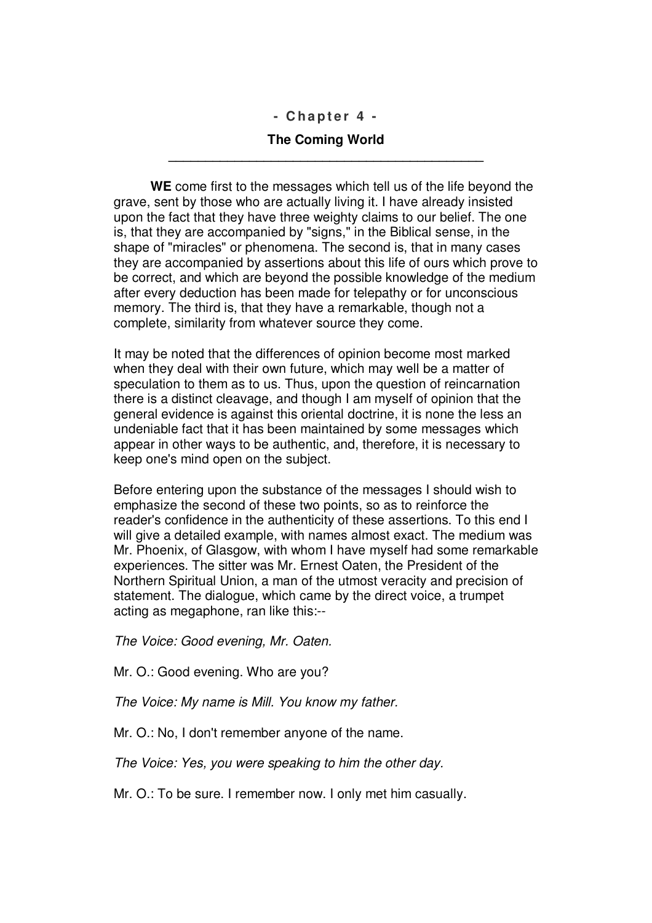#### **- C ha p t e r 4 -**

# **The Coming World \_\_\_\_\_\_\_\_\_\_\_\_\_\_\_\_\_\_\_\_\_\_\_\_\_\_\_\_\_\_\_\_\_\_\_\_\_\_\_\_\_\_\_**

**WE** come first to the messages which tell us of the life beyond the grave, sent by those who are actually living it. I have already insisted upon the fact that they have three weighty claims to our belief. The one is, that they are accompanied by "signs," in the Biblical sense, in the shape of "miracles" or phenomena. The second is, that in many cases they are accompanied by assertions about this life of ours which prove to be correct, and which are beyond the possible knowledge of the medium after every deduction has been made for telepathy or for unconscious memory. The third is, that they have a remarkable, though not a complete, similarity from whatever source they come.

It may be noted that the differences of opinion become most marked when they deal with their own future, which may well be a matter of speculation to them as to us. Thus, upon the question of reincarnation there is a distinct cleavage, and though I am myself of opinion that the general evidence is against this oriental doctrine, it is none the less an undeniable fact that it has been maintained by some messages which appear in other ways to be authentic, and, therefore, it is necessary to keep one's mind open on the subject.

Before entering upon the substance of the messages I should wish to emphasize the second of these two points, so as to reinforce the reader's confidence in the authenticity of these assertions. To this end I will give a detailed example, with names almost exact. The medium was Mr. Phoenix, of Glasgow, with whom I have myself had some remarkable experiences. The sitter was Mr. Ernest Oaten, the President of the Northern Spiritual Union, a man of the utmost veracity and precision of statement. The dialogue, which came by the direct voice, a trumpet acting as megaphone, ran like this:--

*The Voice: Good evening, Mr. Oaten.*

Mr. O.: Good evening. Who are you?

*The Voice: My name is Mill. You know my father.*

Mr. O.: No, I don't remember anyone of the name.

*The Voice: Yes, you were speaking to him the other day.*

Mr. O.: To be sure. I remember now. I only met him casually.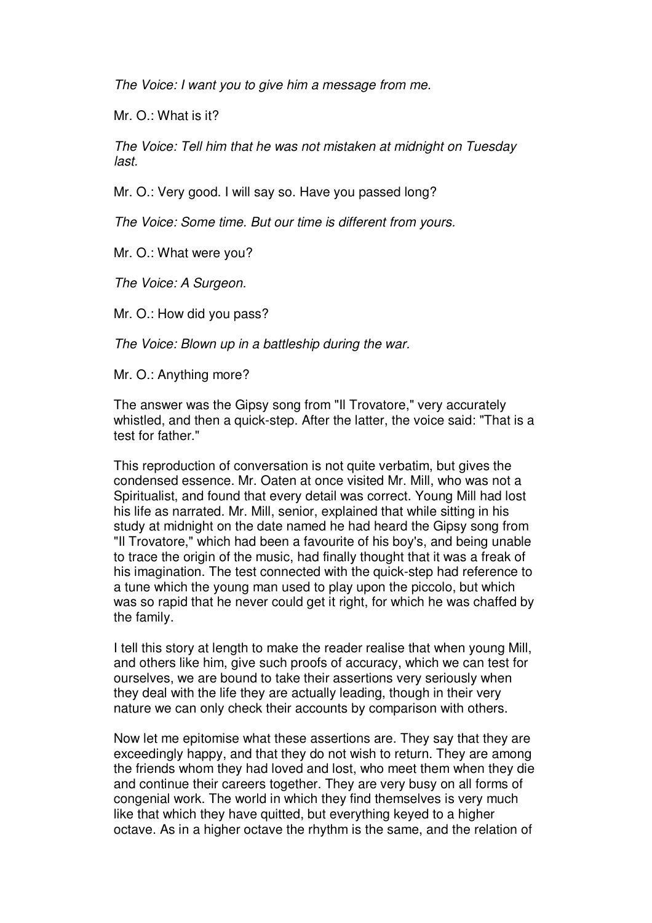*The Voice: I want you to give him a message from me.*

Mr. O.: What is it?

*The Voice: Tell him that he was not mistaken at midnight on Tuesday last.*

Mr. O.: Very good. I will say so. Have you passed long?

*The Voice: Some time. But our time is different from yours.*

Mr. O.: What were you?

*The Voice: A Surgeon.*

Mr. O.: How did you pass?

*The Voice: Blown up in a battleship during the war.*

Mr. O.: Anything more?

The answer was the Gipsy song from "Il Trovatore," very accurately whistled, and then a quick-step. After the latter, the voice said: "That is a test for father."

This reproduction of conversation is not quite verbatim, but gives the condensed essence. Mr. Oaten at once visited Mr. Mill, who was not a Spiritualist, and found that every detail was correct. Young Mill had lost his life as narrated. Mr. Mill, senior, explained that while sitting in his study at midnight on the date named he had heard the Gipsy song from "Il Trovatore," which had been a favourite of his boy's, and being unable to trace the origin of the music, had finally thought that it was a freak of his imagination. The test connected with the quick-step had reference to a tune which the young man used to play upon the piccolo, but which was so rapid that he never could get it right, for which he was chaffed by the family.

I tell this story at length to make the reader realise that when young Mill, and others like him, give such proofs of accuracy, which we can test for ourselves, we are bound to take their assertions very seriously when they deal with the life they are actually leading, though in their very nature we can only check their accounts by comparison with others.

Now let me epitomise what these assertions are. They say that they are exceedingly happy, and that they do not wish to return. They are among the friends whom they had loved and lost, who meet them when they die and continue their careers together. They are very busy on all forms of congenial work. The world in which they find themselves is very much like that which they have quitted, but everything keyed to a higher octave. As in a higher octave the rhythm is the same, and the relation of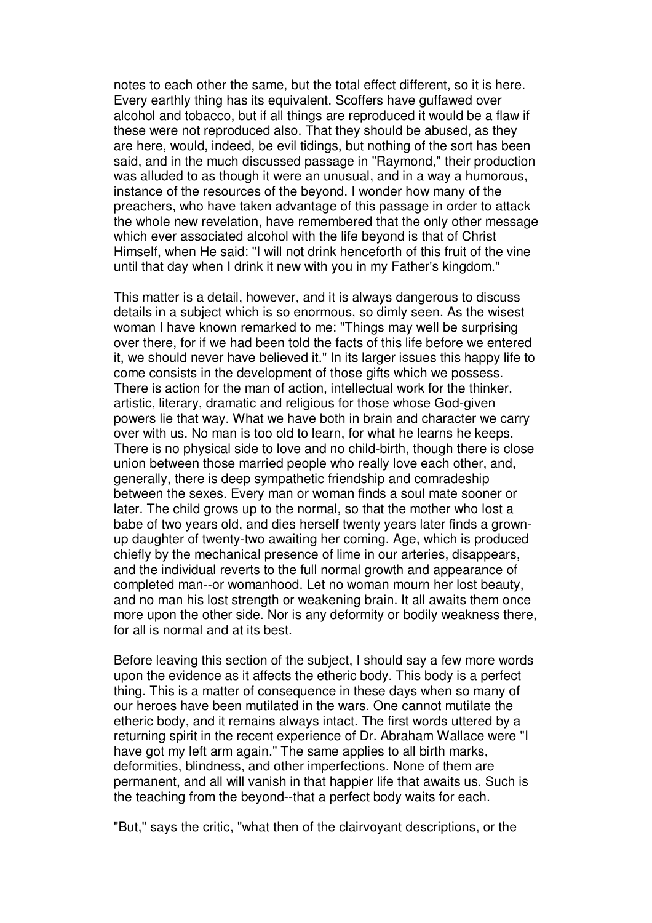notes to each other the same, but the total effect different, so it is here. Every earthly thing has its equivalent. Scoffers have guffawed over alcohol and tobacco, but if all things are reproduced it would be a flaw if these were not reproduced also. That they should be abused, as they are here, would, indeed, be evil tidings, but nothing of the sort has been said, and in the much discussed passage in "Raymond," their production was alluded to as though it were an unusual, and in a way a humorous, instance of the resources of the beyond. I wonder how many of the preachers, who have taken advantage of this passage in order to attack the whole new revelation, have remembered that the only other message which ever associated alcohol with the life beyond is that of Christ Himself, when He said: "I will not drink henceforth of this fruit of the vine until that day when I drink it new with you in my Father's kingdom."

This matter is a detail, however, and it is always dangerous to discuss details in a subject which is so enormous, so dimly seen. As the wisest woman I have known remarked to me: "Things may well be surprising over there, for if we had been told the facts of this life before we entered it, we should never have believed it." In its larger issues this happy life to come consists in the development of those gifts which we possess. There is action for the man of action, intellectual work for the thinker, artistic, literary, dramatic and religious for those whose God-given powers lie that way. What we have both in brain and character we carry over with us. No man is too old to learn, for what he learns he keeps. There is no physical side to love and no child-birth, though there is close union between those married people who really love each other, and, generally, there is deep sympathetic friendship and comradeship between the sexes. Every man or woman finds a soul mate sooner or later. The child grows up to the normal, so that the mother who lost a babe of two years old, and dies herself twenty years later finds a grownup daughter of twenty-two awaiting her coming. Age, which is produced chiefly by the mechanical presence of lime in our arteries, disappears, and the individual reverts to the full normal growth and appearance of completed man--or womanhood. Let no woman mourn her lost beauty, and no man his lost strength or weakening brain. It all awaits them once more upon the other side. Nor is any deformity or bodily weakness there, for all is normal and at its best.

Before leaving this section of the subject, I should say a few more words upon the evidence as it affects the etheric body. This body is a perfect thing. This is a matter of consequence in these days when so many of our heroes have been mutilated in the wars. One cannot mutilate the etheric body, and it remains always intact. The first words uttered by a returning spirit in the recent experience of Dr. Abraham Wallace were "I have got my left arm again." The same applies to all birth marks, deformities, blindness, and other imperfections. None of them are permanent, and all will vanish in that happier life that awaits us. Such is the teaching from the beyond--that a perfect body waits for each.

"But," says the critic, "what then of the clairvoyant descriptions, or the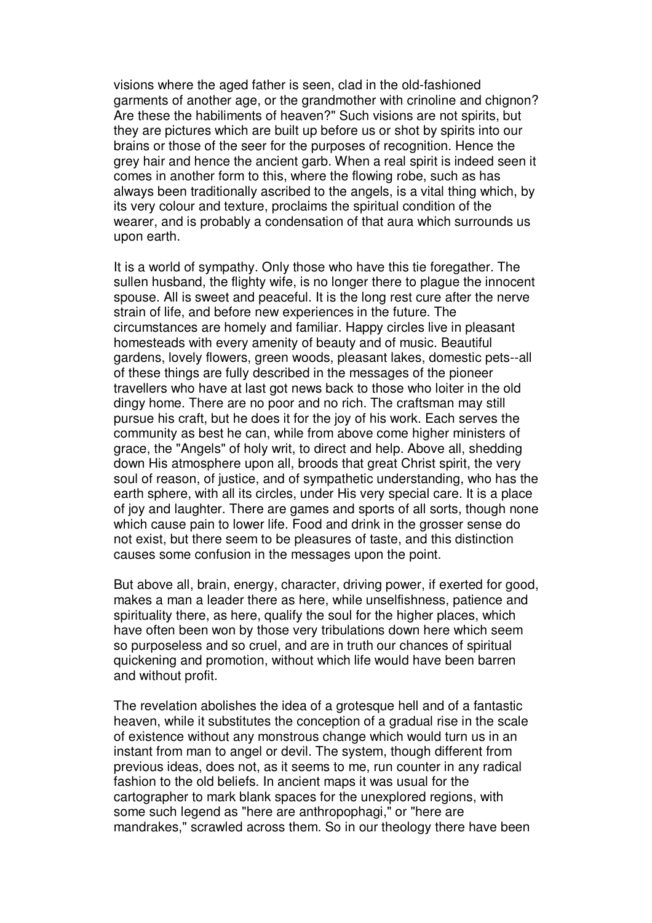visions where the aged father is seen, clad in the old-fashioned garments of another age, or the grandmother with crinoline and chignon? Are these the habiliments of heaven?" Such visions are not spirits, but they are pictures which are built up before us or shot by spirits into our brains or those of the seer for the purposes of recognition. Hence the grey hair and hence the ancient garb. When a real spirit is indeed seen it comes in another form to this, where the flowing robe, such as has always been traditionally ascribed to the angels, is a vital thing which, by its very colour and texture, proclaims the spiritual condition of the wearer, and is probably a condensation of that aura which surrounds us upon earth.

It is a world of sympathy. Only those who have this tie foregather. The sullen husband, the flighty wife, is no longer there to plague the innocent spouse. All is sweet and peaceful. It is the long rest cure after the nerve strain of life, and before new experiences in the future. The circumstances are homely and familiar. Happy circles live in pleasant homesteads with every amenity of beauty and of music. Beautiful gardens, lovely flowers, green woods, pleasant lakes, domestic pets--all of these things are fully described in the messages of the pioneer travellers who have at last got news back to those who loiter in the old dingy home. There are no poor and no rich. The craftsman may still pursue his craft, but he does it for the joy of his work. Each serves the community as best he can, while from above come higher ministers of grace, the "Angels" of holy writ, to direct and help. Above all, shedding down His atmosphere upon all, broods that great Christ spirit, the very soul of reason, of justice, and of sympathetic understanding, who has the earth sphere, with all its circles, under His very special care. It is a place of joy and laughter. There are games and sports of all sorts, though none which cause pain to lower life. Food and drink in the grosser sense do not exist, but there seem to be pleasures of taste, and this distinction causes some confusion in the messages upon the point.

But above all, brain, energy, character, driving power, if exerted for good, makes a man a leader there as here, while unselfishness, patience and spirituality there, as here, qualify the soul for the higher places, which have often been won by those very tribulations down here which seem so purposeless and so cruel, and are in truth our chances of spiritual quickening and promotion, without which life would have been barren and without profit.

The revelation abolishes the idea of a grotesque hell and of a fantastic heaven, while it substitutes the conception of a gradual rise in the scale of existence without any monstrous change which would turn us in an instant from man to angel or devil. The system, though different from previous ideas, does not, as it seems to me, run counter in any radical fashion to the old beliefs. In ancient maps it was usual for the cartographer to mark blank spaces for the unexplored regions, with some such legend as "here are anthropophagi," or "here are mandrakes," scrawled across them. So in our theology there have been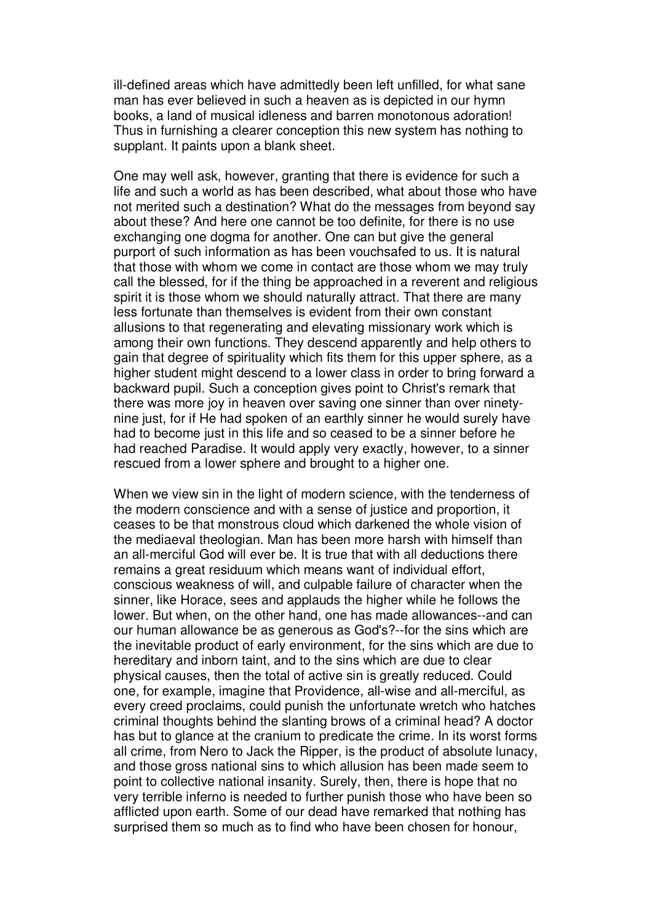ill-defined areas which have admittedly been left unfilled, for what sane man has ever believed in such a heaven as is depicted in our hymn books, a land of musical idleness and barren monotonous adoration! Thus in furnishing a clearer conception this new system has nothing to supplant. It paints upon a blank sheet.

One may well ask, however, granting that there is evidence for such a life and such a world as has been described, what about those who have not merited such a destination? What do the messages from beyond say about these? And here one cannot be too definite, for there is no use exchanging one dogma for another. One can but give the general purport of such information as has been vouchsafed to us. It is natural that those with whom we come in contact are those whom we may truly call the blessed, for if the thing be approached in a reverent and religious spirit it is those whom we should naturally attract. That there are many less fortunate than themselves is evident from their own constant allusions to that regenerating and elevating missionary work which is among their own functions. They descend apparently and help others to gain that degree of spirituality which fits them for this upper sphere, as a higher student might descend to a lower class in order to bring forward a backward pupil. Such a conception gives point to Christ's remark that there was more joy in heaven over saving one sinner than over ninetynine just, for if He had spoken of an earthly sinner he would surely have had to become just in this life and so ceased to be a sinner before he had reached Paradise. It would apply very exactly, however, to a sinner rescued from a lower sphere and brought to a higher one.

When we view sin in the light of modern science, with the tenderness of the modern conscience and with a sense of justice and proportion, it ceases to be that monstrous cloud which darkened the whole vision of the mediaeval theologian. Man has been more harsh with himself than an all-merciful God will ever be. It is true that with all deductions there remains a great residuum which means want of individual effort, conscious weakness of will, and culpable failure of character when the sinner, like Horace, sees and applauds the higher while he follows the lower. But when, on the other hand, one has made allowances--and can our human allowance be as generous as God's?--for the sins which are the inevitable product of early environment, for the sins which are due to hereditary and inborn taint, and to the sins which are due to clear physical causes, then the total of active sin is greatly reduced. Could one, for example, imagine that Providence, all-wise and all-merciful, as every creed proclaims, could punish the unfortunate wretch who hatches criminal thoughts behind the slanting brows of a criminal head? A doctor has but to glance at the cranium to predicate the crime. In its worst forms all crime, from Nero to Jack the Ripper, is the product of absolute lunacy, and those gross national sins to which allusion has been made seem to point to collective national insanity. Surely, then, there is hope that no very terrible inferno is needed to further punish those who have been so afflicted upon earth. Some of our dead have remarked that nothing has surprised them so much as to find who have been chosen for honour,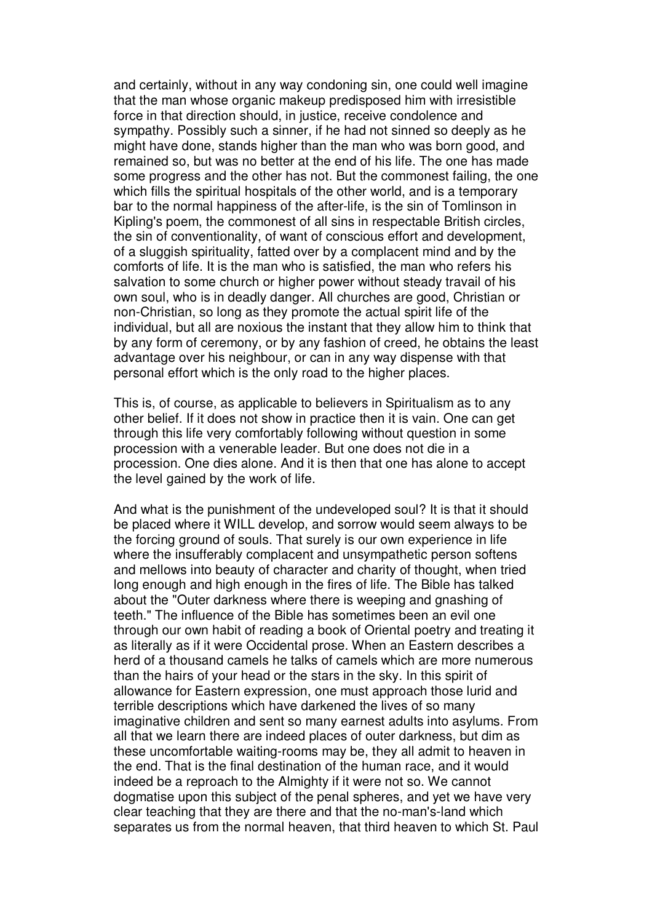and certainly, without in any way condoning sin, one could well imagine that the man whose organic makeup predisposed him with irresistible force in that direction should, in justice, receive condolence and sympathy. Possibly such a sinner, if he had not sinned so deeply as he might have done, stands higher than the man who was born good, and remained so, but was no better at the end of his life. The one has made some progress and the other has not. But the commonest failing, the one which fills the spiritual hospitals of the other world, and is a temporary bar to the normal happiness of the after-life, is the sin of Tomlinson in Kipling's poem, the commonest of all sins in respectable British circles, the sin of conventionality, of want of conscious effort and development, of a sluggish spirituality, fatted over by a complacent mind and by the comforts of life. It is the man who is satisfied, the man who refers his salvation to some church or higher power without steady travail of his own soul, who is in deadly danger. All churches are good, Christian or non-Christian, so long as they promote the actual spirit life of the individual, but all are noxious the instant that they allow him to think that by any form of ceremony, or by any fashion of creed, he obtains the least advantage over his neighbour, or can in any way dispense with that personal effort which is the only road to the higher places.

This is, of course, as applicable to believers in Spiritualism as to any other belief. If it does not show in practice then it is vain. One can get through this life very comfortably following without question in some procession with a venerable leader. But one does not die in a procession. One dies alone. And it is then that one has alone to accept the level gained by the work of life.

And what is the punishment of the undeveloped soul? It is that it should be placed where it WILL develop, and sorrow would seem always to be the forcing ground of souls. That surely is our own experience in life where the insufferably complacent and unsympathetic person softens and mellows into beauty of character and charity of thought, when tried long enough and high enough in the fires of life. The Bible has talked about the "Outer darkness where there is weeping and gnashing of teeth." The influence of the Bible has sometimes been an evil one through our own habit of reading a book of Oriental poetry and treating it as literally as if it were Occidental prose. When an Eastern describes a herd of a thousand camels he talks of camels which are more numerous than the hairs of your head or the stars in the sky. In this spirit of allowance for Eastern expression, one must approach those lurid and terrible descriptions which have darkened the lives of so many imaginative children and sent so many earnest adults into asylums. From all that we learn there are indeed places of outer darkness, but dim as these uncomfortable waiting-rooms may be, they all admit to heaven in the end. That is the final destination of the human race, and it would indeed be a reproach to the Almighty if it were not so. We cannot dogmatise upon this subject of the penal spheres, and yet we have very clear teaching that they are there and that the no-man's-land which separates us from the normal heaven, that third heaven to which St. Paul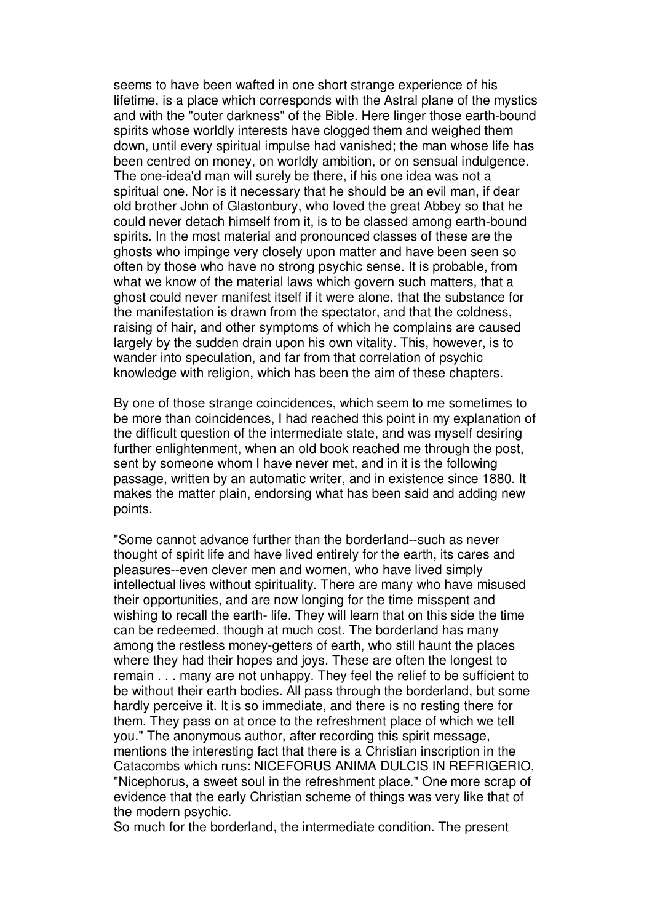seems to have been wafted in one short strange experience of his lifetime, is a place which corresponds with the Astral plane of the mystics and with the "outer darkness" of the Bible. Here linger those earth-bound spirits whose worldly interests have clogged them and weighed them down, until every spiritual impulse had vanished; the man whose life has been centred on money, on worldly ambition, or on sensual indulgence. The one-idea'd man will surely be there, if his one idea was not a spiritual one. Nor is it necessary that he should be an evil man, if dear old brother John of Glastonbury, who loved the great Abbey so that he could never detach himself from it, is to be classed among earth-bound spirits. In the most material and pronounced classes of these are the ghosts who impinge very closely upon matter and have been seen so often by those who have no strong psychic sense. It is probable, from what we know of the material laws which govern such matters, that a ghost could never manifest itself if it were alone, that the substance for the manifestation is drawn from the spectator, and that the coldness, raising of hair, and other symptoms of which he complains are caused largely by the sudden drain upon his own vitality. This, however, is to wander into speculation, and far from that correlation of psychic knowledge with religion, which has been the aim of these chapters.

By one of those strange coincidences, which seem to me sometimes to be more than coincidences, I had reached this point in my explanation of the difficult question of the intermediate state, and was myself desiring further enlightenment, when an old book reached me through the post, sent by someone whom I have never met, and in it is the following passage, written by an automatic writer, and in existence since 1880. It makes the matter plain, endorsing what has been said and adding new points.

"Some cannot advance further than the borderland--such as never thought of spirit life and have lived entirely for the earth, its cares and pleasures--even clever men and women, who have lived simply intellectual lives without spirituality. There are many who have misused their opportunities, and are now longing for the time misspent and wishing to recall the earth- life. They will learn that on this side the time can be redeemed, though at much cost. The borderland has many among the restless money-getters of earth, who still haunt the places where they had their hopes and joys. These are often the longest to remain . . . many are not unhappy. They feel the relief to be sufficient to be without their earth bodies. All pass through the borderland, but some hardly perceive it. It is so immediate, and there is no resting there for them. They pass on at once to the refreshment place of which we tell you." The anonymous author, after recording this spirit message, mentions the interesting fact that there is a Christian inscription in the Catacombs which runs: NICEFORUS ANIMA DULCIS IN REFRIGERIO, "Nicephorus, a sweet soul in the refreshment place." One more scrap of evidence that the early Christian scheme of things was very like that of the modern psychic.

So much for the borderland, the intermediate condition. The present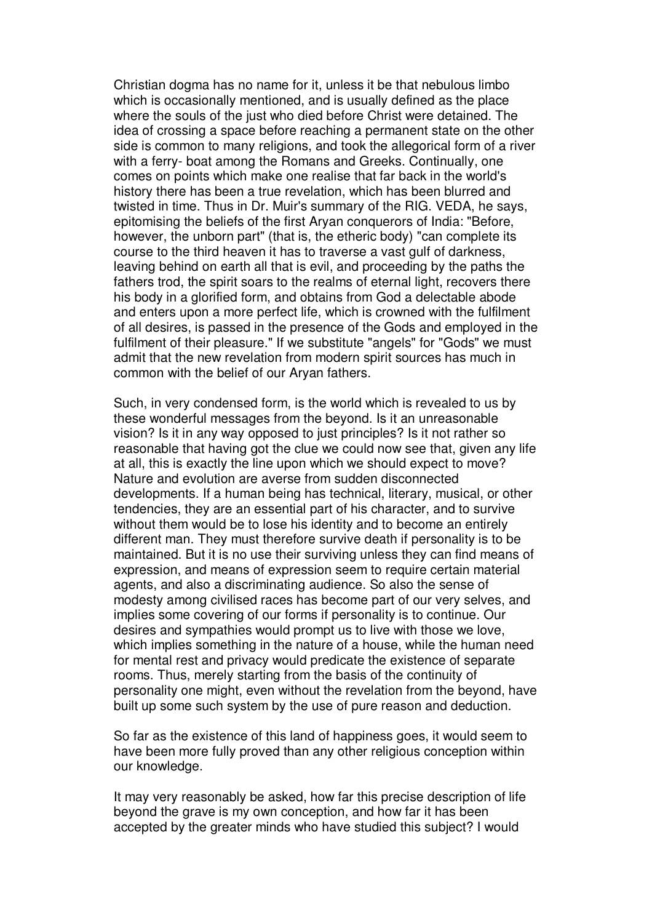Christian dogma has no name for it, unless it be that nebulous limbo which is occasionally mentioned, and is usually defined as the place where the souls of the just who died before Christ were detained. The idea of crossing a space before reaching a permanent state on the other side is common to many religions, and took the allegorical form of a river with a ferry- boat among the Romans and Greeks. Continually, one comes on points which make one realise that far back in the world's history there has been a true revelation, which has been blurred and twisted in time. Thus in Dr. Muir's summary of the RIG. VEDA, he says, epitomising the beliefs of the first Aryan conquerors of India: "Before, however, the unborn part" (that is, the etheric body) "can complete its course to the third heaven it has to traverse a vast gulf of darkness, leaving behind on earth all that is evil, and proceeding by the paths the fathers trod, the spirit soars to the realms of eternal light, recovers there his body in a glorified form, and obtains from God a delectable abode and enters upon a more perfect life, which is crowned with the fulfilment of all desires, is passed in the presence of the Gods and employed in the fulfilment of their pleasure." If we substitute "angels" for "Gods" we must admit that the new revelation from modern spirit sources has much in common with the belief of our Aryan fathers.

Such, in very condensed form, is the world which is revealed to us by these wonderful messages from the beyond. Is it an unreasonable vision? Is it in any way opposed to just principles? Is it not rather so reasonable that having got the clue we could now see that, given any life at all, this is exactly the line upon which we should expect to move? Nature and evolution are averse from sudden disconnected developments. If a human being has technical, literary, musical, or other tendencies, they are an essential part of his character, and to survive without them would be to lose his identity and to become an entirely different man. They must therefore survive death if personality is to be maintained. But it is no use their surviving unless they can find means of expression, and means of expression seem to require certain material agents, and also a discriminating audience. So also the sense of modesty among civilised races has become part of our very selves, and implies some covering of our forms if personality is to continue. Our desires and sympathies would prompt us to live with those we love, which implies something in the nature of a house, while the human need for mental rest and privacy would predicate the existence of separate rooms. Thus, merely starting from the basis of the continuity of personality one might, even without the revelation from the beyond, have built up some such system by the use of pure reason and deduction.

So far as the existence of this land of happiness goes, it would seem to have been more fully proved than any other religious conception within our knowledge.

It may very reasonably be asked, how far this precise description of life beyond the grave is my own conception, and how far it has been accepted by the greater minds who have studied this subject? I would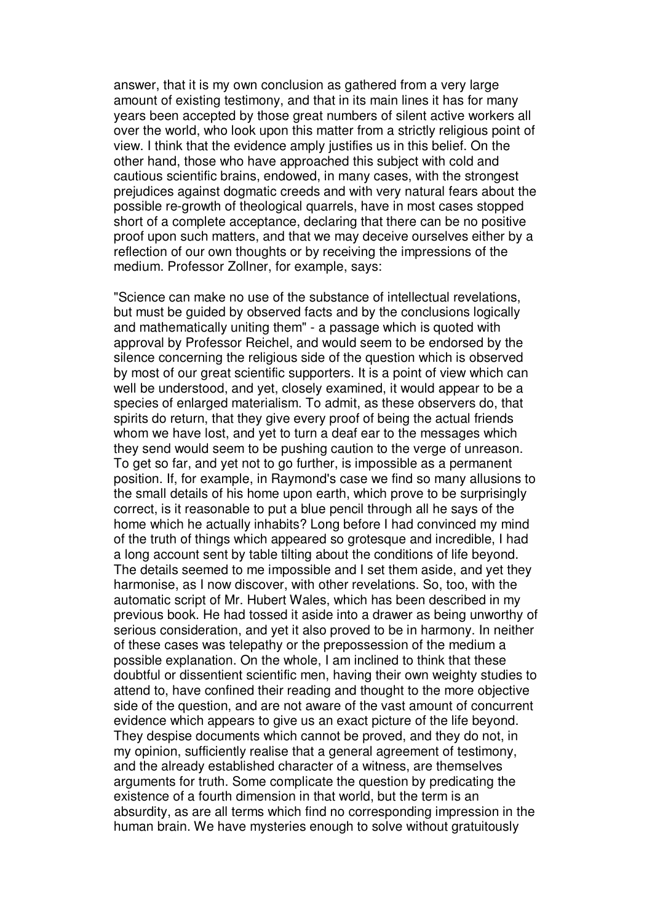answer, that it is my own conclusion as gathered from a very large amount of existing testimony, and that in its main lines it has for many years been accepted by those great numbers of silent active workers all over the world, who look upon this matter from a strictly religious point of view. I think that the evidence amply justifies us in this belief. On the other hand, those who have approached this subject with cold and cautious scientific brains, endowed, in many cases, with the strongest prejudices against dogmatic creeds and with very natural fears about the possible re-growth of theological quarrels, have in most cases stopped short of a complete acceptance, declaring that there can be no positive proof upon such matters, and that we may deceive ourselves either by a reflection of our own thoughts or by receiving the impressions of the medium. Professor Zollner, for example, says:

"Science can make no use of the substance of intellectual revelations, but must be guided by observed facts and by the conclusions logically and mathematically uniting them" - a passage which is quoted with approval by Professor Reichel, and would seem to be endorsed by the silence concerning the religious side of the question which is observed by most of our great scientific supporters. It is a point of view which can well be understood, and yet, closely examined, it would appear to be a species of enlarged materialism. To admit, as these observers do, that spirits do return, that they give every proof of being the actual friends whom we have lost, and yet to turn a deaf ear to the messages which they send would seem to be pushing caution to the verge of unreason. To get so far, and yet not to go further, is impossible as a permanent position. If, for example, in Raymond's case we find so many allusions to the small details of his home upon earth, which prove to be surprisingly correct, is it reasonable to put a blue pencil through all he says of the home which he actually inhabits? Long before I had convinced my mind of the truth of things which appeared so grotesque and incredible, I had a long account sent by table tilting about the conditions of life beyond. The details seemed to me impossible and I set them aside, and yet they harmonise, as I now discover, with other revelations. So, too, with the automatic script of Mr. Hubert Wales, which has been described in my previous book. He had tossed it aside into a drawer as being unworthy of serious consideration, and yet it also proved to be in harmony. In neither of these cases was telepathy or the prepossession of the medium a possible explanation. On the whole, I am inclined to think that these doubtful or dissentient scientific men, having their own weighty studies to attend to, have confined their reading and thought to the more objective side of the question, and are not aware of the vast amount of concurrent evidence which appears to give us an exact picture of the life beyond. They despise documents which cannot be proved, and they do not, in my opinion, sufficiently realise that a general agreement of testimony, and the already established character of a witness, are themselves arguments for truth. Some complicate the question by predicating the existence of a fourth dimension in that world, but the term is an absurdity, as are all terms which find no corresponding impression in the human brain. We have mysteries enough to solve without gratuitously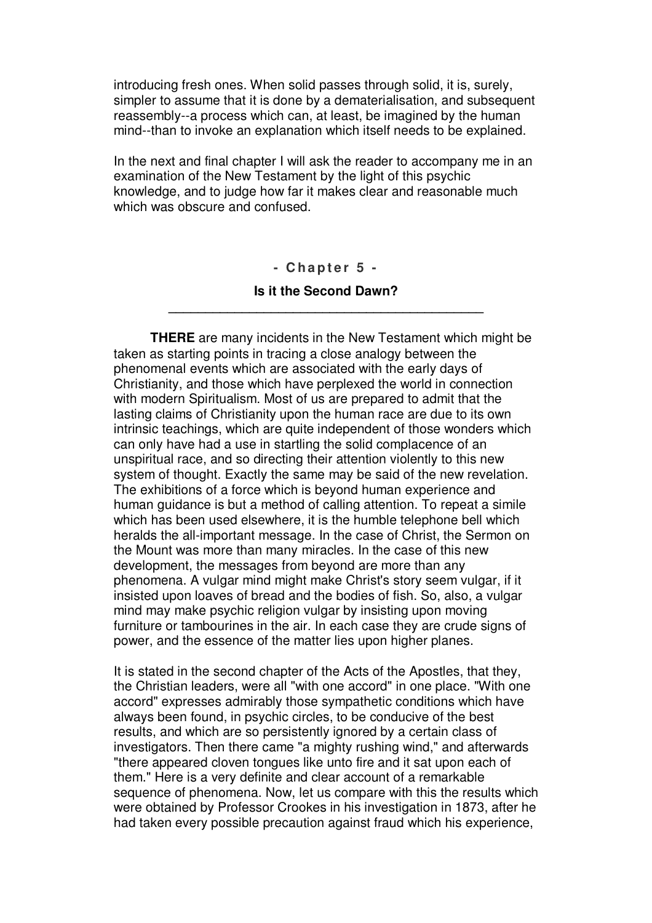introducing fresh ones. When solid passes through solid, it is, surely, simpler to assume that it is done by a dematerialisation, and subsequent reassembly--a process which can, at least, be imagined by the human mind--than to invoke an explanation which itself needs to be explained.

In the next and final chapter I will ask the reader to accompany me in an examination of the New Testament by the light of this psychic knowledge, and to judge how far it makes clear and reasonable much which was obscure and confused.

#### **- C ha p t e r 5 -**

#### **Is it the Second Dawn? \_\_\_\_\_\_\_\_\_\_\_\_\_\_\_\_\_\_\_\_\_\_\_\_\_\_\_\_\_\_\_\_\_\_\_\_\_\_\_\_\_\_\_**

**THERE** are many incidents in the New Testament which might be taken as starting points in tracing a close analogy between the phenomenal events which are associated with the early days of Christianity, and those which have perplexed the world in connection with modern Spiritualism. Most of us are prepared to admit that the lasting claims of Christianity upon the human race are due to its own intrinsic teachings, which are quite independent of those wonders which can only have had a use in startling the solid complacence of an unspiritual race, and so directing their attention violently to this new system of thought. Exactly the same may be said of the new revelation. The exhibitions of a force which is beyond human experience and human guidance is but a method of calling attention. To repeat a simile which has been used elsewhere, it is the humble telephone bell which heralds the all-important message. In the case of Christ, the Sermon on the Mount was more than many miracles. In the case of this new development, the messages from beyond are more than any phenomena. A vulgar mind might make Christ's story seem vulgar, if it insisted upon loaves of bread and the bodies of fish. So, also, a vulgar mind may make psychic religion vulgar by insisting upon moving furniture or tambourines in the air. In each case they are crude signs of power, and the essence of the matter lies upon higher planes.

It is stated in the second chapter of the Acts of the Apostles, that they, the Christian leaders, were all "with one accord" in one place. "With one accord" expresses admirably those sympathetic conditions which have always been found, in psychic circles, to be conducive of the best results, and which are so persistently ignored by a certain class of investigators. Then there came "a mighty rushing wind," and afterwards "there appeared cloven tongues like unto fire and it sat upon each of them." Here is a very definite and clear account of a remarkable sequence of phenomena. Now, let us compare with this the results which were obtained by Professor Crookes in his investigation in 1873, after he had taken every possible precaution against fraud which his experience,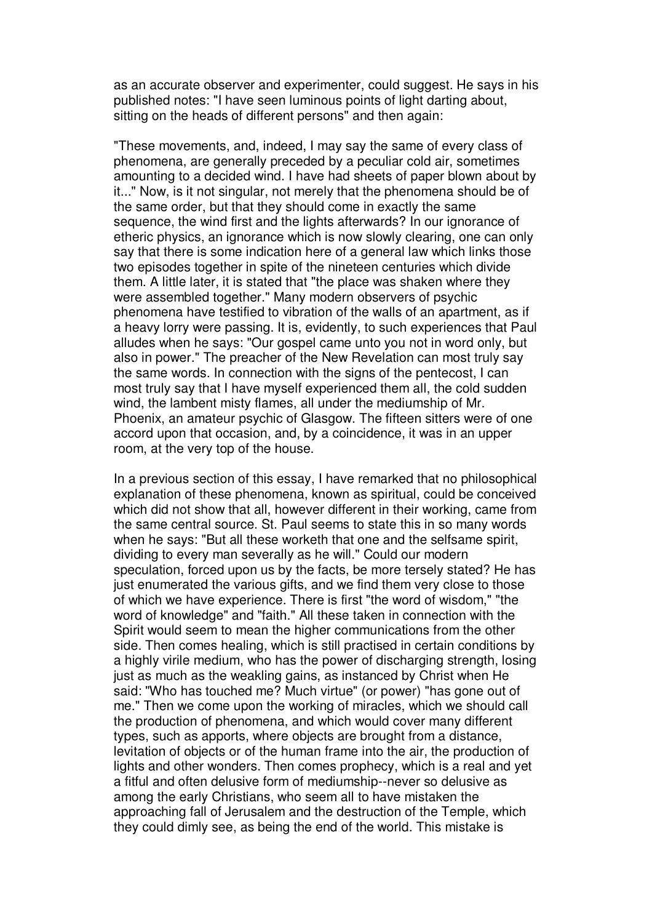as an accurate observer and experimenter, could suggest. He says in his published notes: "I have seen luminous points of light darting about, sitting on the heads of different persons" and then again:

"These movements, and, indeed, I may say the same of every class of phenomena, are generally preceded by a peculiar cold air, sometimes amounting to a decided wind. I have had sheets of paper blown about by it..." Now, is it not singular, not merely that the phenomena should be of the same order, but that they should come in exactly the same sequence, the wind first and the lights afterwards? In our ignorance of etheric physics, an ignorance which is now slowly clearing, one can only say that there is some indication here of a general law which links those two episodes together in spite of the nineteen centuries which divide them. A little later, it is stated that "the place was shaken where they were assembled together." Many modern observers of psychic phenomena have testified to vibration of the walls of an apartment, as if a heavy lorry were passing. It is, evidently, to such experiences that Paul alludes when he says: "Our gospel came unto you not in word only, but also in power." The preacher of the New Revelation can most truly say the same words. In connection with the signs of the pentecost, I can most truly say that I have myself experienced them all, the cold sudden wind, the lambent misty flames, all under the mediumship of Mr. Phoenix, an amateur psychic of Glasgow. The fifteen sitters were of one accord upon that occasion, and, by a coincidence, it was in an upper room, at the very top of the house.

In a previous section of this essay, I have remarked that no philosophical explanation of these phenomena, known as spiritual, could be conceived which did not show that all, however different in their working, came from the same central source. St. Paul seems to state this in so many words when he says: "But all these worketh that one and the selfsame spirit, dividing to every man severally as he will." Could our modern speculation, forced upon us by the facts, be more tersely stated? He has just enumerated the various gifts, and we find them very close to those of which we have experience. There is first "the word of wisdom," "the word of knowledge" and "faith." All these taken in connection with the Spirit would seem to mean the higher communications from the other side. Then comes healing, which is still practised in certain conditions by a highly virile medium, who has the power of discharging strength, losing just as much as the weakling gains, as instanced by Christ when He said: "Who has touched me? Much virtue" (or power) "has gone out of me." Then we come upon the working of miracles, which we should call the production of phenomena, and which would cover many different types, such as apports, where objects are brought from a distance, levitation of objects or of the human frame into the air, the production of lights and other wonders. Then comes prophecy, which is a real and yet a fitful and often delusive form of mediumship--never so delusive as among the early Christians, who seem all to have mistaken the approaching fall of Jerusalem and the destruction of the Temple, which they could dimly see, as being the end of the world. This mistake is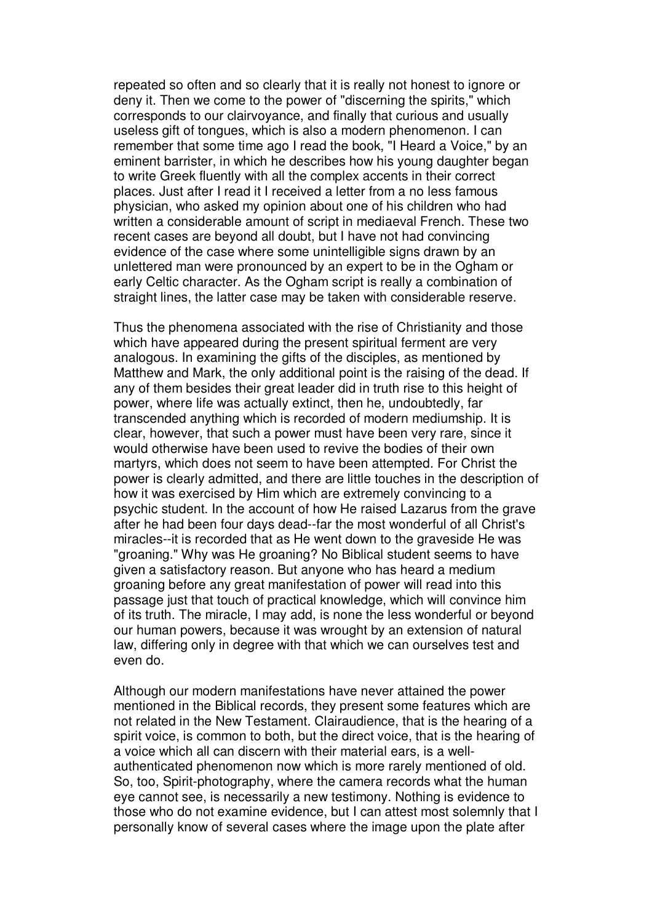repeated so often and so clearly that it is really not honest to ignore or deny it. Then we come to the power of "discerning the spirits," which corresponds to our clairvoyance, and finally that curious and usually useless gift of tongues, which is also a modern phenomenon. I can remember that some time ago I read the book, "I Heard a Voice," by an eminent barrister, in which he describes how his young daughter began to write Greek fluently with all the complex accents in their correct places. Just after I read it I received a letter from a no less famous physician, who asked my opinion about one of his children who had written a considerable amount of script in mediaeval French. These two recent cases are beyond all doubt, but I have not had convincing evidence of the case where some unintelligible signs drawn by an unlettered man were pronounced by an expert to be in the Ogham or early Celtic character. As the Ogham script is really a combination of straight lines, the latter case may be taken with considerable reserve.

Thus the phenomena associated with the rise of Christianity and those which have appeared during the present spiritual ferment are very analogous. In examining the gifts of the disciples, as mentioned by Matthew and Mark, the only additional point is the raising of the dead. If any of them besides their great leader did in truth rise to this height of power, where life was actually extinct, then he, undoubtedly, far transcended anything which is recorded of modern mediumship. It is clear, however, that such a power must have been very rare, since it would otherwise have been used to revive the bodies of their own martyrs, which does not seem to have been attempted. For Christ the power is clearly admitted, and there are little touches in the description of how it was exercised by Him which are extremely convincing to a psychic student. In the account of how He raised Lazarus from the grave after he had been four days dead--far the most wonderful of all Christ's miracles--it is recorded that as He went down to the graveside He was "groaning." Why was He groaning? No Biblical student seems to have given a satisfactory reason. But anyone who has heard a medium groaning before any great manifestation of power will read into this passage just that touch of practical knowledge, which will convince him of its truth. The miracle, I may add, is none the less wonderful or beyond our human powers, because it was wrought by an extension of natural law, differing only in degree with that which we can ourselves test and even do.

Although our modern manifestations have never attained the power mentioned in the Biblical records, they present some features which are not related in the New Testament. Clairaudience, that is the hearing of a spirit voice, is common to both, but the direct voice, that is the hearing of a voice which all can discern with their material ears, is a wellauthenticated phenomenon now which is more rarely mentioned of old. So, too, Spirit-photography, where the camera records what the human eye cannot see, is necessarily a new testimony. Nothing is evidence to those who do not examine evidence, but I can attest most solemnly that I personally know of several cases where the image upon the plate after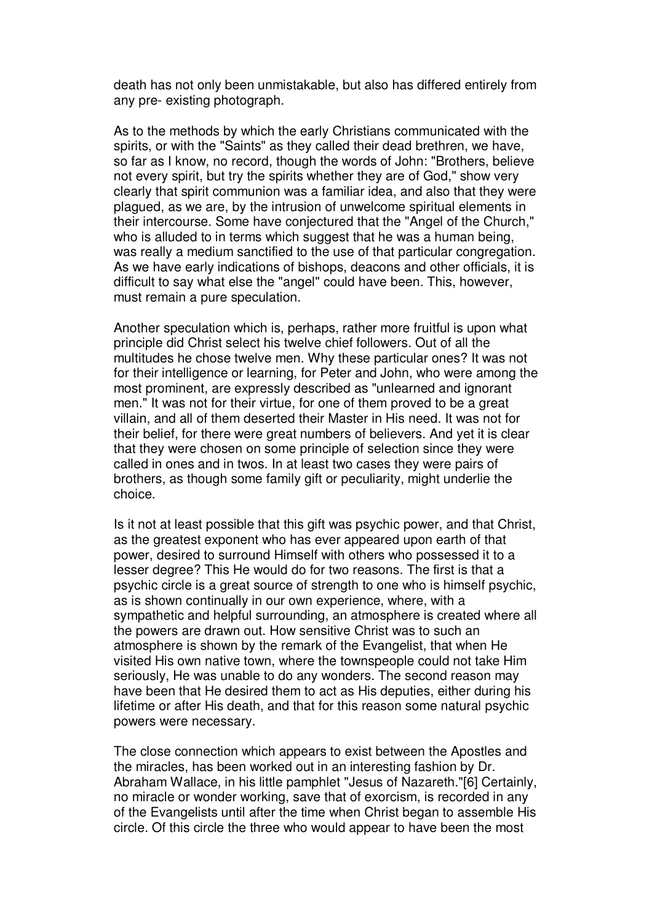death has not only been unmistakable, but also has differed entirely from any pre- existing photograph.

As to the methods by which the early Christians communicated with the spirits, or with the "Saints" as they called their dead brethren, we have, so far as I know, no record, though the words of John: "Brothers, believe not every spirit, but try the spirits whether they are of God," show very clearly that spirit communion was a familiar idea, and also that they were plagued, as we are, by the intrusion of unwelcome spiritual elements in their intercourse. Some have conjectured that the "Angel of the Church," who is alluded to in terms which suggest that he was a human being, was really a medium sanctified to the use of that particular congregation. As we have early indications of bishops, deacons and other officials, it is difficult to say what else the "angel" could have been. This, however, must remain a pure speculation.

Another speculation which is, perhaps, rather more fruitful is upon what principle did Christ select his twelve chief followers. Out of all the multitudes he chose twelve men. Why these particular ones? It was not for their intelligence or learning, for Peter and John, who were among the most prominent, are expressly described as "unlearned and ignorant men." It was not for their virtue, for one of them proved to be a great villain, and all of them deserted their Master in His need. It was not for their belief, for there were great numbers of believers. And yet it is clear that they were chosen on some principle of selection since they were called in ones and in twos. In at least two cases they were pairs of brothers, as though some family gift or peculiarity, might underlie the choice.

Is it not at least possible that this gift was psychic power, and that Christ, as the greatest exponent who has ever appeared upon earth of that power, desired to surround Himself with others who possessed it to a lesser degree? This He would do for two reasons. The first is that a psychic circle is a great source of strength to one who is himself psychic, as is shown continually in our own experience, where, with a sympathetic and helpful surrounding, an atmosphere is created where all the powers are drawn out. How sensitive Christ was to such an atmosphere is shown by the remark of the Evangelist, that when He visited His own native town, where the townspeople could not take Him seriously, He was unable to do any wonders. The second reason may have been that He desired them to act as His deputies, either during his lifetime or after His death, and that for this reason some natural psychic powers were necessary.

The close connection which appears to exist between the Apostles and the miracles, has been worked out in an interesting fashion by Dr. Abraham Wallace, in his little pamphlet "Jesus of Nazareth."[6] Certainly, no miracle or wonder working, save that of exorcism, is recorded in any of the Evangelists until after the time when Christ began to assemble His circle. Of this circle the three who would appear to have been the most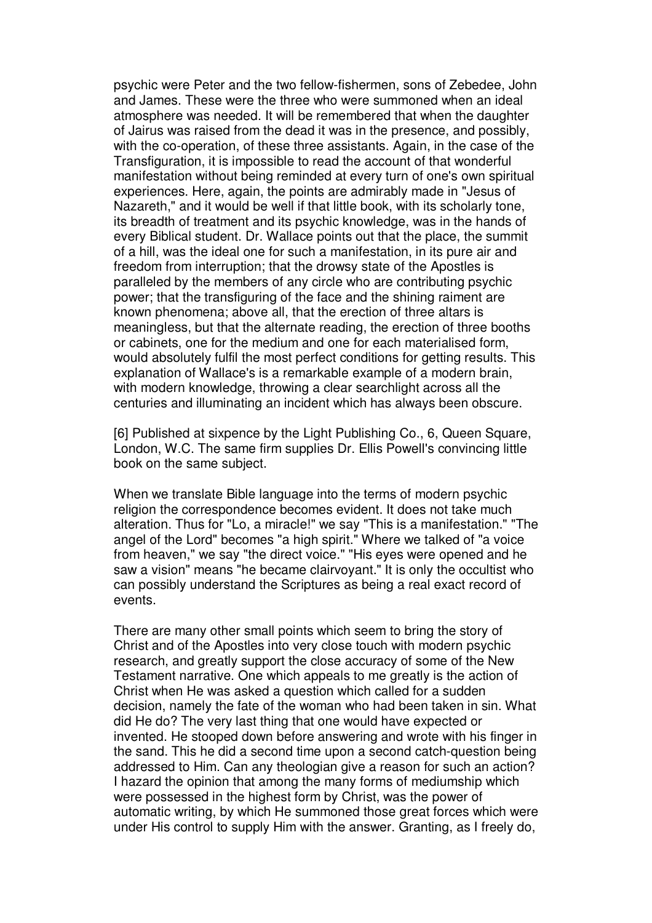psychic were Peter and the two fellow-fishermen, sons of Zebedee, John and James. These were the three who were summoned when an ideal atmosphere was needed. It will be remembered that when the daughter of Jairus was raised from the dead it was in the presence, and possibly, with the co-operation, of these three assistants. Again, in the case of the Transfiguration, it is impossible to read the account of that wonderful manifestation without being reminded at every turn of one's own spiritual experiences. Here, again, the points are admirably made in "Jesus of Nazareth," and it would be well if that little book, with its scholarly tone, its breadth of treatment and its psychic knowledge, was in the hands of every Biblical student. Dr. Wallace points out that the place, the summit of a hill, was the ideal one for such a manifestation, in its pure air and freedom from interruption; that the drowsy state of the Apostles is paralleled by the members of any circle who are contributing psychic power; that the transfiguring of the face and the shining raiment are known phenomena; above all, that the erection of three altars is meaningless, but that the alternate reading, the erection of three booths or cabinets, one for the medium and one for each materialised form, would absolutely fulfil the most perfect conditions for getting results. This explanation of Wallace's is a remarkable example of a modern brain, with modern knowledge, throwing a clear searchlight across all the centuries and illuminating an incident which has always been obscure.

[6] Published at sixpence by the Light Publishing Co., 6, Queen Square, London, W.C. The same firm supplies Dr. Ellis Powell's convincing little book on the same subject.

When we translate Bible language into the terms of modern psychic religion the correspondence becomes evident. It does not take much alteration. Thus for "Lo, a miracle!" we say "This is a manifestation." "The angel of the Lord" becomes "a high spirit." Where we talked of "a voice from heaven," we say "the direct voice." "His eyes were opened and he saw a vision" means "he became clairvoyant." It is only the occultist who can possibly understand the Scriptures as being a real exact record of events.

There are many other small points which seem to bring the story of Christ and of the Apostles into very close touch with modern psychic research, and greatly support the close accuracy of some of the New Testament narrative. One which appeals to me greatly is the action of Christ when He was asked a question which called for a sudden decision, namely the fate of the woman who had been taken in sin. What did He do? The very last thing that one would have expected or invented. He stooped down before answering and wrote with his finger in the sand. This he did a second time upon a second catch-question being addressed to Him. Can any theologian give a reason for such an action? I hazard the opinion that among the many forms of mediumship which were possessed in the highest form by Christ, was the power of automatic writing, by which He summoned those great forces which were under His control to supply Him with the answer. Granting, as I freely do,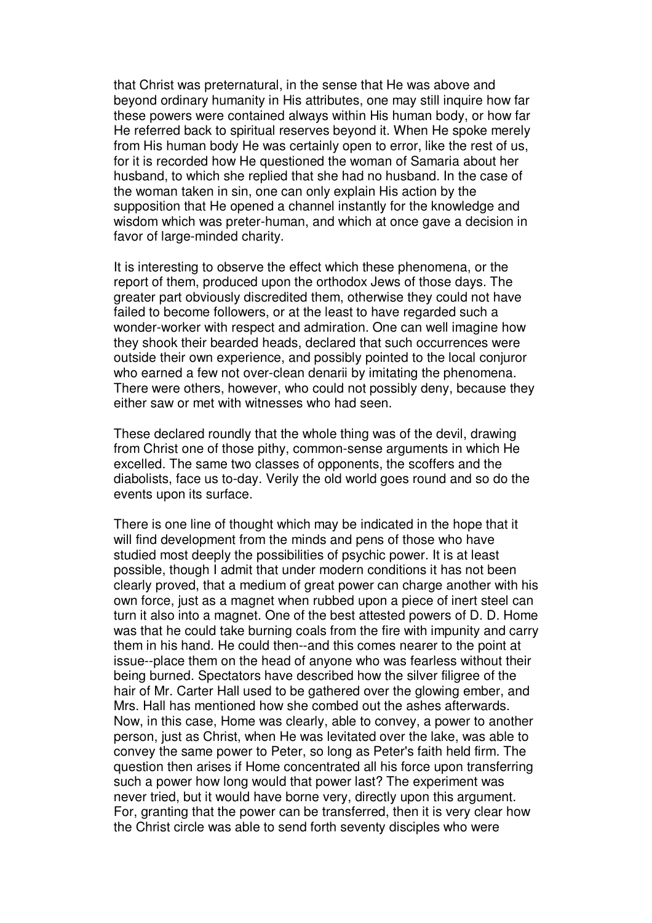that Christ was preternatural, in the sense that He was above and beyond ordinary humanity in His attributes, one may still inquire how far these powers were contained always within His human body, or how far He referred back to spiritual reserves beyond it. When He spoke merely from His human body He was certainly open to error, like the rest of us, for it is recorded how He questioned the woman of Samaria about her husband, to which she replied that she had no husband. In the case of the woman taken in sin, one can only explain His action by the supposition that He opened a channel instantly for the knowledge and wisdom which was preter-human, and which at once gave a decision in favor of large-minded charity.

It is interesting to observe the effect which these phenomena, or the report of them, produced upon the orthodox Jews of those days. The greater part obviously discredited them, otherwise they could not have failed to become followers, or at the least to have regarded such a wonder-worker with respect and admiration. One can well imagine how they shook their bearded heads, declared that such occurrences were outside their own experience, and possibly pointed to the local conjuror who earned a few not over-clean denarii by imitating the phenomena. There were others, however, who could not possibly deny, because they either saw or met with witnesses who had seen.

These declared roundly that the whole thing was of the devil, drawing from Christ one of those pithy, common-sense arguments in which He excelled. The same two classes of opponents, the scoffers and the diabolists, face us to-day. Verily the old world goes round and so do the events upon its surface.

There is one line of thought which may be indicated in the hope that it will find development from the minds and pens of those who have studied most deeply the possibilities of psychic power. It is at least possible, though I admit that under modern conditions it has not been clearly proved, that a medium of great power can charge another with his own force, just as a magnet when rubbed upon a piece of inert steel can turn it also into a magnet. One of the best attested powers of D. D. Home was that he could take burning coals from the fire with impunity and carry them in his hand. He could then--and this comes nearer to the point at issue--place them on the head of anyone who was fearless without their being burned. Spectators have described how the silver filigree of the hair of Mr. Carter Hall used to be gathered over the glowing ember, and Mrs. Hall has mentioned how she combed out the ashes afterwards. Now, in this case, Home was clearly, able to convey, a power to another person, just as Christ, when He was levitated over the lake, was able to convey the same power to Peter, so long as Peter's faith held firm. The question then arises if Home concentrated all his force upon transferring such a power how long would that power last? The experiment was never tried, but it would have borne very, directly upon this argument. For, granting that the power can be transferred, then it is very clear how the Christ circle was able to send forth seventy disciples who were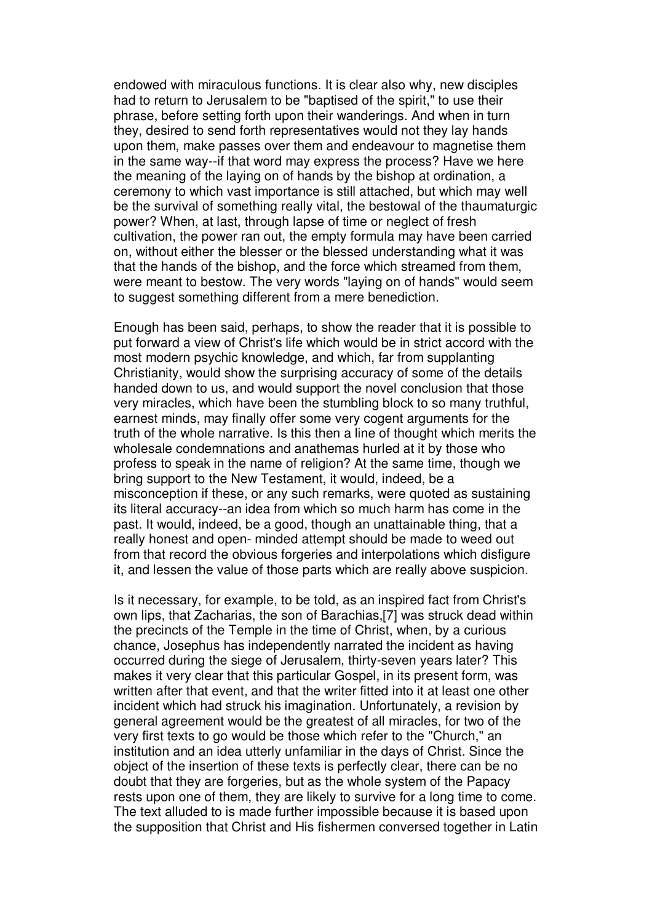endowed with miraculous functions. It is clear also why, new disciples had to return to Jerusalem to be "baptised of the spirit," to use their phrase, before setting forth upon their wanderings. And when in turn they, desired to send forth representatives would not they lay hands upon them, make passes over them and endeavour to magnetise them in the same way--if that word may express the process? Have we here the meaning of the laying on of hands by the bishop at ordination, a ceremony to which vast importance is still attached, but which may well be the survival of something really vital, the bestowal of the thaumaturgic power? When, at last, through lapse of time or neglect of fresh cultivation, the power ran out, the empty formula may have been carried on, without either the blesser or the blessed understanding what it was that the hands of the bishop, and the force which streamed from them, were meant to bestow. The very words "laying on of hands" would seem to suggest something different from a mere benediction.

Enough has been said, perhaps, to show the reader that it is possible to put forward a view of Christ's life which would be in strict accord with the most modern psychic knowledge, and which, far from supplanting Christianity, would show the surprising accuracy of some of the details handed down to us, and would support the novel conclusion that those very miracles, which have been the stumbling block to so many truthful, earnest minds, may finally offer some very cogent arguments for the truth of the whole narrative. Is this then a line of thought which merits the wholesale condemnations and anathemas hurled at it by those who profess to speak in the name of religion? At the same time, though we bring support to the New Testament, it would, indeed, be a misconception if these, or any such remarks, were quoted as sustaining its literal accuracy--an idea from which so much harm has come in the past. It would, indeed, be a good, though an unattainable thing, that a really honest and open- minded attempt should be made to weed out from that record the obvious forgeries and interpolations which disfigure it, and lessen the value of those parts which are really above suspicion.

Is it necessary, for example, to be told, as an inspired fact from Christ's own lips, that Zacharias, the son of Barachias,[7] was struck dead within the precincts of the Temple in the time of Christ, when, by a curious chance, Josephus has independently narrated the incident as having occurred during the siege of Jerusalem, thirty-seven years later? This makes it very clear that this particular Gospel, in its present form, was written after that event, and that the writer fitted into it at least one other incident which had struck his imagination. Unfortunately, a revision by general agreement would be the greatest of all miracles, for two of the very first texts to go would be those which refer to the "Church," an institution and an idea utterly unfamiliar in the days of Christ. Since the object of the insertion of these texts is perfectly clear, there can be no doubt that they are forgeries, but as the whole system of the Papacy rests upon one of them, they are likely to survive for a long time to come. The text alluded to is made further impossible because it is based upon the supposition that Christ and His fishermen conversed together in Latin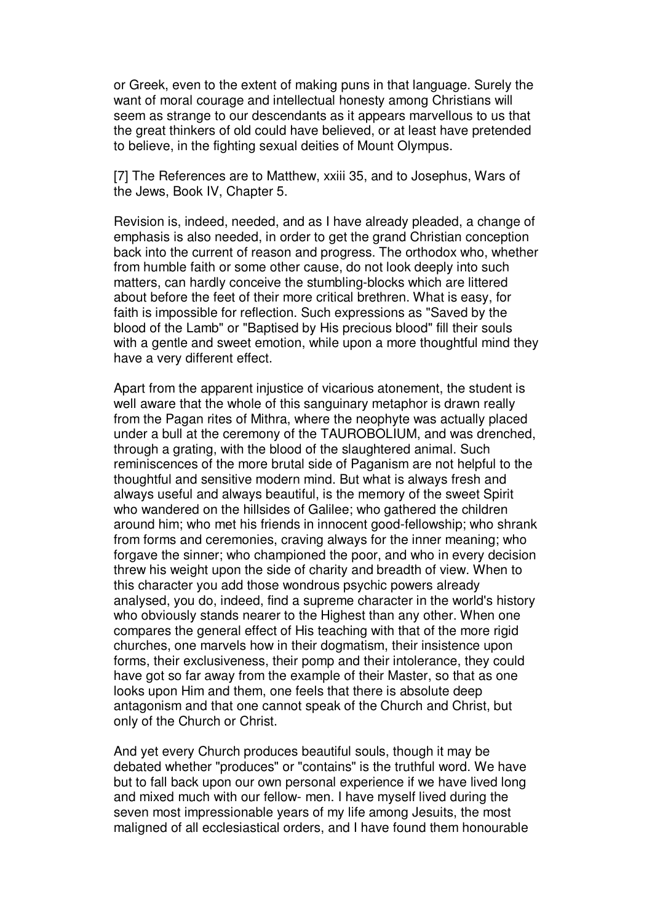or Greek, even to the extent of making puns in that language. Surely the want of moral courage and intellectual honesty among Christians will seem as strange to our descendants as it appears marvellous to us that the great thinkers of old could have believed, or at least have pretended to believe, in the fighting sexual deities of Mount Olympus.

[7] The References are to Matthew, xxiii 35, and to Josephus, Wars of the Jews, Book IV, Chapter 5.

Revision is, indeed, needed, and as I have already pleaded, a change of emphasis is also needed, in order to get the grand Christian conception back into the current of reason and progress. The orthodox who, whether from humble faith or some other cause, do not look deeply into such matters, can hardly conceive the stumbling-blocks which are littered about before the feet of their more critical brethren. What is easy, for faith is impossible for reflection. Such expressions as "Saved by the blood of the Lamb" or "Baptised by His precious blood" fill their souls with a gentle and sweet emotion, while upon a more thoughtful mind they have a very different effect.

Apart from the apparent injustice of vicarious atonement, the student is well aware that the whole of this sanguinary metaphor is drawn really from the Pagan rites of Mithra, where the neophyte was actually placed under a bull at the ceremony of the TAUROBOLIUM, and was drenched, through a grating, with the blood of the slaughtered animal. Such reminiscences of the more brutal side of Paganism are not helpful to the thoughtful and sensitive modern mind. But what is always fresh and always useful and always beautiful, is the memory of the sweet Spirit who wandered on the hillsides of Galilee; who gathered the children around him; who met his friends in innocent good-fellowship; who shrank from forms and ceremonies, craving always for the inner meaning; who forgave the sinner; who championed the poor, and who in every decision threw his weight upon the side of charity and breadth of view. When to this character you add those wondrous psychic powers already analysed, you do, indeed, find a supreme character in the world's history who obviously stands nearer to the Highest than any other. When one compares the general effect of His teaching with that of the more rigid churches, one marvels how in their dogmatism, their insistence upon forms, their exclusiveness, their pomp and their intolerance, they could have got so far away from the example of their Master, so that as one looks upon Him and them, one feels that there is absolute deep antagonism and that one cannot speak of the Church and Christ, but only of the Church or Christ.

And yet every Church produces beautiful souls, though it may be debated whether "produces" or "contains" is the truthful word. We have but to fall back upon our own personal experience if we have lived long and mixed much with our fellow- men. I have myself lived during the seven most impressionable years of my life among Jesuits, the most maligned of all ecclesiastical orders, and I have found them honourable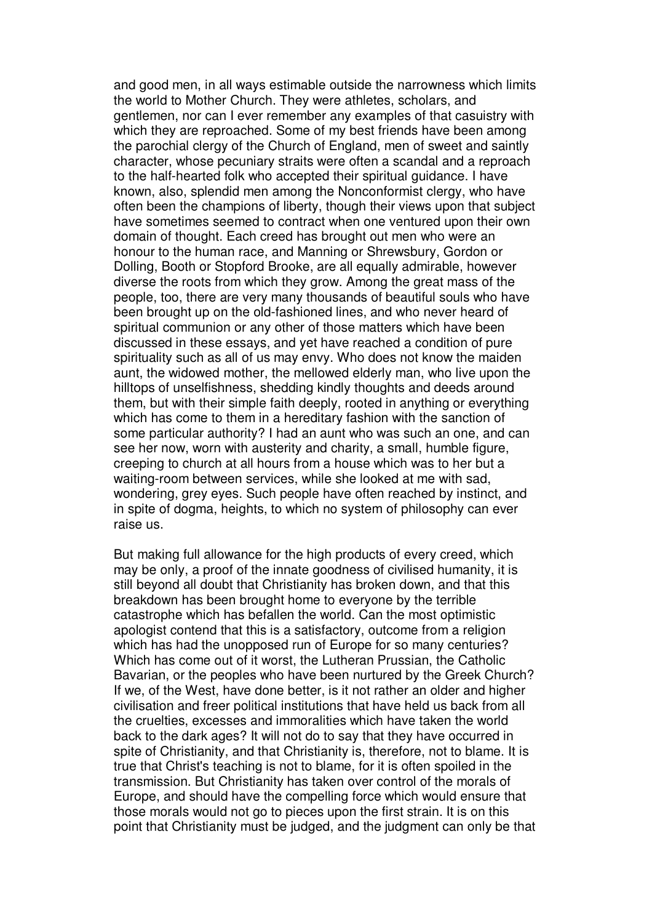and good men, in all ways estimable outside the narrowness which limits the world to Mother Church. They were athletes, scholars, and gentlemen, nor can I ever remember any examples of that casuistry with which they are reproached. Some of my best friends have been among the parochial clergy of the Church of England, men of sweet and saintly character, whose pecuniary straits were often a scandal and a reproach to the half-hearted folk who accepted their spiritual guidance. I have known, also, splendid men among the Nonconformist clergy, who have often been the champions of liberty, though their views upon that subject have sometimes seemed to contract when one ventured upon their own domain of thought. Each creed has brought out men who were an honour to the human race, and Manning or Shrewsbury, Gordon or Dolling, Booth or Stopford Brooke, are all equally admirable, however diverse the roots from which they grow. Among the great mass of the people, too, there are very many thousands of beautiful souls who have been brought up on the old-fashioned lines, and who never heard of spiritual communion or any other of those matters which have been discussed in these essays, and yet have reached a condition of pure spirituality such as all of us may envy. Who does not know the maiden aunt, the widowed mother, the mellowed elderly man, who live upon the hilltops of unselfishness, shedding kindly thoughts and deeds around them, but with their simple faith deeply, rooted in anything or everything which has come to them in a hereditary fashion with the sanction of some particular authority? I had an aunt who was such an one, and can see her now, worn with austerity and charity, a small, humble figure, creeping to church at all hours from a house which was to her but a waiting-room between services, while she looked at me with sad, wondering, grey eyes. Such people have often reached by instinct, and in spite of dogma, heights, to which no system of philosophy can ever raise us.

But making full allowance for the high products of every creed, which may be only, a proof of the innate goodness of civilised humanity, it is still beyond all doubt that Christianity has broken down, and that this breakdown has been brought home to everyone by the terrible catastrophe which has befallen the world. Can the most optimistic apologist contend that this is a satisfactory, outcome from a religion which has had the unopposed run of Europe for so many centuries? Which has come out of it worst, the Lutheran Prussian, the Catholic Bavarian, or the peoples who have been nurtured by the Greek Church? If we, of the West, have done better, is it not rather an older and higher civilisation and freer political institutions that have held us back from all the cruelties, excesses and immoralities which have taken the world back to the dark ages? It will not do to say that they have occurred in spite of Christianity, and that Christianity is, therefore, not to blame. It is true that Christ's teaching is not to blame, for it is often spoiled in the transmission. But Christianity has taken over control of the morals of Europe, and should have the compelling force which would ensure that those morals would not go to pieces upon the first strain. It is on this point that Christianity must be judged, and the judgment can only be that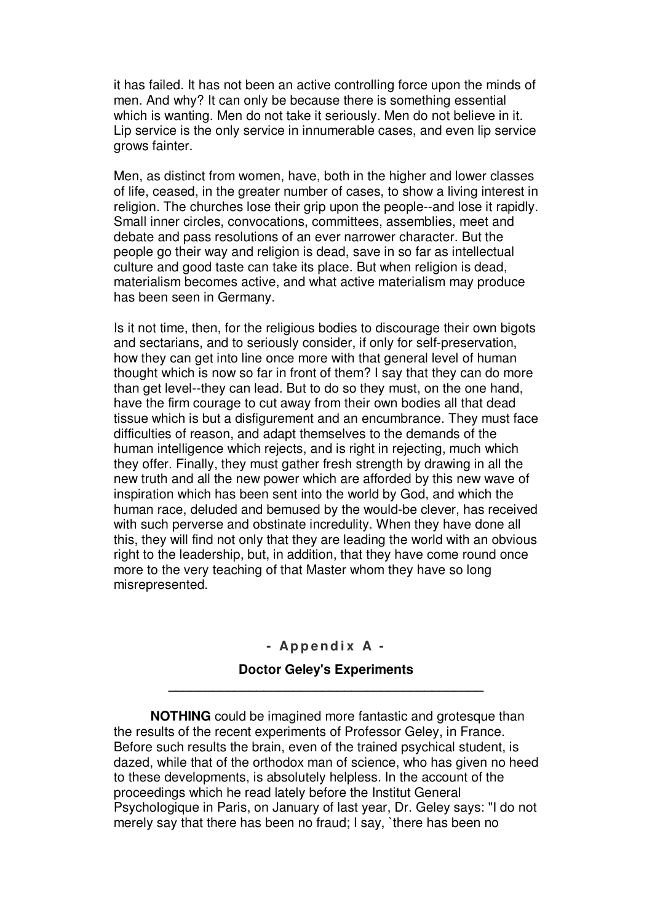it has failed. It has not been an active controlling force upon the minds of men. And why? It can only be because there is something essential which is wanting. Men do not take it seriously. Men do not believe in it. Lip service is the only service in innumerable cases, and even lip service grows fainter.

Men, as distinct from women, have, both in the higher and lower classes of life, ceased, in the greater number of cases, to show a living interest in religion. The churches lose their grip upon the people--and lose it rapidly. Small inner circles, convocations, committees, assemblies, meet and debate and pass resolutions of an ever narrower character. But the people go their way and religion is dead, save in so far as intellectual culture and good taste can take its place. But when religion is dead, materialism becomes active, and what active materialism may produce has been seen in Germany.

Is it not time, then, for the religious bodies to discourage their own bigots and sectarians, and to seriously consider, if only for self-preservation, how they can get into line once more with that general level of human thought which is now so far in front of them? I say that they can do more than get level--they can lead. But to do so they must, on the one hand, have the firm courage to cut away from their own bodies all that dead tissue which is but a disfigurement and an encumbrance. They must face difficulties of reason, and adapt themselves to the demands of the human intelligence which rejects, and is right in rejecting, much which they offer. Finally, they must gather fresh strength by drawing in all the new truth and all the new power which are afforded by this new wave of inspiration which has been sent into the world by God, and which the human race, deluded and bemused by the would-be clever, has received with such perverse and obstinate incredulity. When they have done all this, they will find not only that they are leading the world with an obvious right to the leadership, but, in addition, that they have come round once more to the very teaching of that Master whom they have so long misrepresented.

# **- Ap p e nd i x A -**

# **Doctor Geley's Experiments \_\_\_\_\_\_\_\_\_\_\_\_\_\_\_\_\_\_\_\_\_\_\_\_\_\_\_\_\_\_\_\_\_\_\_\_\_\_\_\_\_\_\_**

**NOTHING** could be imagined more fantastic and grotesque than the results of the recent experiments of Professor Geley, in France. Before such results the brain, even of the trained psychical student, is dazed, while that of the orthodox man of science, who has given no heed to these developments, is absolutely helpless. In the account of the proceedings which he read lately before the Institut General Psychologique in Paris, on January of last year, Dr. Geley says: "I do not merely say that there has been no fraud; I say, `there has been no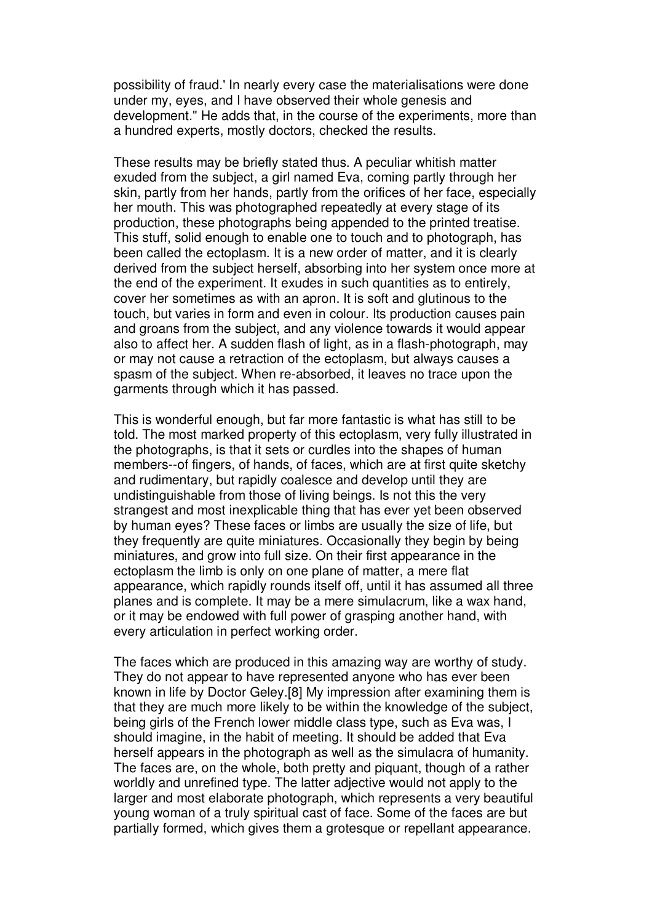possibility of fraud.' In nearly every case the materialisations were done under my, eyes, and I have observed their whole genesis and development." He adds that, in the course of the experiments, more than a hundred experts, mostly doctors, checked the results.

These results may be briefly stated thus. A peculiar whitish matter exuded from the subject, a girl named Eva, coming partly through her skin, partly from her hands, partly from the orifices of her face, especially her mouth. This was photographed repeatedly at every stage of its production, these photographs being appended to the printed treatise. This stuff, solid enough to enable one to touch and to photograph, has been called the ectoplasm. It is a new order of matter, and it is clearly derived from the subject herself, absorbing into her system once more at the end of the experiment. It exudes in such quantities as to entirely, cover her sometimes as with an apron. It is soft and glutinous to the touch, but varies in form and even in colour. Its production causes pain and groans from the subject, and any violence towards it would appear also to affect her. A sudden flash of light, as in a flash-photograph, may or may not cause a retraction of the ectoplasm, but always causes a spasm of the subject. When re-absorbed, it leaves no trace upon the garments through which it has passed.

This is wonderful enough, but far more fantastic is what has still to be told. The most marked property of this ectoplasm, very fully illustrated in the photographs, is that it sets or curdles into the shapes of human members--of fingers, of hands, of faces, which are at first quite sketchy and rudimentary, but rapidly coalesce and develop until they are undistinguishable from those of living beings. Is not this the very strangest and most inexplicable thing that has ever yet been observed by human eyes? These faces or limbs are usually the size of life, but they frequently are quite miniatures. Occasionally they begin by being miniatures, and grow into full size. On their first appearance in the ectoplasm the limb is only on one plane of matter, a mere flat appearance, which rapidly rounds itself off, until it has assumed all three planes and is complete. It may be a mere simulacrum, like a wax hand, or it may be endowed with full power of grasping another hand, with every articulation in perfect working order.

The faces which are produced in this amazing way are worthy of study. They do not appear to have represented anyone who has ever been known in life by Doctor Geley.[8] My impression after examining them is that they are much more likely to be within the knowledge of the subject, being girls of the French lower middle class type, such as Eva was, I should imagine, in the habit of meeting. It should be added that Eva herself appears in the photograph as well as the simulacra of humanity. The faces are, on the whole, both pretty and piquant, though of a rather worldly and unrefined type. The latter adjective would not apply to the larger and most elaborate photograph, which represents a very beautiful young woman of a truly spiritual cast of face. Some of the faces are but partially formed, which gives them a grotesque or repellant appearance.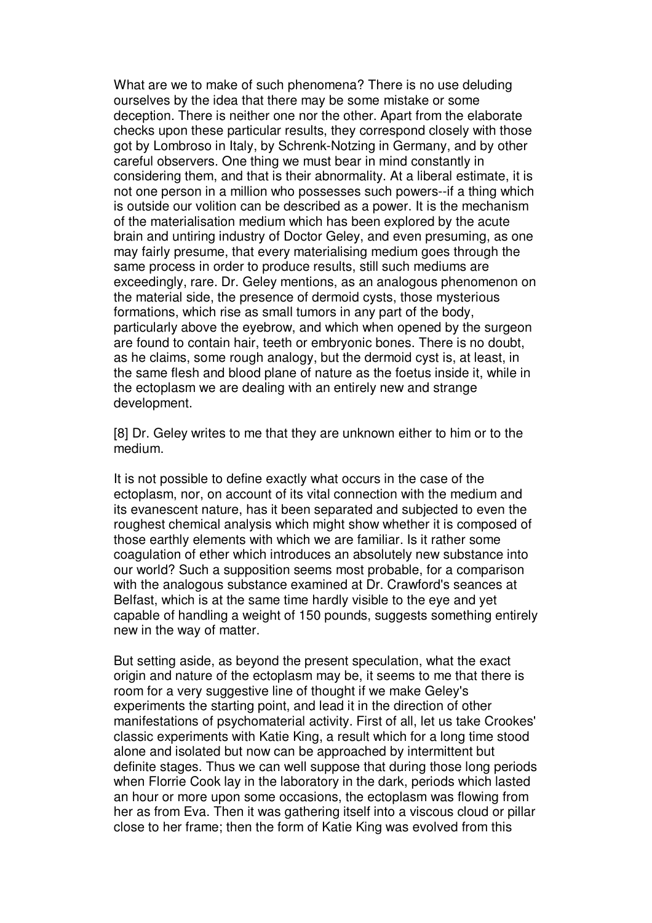What are we to make of such phenomena? There is no use deluding ourselves by the idea that there may be some mistake or some deception. There is neither one nor the other. Apart from the elaborate checks upon these particular results, they correspond closely with those got by Lombroso in Italy, by Schrenk-Notzing in Germany, and by other careful observers. One thing we must bear in mind constantly in considering them, and that is their abnormality. At a liberal estimate, it is not one person in a million who possesses such powers--if a thing which is outside our volition can be described as a power. It is the mechanism of the materialisation medium which has been explored by the acute brain and untiring industry of Doctor Geley, and even presuming, as one may fairly presume, that every materialising medium goes through the same process in order to produce results, still such mediums are exceedingly, rare. Dr. Geley mentions, as an analogous phenomenon on the material side, the presence of dermoid cysts, those mysterious formations, which rise as small tumors in any part of the body, particularly above the eyebrow, and which when opened by the surgeon are found to contain hair, teeth or embryonic bones. There is no doubt, as he claims, some rough analogy, but the dermoid cyst is, at least, in the same flesh and blood plane of nature as the foetus inside it, while in the ectoplasm we are dealing with an entirely new and strange development.

[8] Dr. Geley writes to me that they are unknown either to him or to the medium.

It is not possible to define exactly what occurs in the case of the ectoplasm, nor, on account of its vital connection with the medium and its evanescent nature, has it been separated and subjected to even the roughest chemical analysis which might show whether it is composed of those earthly elements with which we are familiar. Is it rather some coagulation of ether which introduces an absolutely new substance into our world? Such a supposition seems most probable, for a comparison with the analogous substance examined at Dr. Crawford's seances at Belfast, which is at the same time hardly visible to the eye and yet capable of handling a weight of 150 pounds, suggests something entirely new in the way of matter.

But setting aside, as beyond the present speculation, what the exact origin and nature of the ectoplasm may be, it seems to me that there is room for a very suggestive line of thought if we make Geley's experiments the starting point, and lead it in the direction of other manifestations of psychomaterial activity. First of all, let us take Crookes' classic experiments with Katie King, a result which for a long time stood alone and isolated but now can be approached by intermittent but definite stages. Thus we can well suppose that during those long periods when Florrie Cook lay in the laboratory in the dark, periods which lasted an hour or more upon some occasions, the ectoplasm was flowing from her as from Eva. Then it was gathering itself into a viscous cloud or pillar close to her frame; then the form of Katie King was evolved from this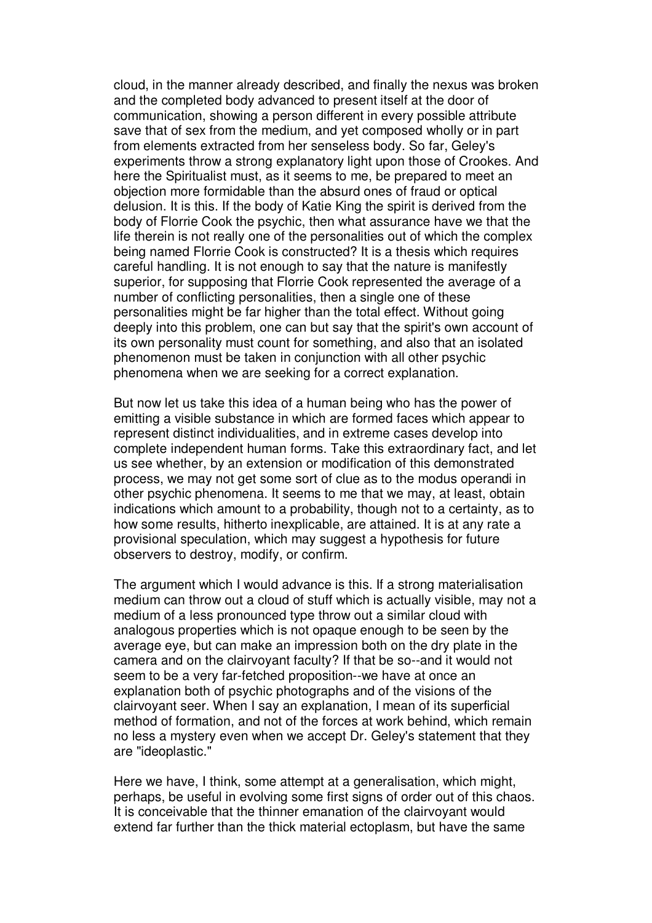cloud, in the manner already described, and finally the nexus was broken and the completed body advanced to present itself at the door of communication, showing a person different in every possible attribute save that of sex from the medium, and yet composed wholly or in part from elements extracted from her senseless body. So far, Geley's experiments throw a strong explanatory light upon those of Crookes. And here the Spiritualist must, as it seems to me, be prepared to meet an objection more formidable than the absurd ones of fraud or optical delusion. It is this. If the body of Katie King the spirit is derived from the body of Florrie Cook the psychic, then what assurance have we that the life therein is not really one of the personalities out of which the complex being named Florrie Cook is constructed? It is a thesis which requires careful handling. It is not enough to say that the nature is manifestly superior, for supposing that Florrie Cook represented the average of a number of conflicting personalities, then a single one of these personalities might be far higher than the total effect. Without going deeply into this problem, one can but say that the spirit's own account of its own personality must count for something, and also that an isolated phenomenon must be taken in conjunction with all other psychic phenomena when we are seeking for a correct explanation.

But now let us take this idea of a human being who has the power of emitting a visible substance in which are formed faces which appear to represent distinct individualities, and in extreme cases develop into complete independent human forms. Take this extraordinary fact, and let us see whether, by an extension or modification of this demonstrated process, we may not get some sort of clue as to the modus operandi in other psychic phenomena. It seems to me that we may, at least, obtain indications which amount to a probability, though not to a certainty, as to how some results, hitherto inexplicable, are attained. It is at any rate a provisional speculation, which may suggest a hypothesis for future observers to destroy, modify, or confirm.

The argument which I would advance is this. If a strong materialisation medium can throw out a cloud of stuff which is actually visible, may not a medium of a less pronounced type throw out a similar cloud with analogous properties which is not opaque enough to be seen by the average eye, but can make an impression both on the dry plate in the camera and on the clairvoyant faculty? If that be so--and it would not seem to be a very far-fetched proposition--we have at once an explanation both of psychic photographs and of the visions of the clairvoyant seer. When I say an explanation, I mean of its superficial method of formation, and not of the forces at work behind, which remain no less a mystery even when we accept Dr. Geley's statement that they are "ideoplastic."

Here we have, I think, some attempt at a generalisation, which might, perhaps, be useful in evolving some first signs of order out of this chaos. It is conceivable that the thinner emanation of the clairvoyant would extend far further than the thick material ectoplasm, but have the same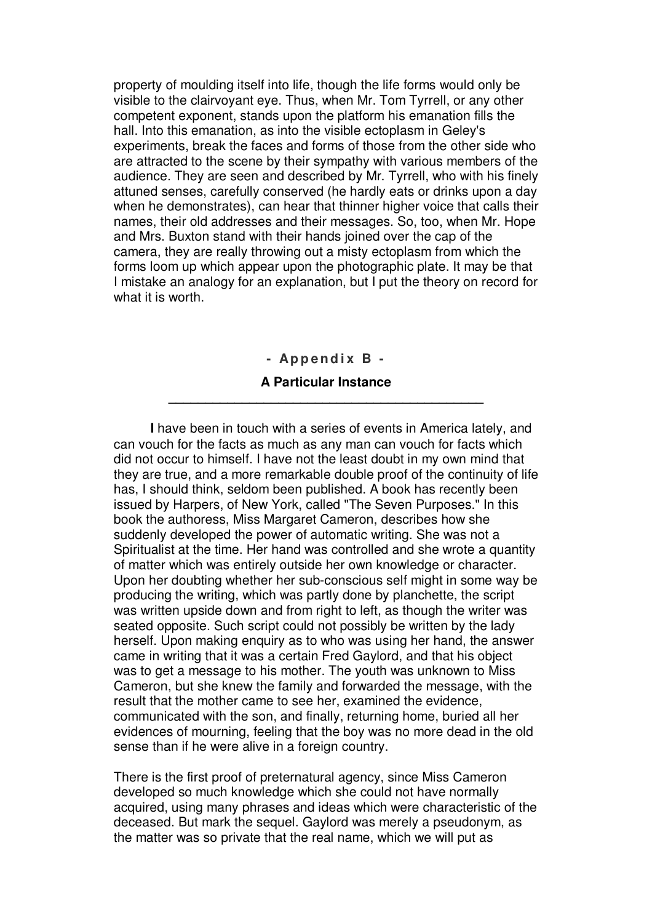property of moulding itself into life, though the life forms would only be visible to the clairvoyant eye. Thus, when Mr. Tom Tyrrell, or any other competent exponent, stands upon the platform his emanation fills the hall. Into this emanation, as into the visible ectoplasm in Geley's experiments, break the faces and forms of those from the other side who are attracted to the scene by their sympathy with various members of the audience. They are seen and described by Mr. Tyrrell, who with his finely attuned senses, carefully conserved (he hardly eats or drinks upon a day when he demonstrates), can hear that thinner higher voice that calls their names, their old addresses and their messages. So, too, when Mr. Hope and Mrs. Buxton stand with their hands joined over the cap of the camera, they are really throwing out a misty ectoplasm from which the forms loom up which appear upon the photographic plate. It may be that I mistake an analogy for an explanation, but I put the theory on record for what it is worth.

# **- Ap p e nd i x B - A Particular Instance**

**\_\_\_\_\_\_\_\_\_\_\_\_\_\_\_\_\_\_\_\_\_\_\_\_\_\_\_\_\_\_\_\_\_\_\_\_\_\_\_\_\_\_\_**

**I** have been in touch with a series of events in America lately, and can vouch for the facts as much as any man can vouch for facts which did not occur to himself. I have not the least doubt in my own mind that they are true, and a more remarkable double proof of the continuity of life has, I should think, seldom been published. A book has recently been issued by Harpers, of New York, called "The Seven Purposes." In this book the authoress, Miss Margaret Cameron, describes how she suddenly developed the power of automatic writing. She was not a Spiritualist at the time. Her hand was controlled and she wrote a quantity of matter which was entirely outside her own knowledge or character. Upon her doubting whether her sub-conscious self might in some way be producing the writing, which was partly done by planchette, the script was written upside down and from right to left, as though the writer was seated opposite. Such script could not possibly be written by the lady herself. Upon making enquiry as to who was using her hand, the answer came in writing that it was a certain Fred Gaylord, and that his object was to get a message to his mother. The youth was unknown to Miss Cameron, but she knew the family and forwarded the message, with the result that the mother came to see her, examined the evidence, communicated with the son, and finally, returning home, buried all her evidences of mourning, feeling that the boy was no more dead in the old sense than if he were alive in a foreign country.

There is the first proof of preternatural agency, since Miss Cameron developed so much knowledge which she could not have normally acquired, using many phrases and ideas which were characteristic of the deceased. But mark the sequel. Gaylord was merely a pseudonym, as the matter was so private that the real name, which we will put as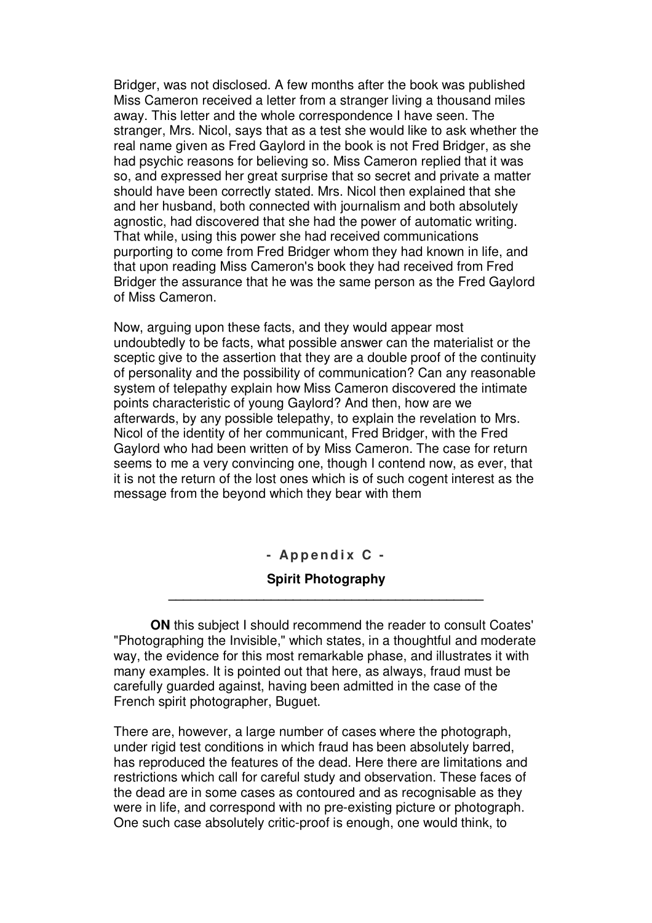Bridger, was not disclosed. A few months after the book was published Miss Cameron received a letter from a stranger living a thousand miles away. This letter and the whole correspondence I have seen. The stranger, Mrs. Nicol, says that as a test she would like to ask whether the real name given as Fred Gaylord in the book is not Fred Bridger, as she had psychic reasons for believing so. Miss Cameron replied that it was so, and expressed her great surprise that so secret and private a matter should have been correctly stated. Mrs. Nicol then explained that she and her husband, both connected with journalism and both absolutely agnostic, had discovered that she had the power of automatic writing. That while, using this power she had received communications purporting to come from Fred Bridger whom they had known in life, and that upon reading Miss Cameron's book they had received from Fred Bridger the assurance that he was the same person as the Fred Gaylord of Miss Cameron.

Now, arguing upon these facts, and they would appear most undoubtedly to be facts, what possible answer can the materialist or the sceptic give to the assertion that they are a double proof of the continuity of personality and the possibility of communication? Can any reasonable system of telepathy explain how Miss Cameron discovered the intimate points characteristic of young Gaylord? And then, how are we afterwards, by any possible telepathy, to explain the revelation to Mrs. Nicol of the identity of her communicant, Fred Bridger, with the Fred Gaylord who had been written of by Miss Cameron. The case for return seems to me a very convincing one, though I contend now, as ever, that it is not the return of the lost ones which is of such cogent interest as the message from the beyond which they bear with them

> **- Ap p e nd i x C - Spirit Photography \_\_\_\_\_\_\_\_\_\_\_\_\_\_\_\_\_\_\_\_\_\_\_\_\_\_\_\_\_\_\_\_\_\_\_\_\_\_\_\_\_\_\_**

**ON** this subject I should recommend the reader to consult Coates' "Photographing the Invisible," which states, in a thoughtful and moderate way, the evidence for this most remarkable phase, and illustrates it with many examples. It is pointed out that here, as always, fraud must be carefully guarded against, having been admitted in the case of the French spirit photographer, Buguet.

There are, however, a large number of cases where the photograph, under rigid test conditions in which fraud has been absolutely barred, has reproduced the features of the dead. Here there are limitations and restrictions which call for careful study and observation. These faces of the dead are in some cases as contoured and as recognisable as they were in life, and correspond with no pre-existing picture or photograph. One such case absolutely critic-proof is enough, one would think, to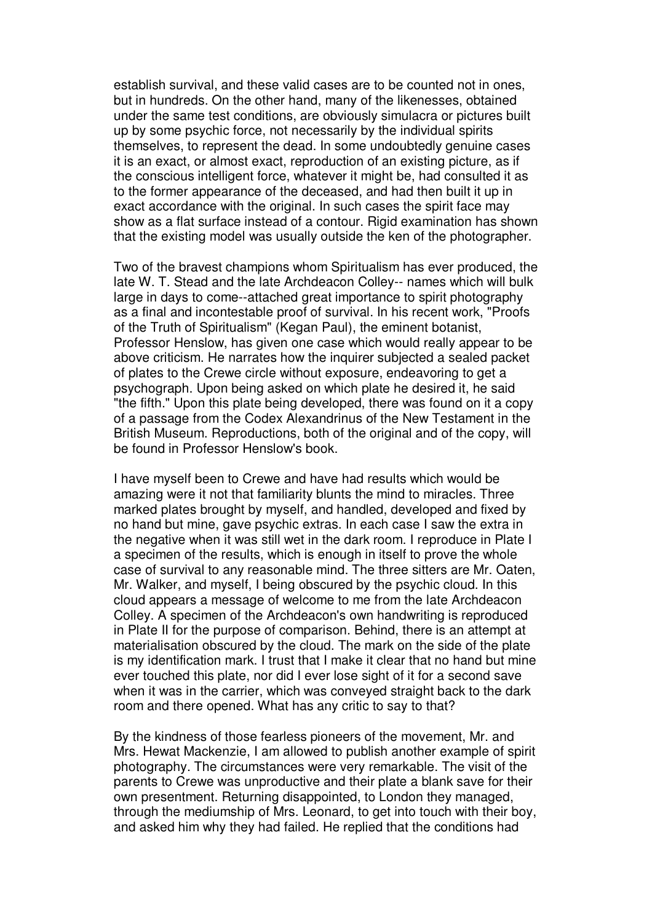establish survival, and these valid cases are to be counted not in ones, but in hundreds. On the other hand, many of the likenesses, obtained under the same test conditions, are obviously simulacra or pictures built up by some psychic force, not necessarily by the individual spirits themselves, to represent the dead. In some undoubtedly genuine cases it is an exact, or almost exact, reproduction of an existing picture, as if the conscious intelligent force, whatever it might be, had consulted it as to the former appearance of the deceased, and had then built it up in exact accordance with the original. In such cases the spirit face may show as a flat surface instead of a contour. Rigid examination has shown that the existing model was usually outside the ken of the photographer.

Two of the bravest champions whom Spiritualism has ever produced, the late W. T. Stead and the late Archdeacon Colley-- names which will bulk large in days to come--attached great importance to spirit photography as a final and incontestable proof of survival. In his recent work, "Proofs of the Truth of Spiritualism" (Kegan Paul), the eminent botanist, Professor Henslow, has given one case which would really appear to be above criticism. He narrates how the inquirer subjected a sealed packet of plates to the Crewe circle without exposure, endeavoring to get a psychograph. Upon being asked on which plate he desired it, he said "the fifth." Upon this plate being developed, there was found on it a copy of a passage from the Codex Alexandrinus of the New Testament in the British Museum. Reproductions, both of the original and of the copy, will be found in Professor Henslow's book.

I have myself been to Crewe and have had results which would be amazing were it not that familiarity blunts the mind to miracles. Three marked plates brought by myself, and handled, developed and fixed by no hand but mine, gave psychic extras. In each case I saw the extra in the negative when it was still wet in the dark room. I reproduce in Plate I a specimen of the results, which is enough in itself to prove the whole case of survival to any reasonable mind. The three sitters are Mr. Oaten, Mr. Walker, and myself, I being obscured by the psychic cloud. In this cloud appears a message of welcome to me from the late Archdeacon Colley. A specimen of the Archdeacon's own handwriting is reproduced in Plate II for the purpose of comparison. Behind, there is an attempt at materialisation obscured by the cloud. The mark on the side of the plate is my identification mark. I trust that I make it clear that no hand but mine ever touched this plate, nor did I ever lose sight of it for a second save when it was in the carrier, which was conveyed straight back to the dark room and there opened. What has any critic to say to that?

By the kindness of those fearless pioneers of the movement, Mr. and Mrs. Hewat Mackenzie, I am allowed to publish another example of spirit photography. The circumstances were very remarkable. The visit of the parents to Crewe was unproductive and their plate a blank save for their own presentment. Returning disappointed, to London they managed, through the mediumship of Mrs. Leonard, to get into touch with their boy, and asked him why they had failed. He replied that the conditions had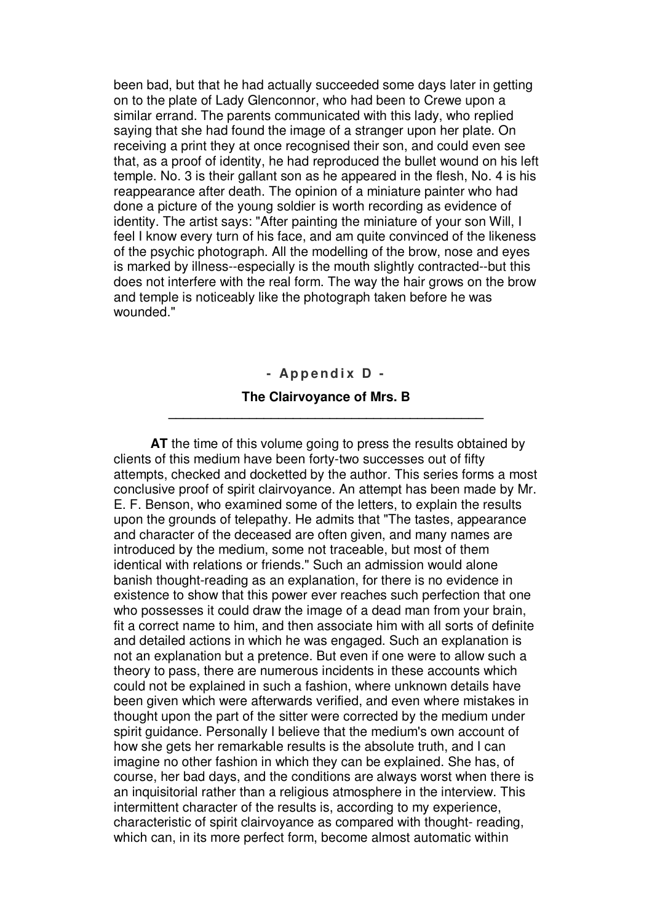been bad, but that he had actually succeeded some days later in getting on to the plate of Lady Glenconnor, who had been to Crewe upon a similar errand. The parents communicated with this lady, who replied saying that she had found the image of a stranger upon her plate. On receiving a print they at once recognised their son, and could even see that, as a proof of identity, he had reproduced the bullet wound on his left temple. No. 3 is their gallant son as he appeared in the flesh, No. 4 is his reappearance after death. The opinion of a miniature painter who had done a picture of the young soldier is worth recording as evidence of identity. The artist says: "After painting the miniature of your son Will, I feel I know every turn of his face, and am quite convinced of the likeness of the psychic photograph. All the modelling of the brow, nose and eyes is marked by illness--especially is the mouth slightly contracted--but this does not interfere with the real form. The way the hair grows on the brow and temple is noticeably like the photograph taken before he was wounded."

# **- Ap p e nd i x D -**

# **The Clairvoyance of Mrs. B \_\_\_\_\_\_\_\_\_\_\_\_\_\_\_\_\_\_\_\_\_\_\_\_\_\_\_\_\_\_\_\_\_\_\_\_\_\_\_\_\_\_\_**

**AT** the time of this volume going to press the results obtained by clients of this medium have been forty-two successes out of fifty attempts, checked and docketted by the author. This series forms a most conclusive proof of spirit clairvoyance. An attempt has been made by Mr. E. F. Benson, who examined some of the letters, to explain the results upon the grounds of telepathy. He admits that "The tastes, appearance and character of the deceased are often given, and many names are introduced by the medium, some not traceable, but most of them identical with relations or friends." Such an admission would alone banish thought-reading as an explanation, for there is no evidence in existence to show that this power ever reaches such perfection that one who possesses it could draw the image of a dead man from your brain, fit a correct name to him, and then associate him with all sorts of definite and detailed actions in which he was engaged. Such an explanation is not an explanation but a pretence. But even if one were to allow such a theory to pass, there are numerous incidents in these accounts which could not be explained in such a fashion, where unknown details have been given which were afterwards verified, and even where mistakes in thought upon the part of the sitter were corrected by the medium under spirit quidance. Personally I believe that the medium's own account of how she gets her remarkable results is the absolute truth, and I can imagine no other fashion in which they can be explained. She has, of course, her bad days, and the conditions are always worst when there is an inquisitorial rather than a religious atmosphere in the interview. This intermittent character of the results is, according to my experience, characteristic of spirit clairvoyance as compared with thought- reading, which can, in its more perfect form, become almost automatic within